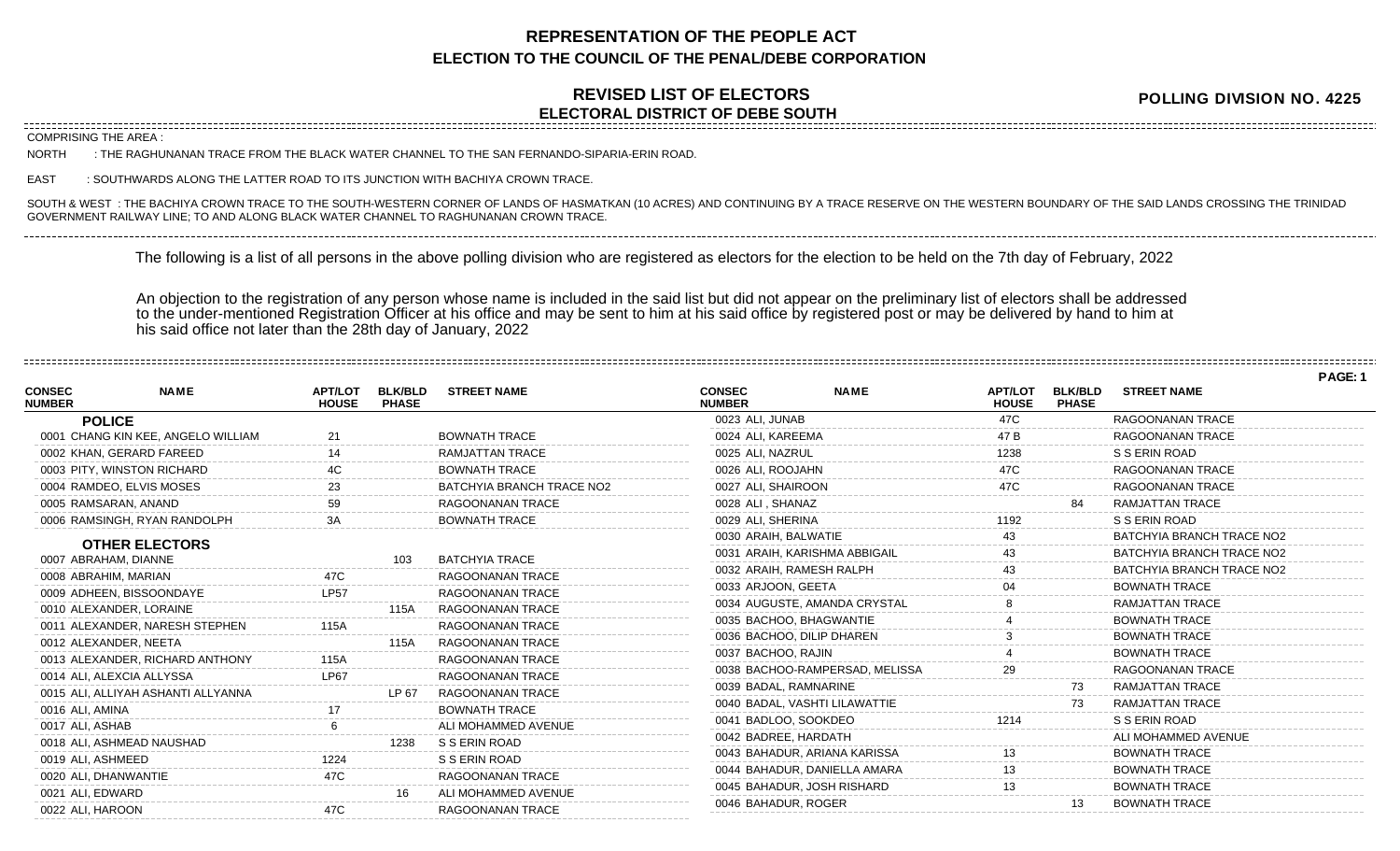## **REPRESENTATION OF THE PEOPLE ACT ELECTION TO THE COUNCIL OF THE PENAL/DEBE CORPORATION**

## **REVISED LIST OF ELECTORS ELECTORAL DISTRICT OF DEBE SOUTH**

**POLLING DIVISION NO. 4225**

COMPRISING THE AREA :

NORTH : THE RAGHUNANAN TRACE FROM THE BLACK WATER CHANNEL TO THE SAN FERNANDO-SIPARIA-ERIN ROAD.

EAST : SOUTHWARDS ALONG THE LATTER ROAD TO ITS JUNCTION WITH BACHIYA CROWN TRACE.

SOUTH & WEST : THE BACHIYA CROWN TRACE TO THE SOUTH-WESTERN CORNER OF LANDS OF HASMATKAN (10 ACRES) AND CONTINUING BY A TRACE RESERVE ON THE WESTERN BOUNDARY OF THE SAID LANDS CROSSING THE TRINIDAD GOVERNMENT RAILWAY LINE; TO AND ALONG BLACK WATER CHANNEL TO RAGHUNANAN CROWN TRACE.

The following is a list of all persons in the above polling division who are registered as electors for the election to be held on the 7th day of February, 2022

An objection to the registration of any person whose name is included in the said list but did not appear on the preliminary list of electors shall be addressed to the under-mentioned Registration Officer at his office and may be sent to him at his said office by registered post or may be delivered by hand to him at his said office not later than the 28th day of January, 2022

|                                |                                               |                                |                                |                           |                                |                                |                                |                                |                           | PAGE: |
|--------------------------------|-----------------------------------------------|--------------------------------|--------------------------------|---------------------------|--------------------------------|--------------------------------|--------------------------------|--------------------------------|---------------------------|-------|
| <b>CONSEC</b><br><b>NUMBER</b> | <b>NAME</b>                                   | <b>APT/LOT</b><br><b>HOUSE</b> | <b>BLK/BLD</b><br><b>PHASE</b> | <b>STREET NAME</b>        | <b>CONSEC</b><br><b>NUMBER</b> | <b>NAME</b>                    | <b>APT/LOT</b><br><b>HOUSE</b> | <b>BLK/BLD</b><br><b>PHASE</b> | <b>STREET NAME</b>        |       |
|                                | <b>POLICE</b>                                 |                                |                                |                           | 0023 ALI, JUNAB                |                                | 47C                            |                                | <b>RAGOONANAN TRACE</b>   |       |
|                                | 0001 CHANG KIN KEE, ANGELO WILLIAM            | 21                             |                                | <b>BOWNATH TRACE</b>      | 0024 ALI, KAREEMA              |                                | 47 B                           |                                | <b>RAGOONANAN TRACE</b>   |       |
|                                | 0002 KHAN, GERARD FAREED                      |                                |                                | <b>RAMJATTAN TRACE</b>    | 0025 ALI, NAZRUL               |                                | 1238                           |                                | S S ERIN ROAD             |       |
|                                | 0003 PITY, WINSTON RICHARD                    |                                |                                | <b>BOWNATH TRACE</b>      | 0026 ALI, ROOJAHN              |                                | 47C                            |                                | <b>RAGOONANAN TRACE</b>   |       |
|                                | 0004 RAMDEO, ELVIS MOSES                      |                                |                                | BATCHYIA BRANCH TRACE NO2 | 0027 ALI. SHAIROON             |                                | 47C                            |                                | RAGOONANAN TRACE          |       |
|                                | 0005 RAMSARAN, ANAND                          |                                |                                | RAGOONANAN TRACE          | 0028 ALI . SHANAZ              |                                |                                |                                | <b>RAMJATTAN TRACE</b>    |       |
|                                | 0006 RAMSINGH, RYAN RANDOLPH                  |                                |                                | <b>BOWNATH TRACE</b>      | 0029 ALI, SHERINA              |                                |                                |                                | S S ERIN ROAD             |       |
|                                |                                               |                                |                                |                           | 0030 ARAIH, BALWATIE           |                                |                                |                                | BATCHYIA BRANCH TRACE NO2 |       |
|                                | <b>OTHER ELECTORS</b><br>0007 ABRAHAM, DIANNE |                                | 103                            | <b>BATCHYIA TRACE</b>     | 0031 ARAIH, KARISHMA ABBIGAIL  |                                |                                |                                | BATCHYIA BRANCH TRACE NO2 |       |
|                                | 0008 ABRAHIM, MARIAN                          | 47C                            |                                | RAGOONANAN TRACE          | 0032 ARAIH, RAMESH RALPH       |                                |                                |                                | BATCHYIA BRANCH TRACE NO2 |       |
|                                | 0009 ADHEEN, BISSOONDAYE                      | <b>LP57</b>                    |                                | RAGOONANAN TRACE          | 0033 ARJOON, GEETA             |                                |                                |                                | <b>BOWNATH TRACE</b>      |       |
|                                | 0010 ALEXANDER, LORAINE                       |                                | 115A                           | RAGOONANAN TRACE          |                                | 0034 AUGUSTE, AMANDA CRYSTAL   |                                |                                | <b>RAMJATTAN TRACE</b>    |       |
|                                | 0011 ALEXANDER, NARESH STEPHEN                |                                |                                | RAGOONANAN TRACE          | 0035 BACHOO, BHAGWANTIE        |                                |                                |                                | <b>BOWNATH TRACE</b>      |       |
|                                | 0012 ALEXANDER, NEETA                         |                                | 115A                           | RAGOONANAN TRACE          | 0036 BACHOO, DILIP DHAREN      |                                |                                |                                | <b>BOWNATH TRACE</b>      |       |
|                                | 0013 ALEXANDER, RICHARD ANTHONY               |                                |                                | RAGOONANAN TRACE          | 0037 BACHOO, RAJIN             |                                |                                |                                | <b>BOWNATH TRACE</b>      |       |
|                                | 0014 ALI, ALEXCIA ALLYSSA                     | <b>LP67</b>                    |                                | RAGOONANAN TRACE          |                                | 0038 BACHOO-RAMPERSAD, MELISSA |                                |                                | <b>RAGOONANAN TRACE</b>   |       |
|                                | 0015 ALI. ALLIYAH ASHANTI ALLYANNA            |                                | LP 67                          | RAGOONANAN TRACE          | 0039 BADAL, RAMNARINE          |                                |                                |                                | <b>RAMJATTAN TRACE</b>    |       |
| 0016 ALI, AMINA                |                                               |                                |                                | <b>BOWNATH TRACE</b>      | 0040 BADAL, VASHTI LILAWATTIE  |                                |                                |                                | <b>RAMJATTAN TRACE</b>    |       |
| 0017 ALI, ASHAB                |                                               |                                |                                | ALI MOHAMMED AVENUE       | 0041 BADLOO, SOOKDEO           |                                | 1214                           |                                | S S ERIN ROAD             |       |
|                                | 0018 ALI, ASHMEAD NAUSHAD                     |                                | 1238                           | S S ERIN ROAD             | 0042 BADREE, HARDATH           |                                |                                |                                | ALI MOHAMMED AVENUE       |       |
| 0019 ALI, ASHMEED              |                                               | 1224                           |                                | S S ERIN ROAD             |                                | 0043 BAHADUR, ARIANA KARISSA   |                                |                                | <b>BOWNATH TRACE</b>      |       |
|                                | 0020 ALI, DHANWANTIE                          | 47C                            |                                | RAGOONANAN TRACE          |                                | 0044 BAHADUR, DANIELLA AMARA   |                                |                                | <b>BOWNATH TRACE</b>      |       |
| 0021 ALI, EDWARD               |                                               |                                |                                | ALI MOHAMMED AVENUE       | 0045 BAHADUR, JOSH RISHARD     |                                |                                |                                | <b>BOWNATH TRACE</b>      |       |
| 0022 ALI. HAROON               |                                               | 47C                            |                                | RAGOONANAN TRACE          | 0046 BAHADUR, ROGER            |                                |                                |                                | <b>BOWNATH TRACE</b>      |       |
|                                |                                               |                                |                                |                           |                                |                                |                                |                                |                           |       |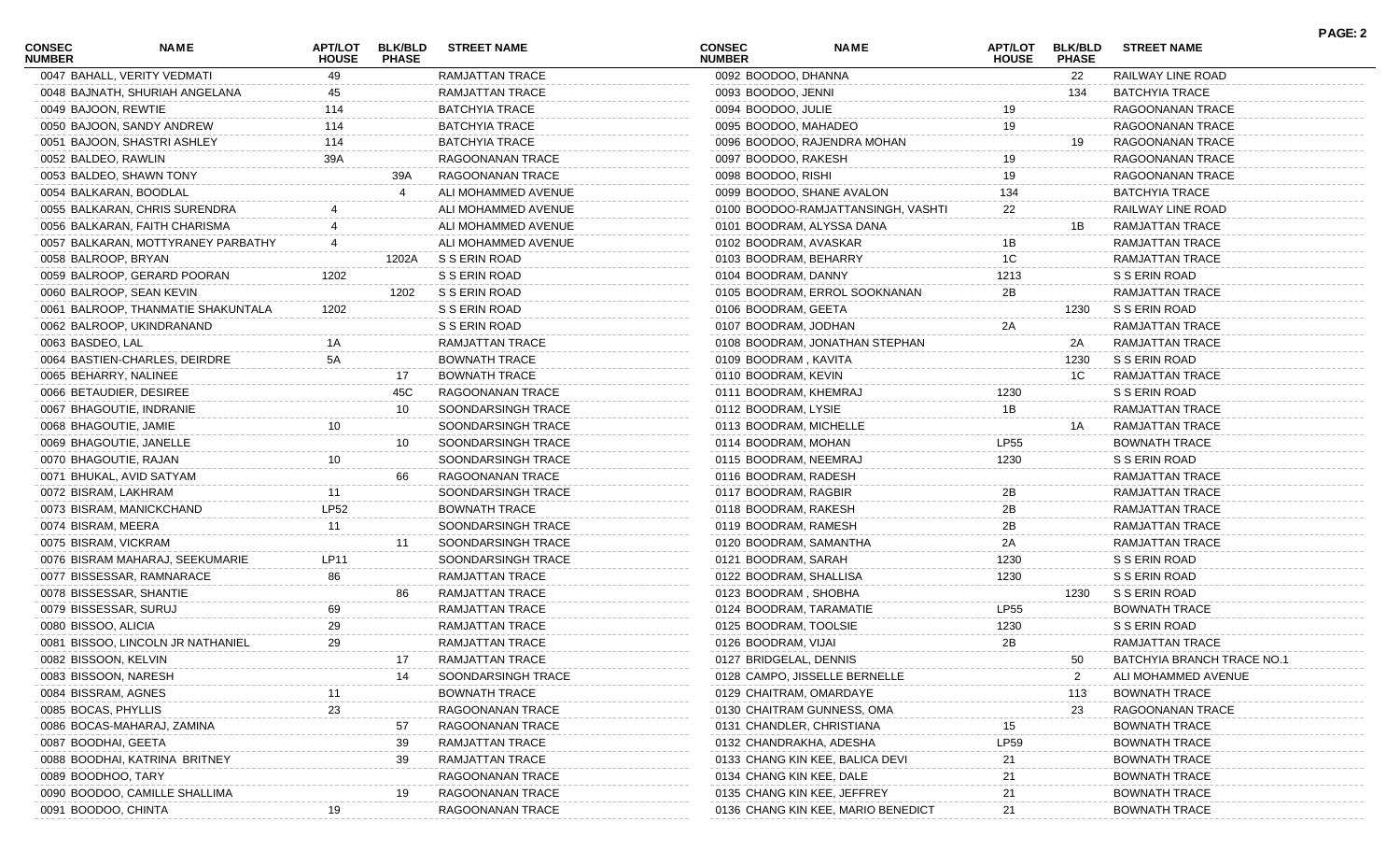| <b>CONSEC</b><br><b>NUMBER</b> | NAME                               | <b>APT/LOT</b><br><b>HOUSE</b> | <b>BLK/BLD</b><br><b>PHASE</b> | <b>STREET NAME</b>     | <b>CONSEC</b><br><b>NUMBER</b> | <b>NAME</b>                        | APT/LOT<br><b>HOUSE</b> | <b>BLK/BLD</b><br><b>PHASE</b> | <b>STREET NAME</b>         | PAGE: 2 |
|--------------------------------|------------------------------------|--------------------------------|--------------------------------|------------------------|--------------------------------|------------------------------------|-------------------------|--------------------------------|----------------------------|---------|
|                                | 0047 BAHALL, VERITY VEDMATI        | 49                             |                                | RAMJATTAN TRACE        | 0092 BOODOO, DHANNA            |                                    |                         | 22                             | RAILWAY LINE ROAD          |         |
|                                | 0048 BAJNATH, SHURIAH ANGELANA     | 45                             |                                | RAMJATTAN TRACE        | 0093 BOODOO, JENNI             |                                    |                         | 134                            | <b>BATCHYIA TRACE</b>      |         |
| 0049 BAJOON, REWTIE            |                                    | 114                            |                                | <b>BATCHYIA TRACE</b>  | 0094 BOODOO, JULIE             |                                    |                         |                                | RAGOONANAN TRACE           |         |
|                                | 0050 BAJOON, SANDY ANDREW          | 114                            |                                | <b>BATCHYIA TRACE</b>  | 0095 BOODOO, MAHADEO           |                                    | 19                      |                                | RAGOONANAN TRACE           |         |
|                                | 0051 BAJOON, SHASTRI ASHLEY        | 114                            |                                | <b>BATCHYIA TRACE</b>  |                                | 0096 BOODOO, RAJENDRA MOHAN        |                         | 19                             | RAGOONANAN TRACE           |         |
| 0052 BALDEO, RAWLIN            |                                    | 39A                            |                                | RAGOONANAN TRACE       | 0097 BOODOO, RAKESH            |                                    | 19                      |                                | RAGOONANAN TRACE           |         |
|                                | 0053 BALDEO, SHAWN TONY            |                                | 39A                            | RAGOONANAN TRACE       | 0098 BOODOO, RISHI             |                                    | 19                      |                                | RAGOONANAN TRACE           |         |
| 0054 BALKARAN, BOODLAL         |                                    |                                |                                | ALI MOHAMMED AVENUE    |                                | 0099 BOODOO, SHANE AVALON          | 134                     |                                | <b>BATCHYIA TRACE</b>      |         |
|                                | 0055 BALKARAN, CHRIS SURENDRA      |                                |                                | ALI MOHAMMED AVENUE    |                                | 0100 BOODOO-RAMJATTANSINGH, VASHTI | 22                      |                                | RAILWAY LINE ROAD          |         |
|                                | 0056 BALKARAN, FAITH CHARISMA      |                                |                                | ALI MOHAMMED AVENUE    |                                | 0101 BOODRAM, ALYSSA DANA          |                         | 1B                             | RAMJATTAN TRACE            |         |
|                                | 0057 BALKARAN, MOTTYRANEY PARBATHY |                                |                                | ALI MOHAMMED AVENUE    | 0102 BOODRAM, AVASKAR          |                                    | 1B                      |                                | RAMJATTAN TRACE            |         |
| 0058 BALROOP, BRYAN            |                                    |                                | 1202A                          | S S ERIN ROAD          | 0103 BOODRAM, BEHARRY          |                                    | 1C                      |                                | RAMJATTAN TRACE            |         |
|                                | 0059 BALROOP, GERARD POORAN        | 1202                           |                                | S S ERIN ROAD          | 0104 BOODRAM, DANNY            |                                    | 1213                    |                                | S S ERIN ROAD              |         |
|                                | 0060 BALROOP, SEAN KEVIN           |                                | 1202                           | S S ERIN ROAD          |                                | 0105 BOODRAM, ERROL SOOKNANAN      | 2B                      |                                | RAMJATTAN TRACE            |         |
|                                | 0061 BALROOP, THANMATIE SHAKUNTALA | 1202                           |                                | S S ERIN ROAD          | 0106 BOODRAM, GEETA            |                                    |                         | 1230                           | S S ERIN ROAD              |         |
|                                | 0062 BALROOP, UKINDRANAND          |                                |                                | S S ERIN ROAD          | 0107 BOODRAM, JODHAN           |                                    | 2A                      |                                | RAMJATTAN TRACE            |         |
| 0063 BASDEO, LAL               |                                    | 1Α                             |                                | RAMJATTAN TRACE        |                                | 0108 BOODRAM, JONATHAN STEPHAN     |                         | 2A                             | RAMJATTAN TRACE            |         |
|                                | 0064 BASTIEN-CHARLES, DEIRDRE      | 5A                             |                                | <b>BOWNATH TRACE</b>   | 0109 BOODRAM, KAVITA           |                                    |                         | 1230                           | S S ERIN ROAD              |         |
| 0065 BEHARRY, NALINEE          |                                    |                                | 17                             | <b>BOWNATH TRACE</b>   | 0110 BOODRAM, KEVIN            |                                    |                         | 1C                             | RAMJATTAN TRACE            |         |
|                                | 0066 BETAUDIER, DESIREE            |                                | 45C                            | RAGOONANAN TRACE       | 0111 BOODRAM, KHEMRAJ          |                                    | 1230                    |                                | S S ERIN ROAD              |         |
|                                | 0067 BHAGOUTIE, INDRANIE           |                                | 10                             | SOONDARSINGH TRACE     | 0112 BOODRAM, LYSIE            |                                    | 1B                      |                                | RAMJATTAN TRACE            |         |
| 0068 BHAGOUTIE, JAMIE          |                                    | 10                             |                                | SOONDARSINGH TRACE     | 0113 BOODRAM, MICHELLE         |                                    |                         | 1A                             | RAMJATTAN TRACE            |         |
|                                | 0069 BHAGOUTIE, JANELLE            |                                | 10                             | SOONDARSINGH TRACE     | 0114 BOODRAM, MOHAN            |                                    | <b>LP55</b>             |                                | <b>BOWNATH TRACE</b>       |         |
| 0070 BHAGOUTIE, RAJAN          |                                    | 10                             |                                | SOONDARSINGH TRACE     | 0115 BOODRAM, NEEMRAJ          |                                    | 1230                    |                                | S S ERIN ROAD              |         |
|                                | 0071 BHUKAL, AVID SATYAM           |                                | 66                             | RAGOONANAN TRACE       | 0116 BOODRAM, RADESH           |                                    |                         |                                | RAMJATTAN TRACE            |         |
| 0072 BISRAM, LAKHRAM           |                                    | 11                             |                                | SOONDARSINGH TRACE     | 0117 BOODRAM, RAGBIR           |                                    | 2B                      |                                | RAMJATTAN TRACE            |         |
|                                |                                    | <b>LP52</b>                    |                                | <b>BOWNATH TRACE</b>   |                                |                                    | 2B                      |                                | RAMJATTAN TRACE            |         |
|                                | 0073 BISRAM, MANICKCHAND           |                                |                                |                        | 0118 BOODRAM, RAKESH           |                                    |                         |                                |                            |         |
| 0074 BISRAM, MEERA             |                                    | 11                             |                                | SOONDARSINGH TRACE     | 0119 BOODRAM, RAMESH           |                                    | 2Β                      |                                | RAMJATTAN TRACE            |         |
| 0075 BISRAM, VICKRAM           |                                    |                                | 11                             | SOONDARSINGH TRACE     | 0120 BOODRAM, SAMANTHA         |                                    | 2A                      |                                | RAMJATTAN TRACE            |         |
|                                | 0076 BISRAM MAHARAJ, SEEKUMARIE    | LP11                           |                                | SOONDARSINGH TRACE     | 0121 BOODRAM, SARAH            |                                    | 1230                    |                                | S S ERIN ROAD              |         |
|                                | 0077 BISSESSAR, RAMNARACE          | 86                             |                                | <b>RAMJATTAN TRACE</b> | 0122 BOODRAM, SHALLISA         |                                    | 1230                    |                                | S S ERIN ROAD              |         |
| 0078 BISSESSAR, SHANTIE        |                                    |                                | 86                             | RAMJATTAN TRACE        | 0123 BOODRAM, SHOBHA           |                                    |                         | 1230                           | S S ERIN ROAD              |         |
| 0079 BISSESSAR, SURUJ          |                                    | 69                             |                                | RAMJATTAN TRACE        | 0124 BOODRAM, TARAMATIE        |                                    | <b>LP55</b>             |                                | <b>BOWNATH TRACE</b>       |         |
| 0080 BISSOO, ALICIA            |                                    | 29                             |                                | RAMJATTAN TRACE        | 0125 BOODRAM, TOOLSIE          |                                    | 1230                    |                                | S S ERIN ROAD              |         |
|                                | 0081 BISSOO, LINCOLN JR NATHANIEL  | 29                             |                                | RAMJATTAN TRACE        | 0126 BOODRAM, VIJAI            |                                    | 2B                      |                                | RAMJATTAN TRACE            |         |
| 0082 BISSOON, KELVIN           |                                    |                                | 17                             | RAMJATTAN TRACE        | 0127 BRIDGELAL, DENNIS         |                                    |                         | 50                             | BATCHYIA BRANCH TRACE NO.1 |         |
| 0083 BISSOON, NARESH           |                                    |                                | 14                             | SOONDARSINGH TRACE     |                                | 0128 CAMPO, JISSELLE BERNELLE      |                         |                                | ALI MOHAMMED AVENUE        |         |
| 0084 BISSRAM, AGNES            |                                    |                                |                                | <b>BOWNATH TRACE</b>   | 0129 CHAITRAM, OMARDAYE        |                                    |                         | 113                            | <b>BOWNATH TRACE</b>       |         |
| 0085 BOCAS, PHYLLIS            |                                    | 23                             |                                | RAGOONANAN TRACE       |                                | 0130 CHAITRAM GUNNESS, OMA         |                         | 23                             | RAGOONANAN TRACE           |         |
|                                | 0086 BOCAS-MAHARAJ, ZAMINA         |                                | 57                             | RAGOONANAN TRACE       |                                | 0131 CHANDLER, CHRISTIANA          | 15                      |                                | <b>BOWNATH TRACE</b>       |         |
| 0087 BOODHAI, GEETA            |                                    |                                | 39                             | RAMJATTAN TRACE        | 0132 CHANDRAKHA, ADESHA        |                                    | LP59                    |                                | <b>BOWNATH TRACE</b>       |         |
|                                | 0088 BOODHAI, KATRINA BRITNEY      |                                | 39                             | RAMJATTAN TRACE        |                                | 0133 CHANG KIN KEE, BALICA DEVI    | 21                      |                                | <b>BOWNATH TRACE</b>       |         |
| 0089 BOODHOO, TARY             |                                    |                                |                                | RAGOONANAN TRACE       | 0134 CHANG KIN KEE, DALE       |                                    | 21                      |                                | <b>BOWNATH TRACE</b>       |         |
|                                | 0090 BOODOO, CAMILLE SHALLIMA      |                                | 19                             | RAGOONANAN TRACE       |                                | 0135 CHANG KIN KEE, JEFFREY        | 21                      |                                | <b>BOWNATH TRACE</b>       |         |
| 0091 BOODOO, CHINTA            |                                    |                                |                                | RAGOONANAN TRACE       |                                | 0136 CHANG KIN KEE, MARIO BENEDICT | 21                      |                                | <b>BOWNATH TRACE</b>       |         |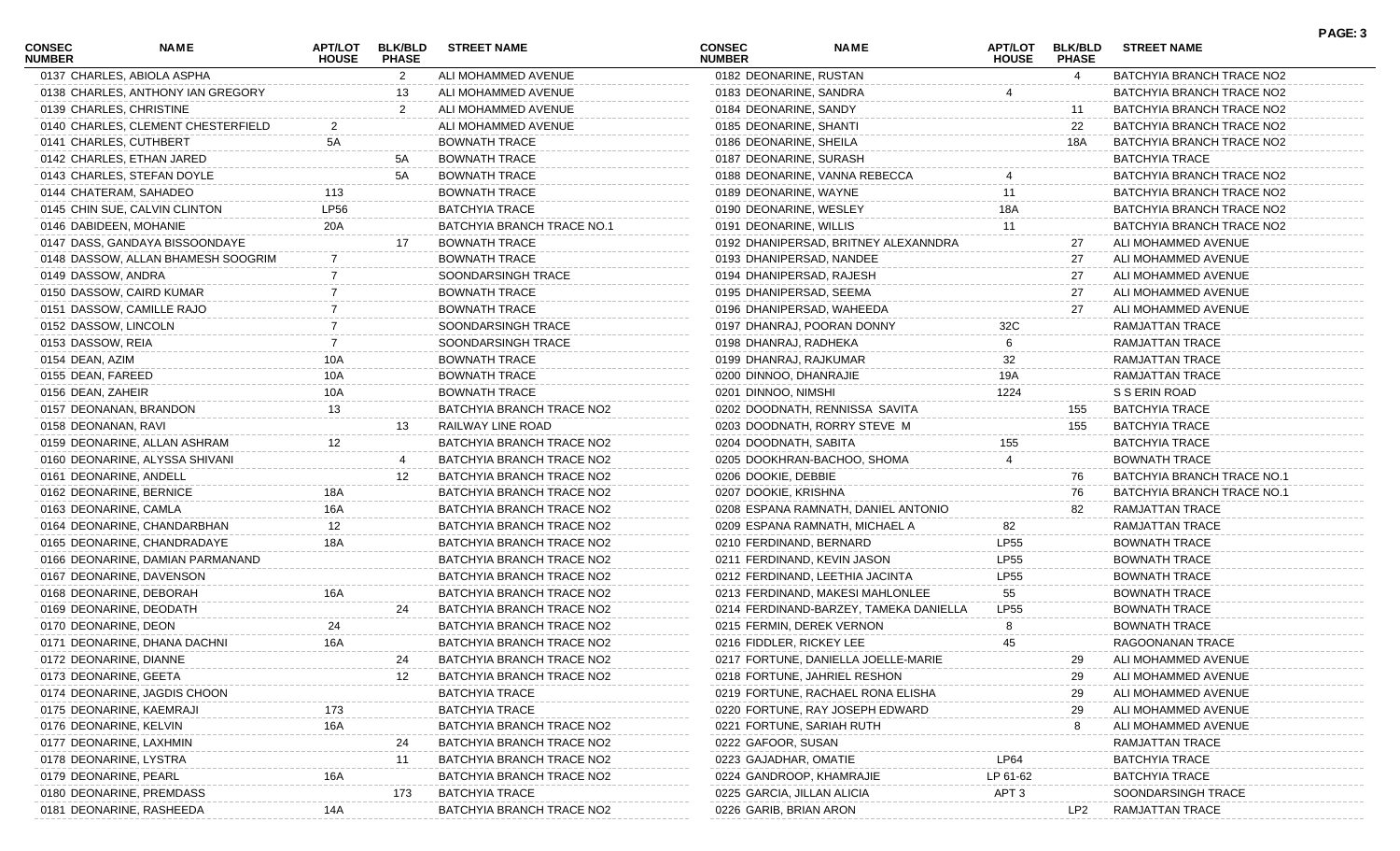| CONSEC<br><b>NUMBER</b> | <b>NAME</b>                        | <b>HOUSE</b> | APT/LOT BLK/BLD<br><b>PHASE</b> | <b>STREET NAME</b>         | <b>CONSEC</b><br><b>NUMBER</b> | <b>NAME</b>                            | <b>APT/LOT</b><br><b>HOUSE</b> | <b>BLK/BLD</b><br><b>PHASE</b> | <b>STREET NAME</b>         |  |
|-------------------------|------------------------------------|--------------|---------------------------------|----------------------------|--------------------------------|----------------------------------------|--------------------------------|--------------------------------|----------------------------|--|
|                         | 0137 CHARLES, ABIOLA ASPHA         |              | $\overline{2}$                  | ALI MOHAMMED AVENUE        |                                | 0182 DEONARINE, RUSTAN                 |                                | $\overline{4}$                 | BATCHYIA BRANCH TRACE NO2  |  |
|                         | 0138 CHARLES, ANTHONY IAN GREGORY  |              | 13                              | ALI MOHAMMED AVENUE        |                                | 0183 DEONARINE, SANDRA                 |                                |                                | BATCHYIA BRANCH TRACE NO2  |  |
|                         | 0139 CHARLES, CHRISTINE            |              | 2                               | ALI MOHAMMED AVENUE        | 0184 DEONARINE, SANDY          |                                        |                                | 11                             | BATCHYIA BRANCH TRACE NO2  |  |
|                         | 0140 CHARLES, CLEMENT CHESTERFIELD | 2            |                                 | ALI MOHAMMED AVENUE        |                                | 0185 DEONARINE, SHANTI                 |                                | 22                             | BATCHYIA BRANCH TRACE NO2  |  |
|                         | 0141 CHARLES, CUTHBERT             | 5A           |                                 | <b>BOWNATH TRACE</b>       | 0186 DEONARINE, SHEILA         |                                        |                                | 18A                            | BATCHYIA BRANCH TRACE NO2  |  |
|                         | 0142 CHARLES, ETHAN JARED          |              | 5A                              | <b>BOWNATH TRACE</b>       |                                | 0187 DEONARINE, SURASH                 |                                |                                | BATCHYIA TRACE             |  |
|                         | 0143 CHARLES, STEFAN DOYLE         |              | 5A                              | <b>BOWNATH TRACE</b>       |                                | 0188 DEONARINE, VANNA REBECCA          |                                |                                | BATCHYIA BRANCH TRACE NO2  |  |
|                         | 0144 CHATERAM, SAHADEO             | 113          |                                 | <b>BOWNATH TRACE</b>       |                                | 0189 DEONARINE, WAYNE                  | 11                             |                                | BATCHYIA BRANCH TRACE NO2  |  |
|                         | 0145 CHIN SUE, CALVIN CLINTON      | <b>LP56</b>  |                                 | <b>BATCHYIA TRACE</b>      |                                | 0190 DEONARINE, WESLEY                 | 18A                            |                                | BATCHYIA BRANCH TRACE NO2  |  |
|                         | 0146 DABIDEEN, MOHANIE             | 20A          |                                 | BATCHYIA BRANCH TRACE NO.1 | 0191 DEONARINE, WILLIS         |                                        | 11                             |                                | BATCHYIA BRANCH TRACE NO2  |  |
|                         | 0147 DASS, GANDAYA BISSOONDAYE     |              | 17                              | <b>BOWNATH TRACE</b>       |                                | 0192 DHANIPERSAD, BRITNEY ALEXANNDRA   |                                | 27                             | ALI MOHAMMED AVENUE        |  |
|                         | 0148 DASSOW, ALLAN BHAMESH SOOGRIM |              |                                 | <b>BOWNATH TRACE</b>       |                                | 0193 DHANIPERSAD, NANDEE               |                                | 27                             | ALI MOHAMMED AVENUE        |  |
| 0149 DASSOW, ANDRA      |                                    |              |                                 | SOONDARSINGH TRACE         |                                | 0194 DHANIPERSAD, RAJESH               |                                | 27                             | ALI MOHAMMED AVENUE        |  |
|                         | 0150 DASSOW, CAIRD KUMAR           |              |                                 | <b>BOWNATH TRACE</b>       |                                | 0195 DHANIPERSAD, SEEMA                |                                | 27                             | ALI MOHAMMED AVENUE        |  |
|                         | 0151 DASSOW, CAMILLE RAJO          |              |                                 | <b>BOWNATH TRACE</b>       |                                | 0196 DHANIPERSAD, WAHEEDA              |                                | 27                             | ALI MOHAMMED AVENUE        |  |
| 0152 DASSOW, LINCOLN    |                                    |              |                                 | SOONDARSINGH TRACE         |                                | 0197 DHANRAJ, POORAN DONNY             | 32C                            |                                | RAMJATTAN TRACE            |  |
| 0153 DASSOW, REIA       |                                    |              |                                 | SOONDARSINGH TRACE         |                                | 0198 DHANRAJ, RADHEKA                  | 6                              |                                | RAMJATTAN TRACE            |  |
| 0154 DEAN, AZIM         |                                    | 10A          |                                 | <b>BOWNATH TRACE</b>       |                                | 0199 DHANRAJ, RAJKUMAR                 | 32                             |                                | RAMJATTAN TRACE            |  |
| 0155 DEAN, FAREED       |                                    | 10A          |                                 | <b>BOWNATH TRACE</b>       |                                | 0200 DINNOO, DHANRAJIE                 | 19A                            |                                | <b>RAMJATTAN TRACE</b>     |  |
| 0156 DEAN, ZAHEIR       |                                    | 10A          |                                 | <b>BOWNATH TRACE</b>       | 0201 DINNOO, NIMSHI            |                                        | 1224                           |                                | S S ERIN ROAD              |  |
|                         | 0157 DEONANAN, BRANDON             | 13           |                                 | BATCHYIA BRANCH TRACE NO2  |                                | 0202 DOODNATH, RENNISSA SAVITA         |                                | 155                            | <b>BATCHYIA TRACE</b>      |  |
| 0158 DEONANAN, RAVI     |                                    |              | 13                              | RAILWAY LINE ROAD          |                                | 0203 DOODNATH, RORRY STEVE M           |                                | 155                            | <b>BATCHYIA TRACE</b>      |  |
|                         | 0159 DEONARINE, ALLAN ASHRAM       | 12           |                                 | BATCHYIA BRANCH TRACE NO2  | 0204 DOODNATH, SABITA          |                                        | 155                            |                                | <b>BATCHYIA TRACE</b>      |  |
|                         | 0160 DEONARINE, ALYSSA SHIVANI     |              |                                 | BATCHYIA BRANCH TRACE NO2  |                                | 0205 DOOKHRAN-BACHOO, SHOMA            |                                |                                | <b>BOWNATH TRACE</b>       |  |
|                         | 0161 DEONARINE, ANDELL             |              | 12                              | BATCHYIA BRANCH TRACE NO2  | 0206 DOOKIE, DEBBIE            |                                        |                                | 76                             | BATCHYIA BRANCH TRACE NO.1 |  |
|                         | 0162 DEONARINE, BERNICE            | 18A          |                                 | BATCHYIA BRANCH TRACE NO2  | 0207 DOOKIE, KRISHNA           |                                        |                                | 76                             | BATCHYIA BRANCH TRACE NO.1 |  |
| 0163 DEONARINE, CAMLA   |                                    | 16A          |                                 | BATCHYIA BRANCH TRACE NO2  |                                | 0208 ESPANA RAMNATH, DANIEL ANTONIO    |                                | 82                             | RAMJATTAN TRACE            |  |
|                         | 0164 DEONARINE, CHANDARBHAN        | 12           |                                 | BATCHYIA BRANCH TRACE NO2  |                                | 0209 ESPANA RAMNATH, MICHAEL A         | 82                             |                                | RAMJATTAN TRACE            |  |
|                         | 0165 DEONARINE, CHANDRADAYE        |              |                                 | BATCHYIA BRANCH TRACE NO2  |                                | 0210 FERDINAND, BERNARD                | <b>LP55</b>                    |                                | <b>BOWNATH TRACE</b>       |  |
|                         | 0166 DEONARINE, DAMIAN PARMANAND   |              |                                 | BATCHYIA BRANCH TRACE NO2  |                                | 0211 FERDINAND, KEVIN JASON            | <b>LP55</b>                    |                                | <b>BOWNATH TRACE</b>       |  |
|                         | 0167 DEONARINE, DAVENSON           |              |                                 | BATCHYIA BRANCH TRACE NO2  |                                | 0212 FERDINAND, LEETHIA JACINTA        | <b>LP55</b>                    |                                | <b>BOWNATH TRACE</b>       |  |
|                         | 0168 DEONARINE, DEBORAH            | 16A          |                                 | BATCHYIA BRANCH TRACE NO2  |                                | 0213 FERDINAND, MAKESI MAHLONLEE       | 55                             |                                | <b>BOWNATH TRACE</b>       |  |
|                         | 0169 DEONARINE, DEODATH            |              | 24                              | BATCHYIA BRANCH TRACE NO2  |                                | 0214 FERDINAND-BARZEY, TAMEKA DANIELLA | <b>LP55</b>                    |                                | <b>BOWNATH TRACE</b>       |  |
| 0170 DEONARINE, DEON    |                                    | 24           |                                 | BATCHYIA BRANCH TRACE NO2  |                                | 0215 FERMIN, DEREK VERNON              |                                |                                | <b>BOWNATH TRACE</b>       |  |
|                         | 0171 DEONARINE, DHANA DACHNI       | 16A          |                                 | BATCHYIA BRANCH TRACE NO2  |                                | 0216 FIDDLER, RICKEY LEE               | 45                             |                                | RAGOONANAN TRACE           |  |
|                         | 0172 DEONARINE, DIANNE             |              |                                 | BATCHYIA BRANCH TRACE NO2  |                                | 0217 FORTUNE, DANIELLA JOELLE-MARIE    |                                |                                | ALI MOHAMMED AVENUE        |  |
| 0173 DEONARINE, GEETA   |                                    |              | 12                              | BATCHYIA BRANCH TRACE NO2  |                                | 0218 FORTUNE, JAHRIEL RESHON           |                                | 29                             | ALI MOHAMMED AVENUE        |  |
|                         | 0174 DEONARINE, JAGDIS CHOON       |              |                                 | <b>BATCHYIA TRACE</b>      |                                | 0219 FORTUNE, RACHAEL RONA ELISHA      |                                | 29                             | ALI MOHAMMED AVENUE        |  |
|                         | 0175 DEONARINE, KAEMRAJI           |              |                                 | BATCHYIA TRACE             |                                | 0220 FORTUNE, RAY JOSEPH EDWARD        |                                | 29                             | ALI MOHAMMED AVENUE        |  |
| 0176 DEONARINE, KELVIN  |                                    | 16A          |                                 | BATCHYIA BRANCH TRACE NO2  |                                | 0221 FORTUNE, SARIAH RUTH              |                                | 8                              | ALI MOHAMMED AVENUE        |  |
|                         | 0177 DEONARINE, LAXHMIN            |              |                                 | BATCHYIA BRANCH TRACE NO2  | 0222 GAFOOR, SUSAN             |                                        |                                |                                | RAMJATTAN TRACE            |  |
|                         | 0178 DEONARINE, LYSTRA             |              | 11                              | BATCHYIA BRANCH TRACE NO2  | 0223 GAJADHAR, OMATIE          |                                        | LP64                           |                                | <b>BATCHYIA TRACE</b>      |  |
| 0179 DEONARINE, PEARL   |                                    |              |                                 | BATCHYIA BRANCH TRACE NO2  |                                | 0224 GANDROOP, KHAMRAJIE               | LP 61-62                       |                                | BATCHYIA TRACE             |  |
|                         | 0180 DEONARINE, PREMDASS           |              | 173                             | <b>BATCHYIA TRACE</b>      |                                | 0225 GARCIA, JILLAN ALICIA             | APT <sub>3</sub>               |                                | SOONDARSINGH TRACE         |  |
|                         | 0181 DEONARINE, RASHEEDA           | 14A          |                                 | BATCHYIA BRANCH TRACE NO2  | 0226 GARIB, BRIAN ARON         |                                        |                                | LP2                            | RAMJATTAN TRACE            |  |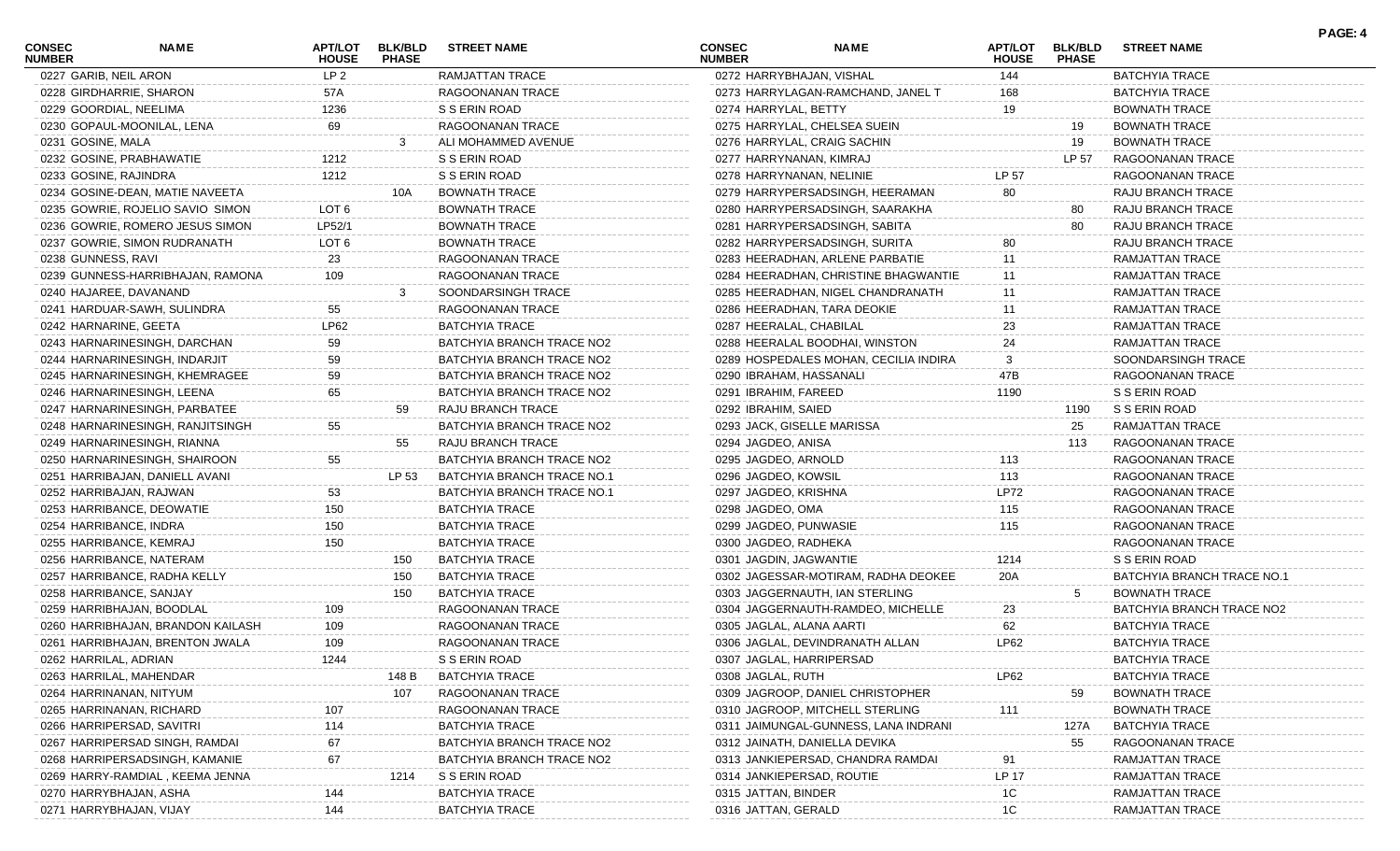| <b>CONSEC</b><br><b>NUMBER</b> | <b>NAME</b>                       | APT/LOT<br><b>HOUSE</b> | <b>BLK/BLD</b><br><b>PHASE</b> | <b>STREET NAME</b>         | <b>CONSEC</b><br><b>NUMBER</b> | <b>NAME</b>                           | <b>APT/LOT</b><br><b>HOUSE</b> | <b>BLK/BLD</b><br><b>PHASE</b> | <b>STREET NAME</b>         | PAGE: 4 |
|--------------------------------|-----------------------------------|-------------------------|--------------------------------|----------------------------|--------------------------------|---------------------------------------|--------------------------------|--------------------------------|----------------------------|---------|
| 0227 GARIB, NEIL ARON          |                                   | LP <sub>2</sub>         |                                | RAMJATTAN TRACE            | 0272 HARRYBHAJAN, VISHAL       |                                       | 144                            |                                | <b>BATCHYIA TRACE</b>      |         |
|                                | 0228 GIRDHARRIE, SHARON           | 57A                     |                                | RAGOONANAN TRACE           |                                | 0273 HARRYLAGAN-RAMCHAND, JANEL T     | 168                            |                                | <b>BATCHYIA TRACE</b>      |         |
|                                | 0229 GOORDIAL, NEELIMA            | 1236                    |                                | S S ERIN ROAD              | 0274 HARRYLAL, BETTY           |                                       | 19                             |                                | <b>BOWNATH TRACE</b>       |         |
|                                | 0230 GOPAUL-MOONILAL, LENA        | 69                      |                                | RAGOONANAN TRACE           |                                | 0275 HARRYLAL, CHELSEA SUEIN          |                                | 19                             | <b>BOWNATH TRACE</b>       |         |
| 0231 GOSINE, MALA              |                                   |                         |                                | ALI MOHAMMED AVENUE        |                                | 0276 HARRYLAL, CRAIG SACHIN           |                                | 19                             | <b>BOWNATH TRACE</b>       |         |
|                                | 0232 GOSINE, PRABHAWATIE          | 1212                    |                                | S S ERIN ROAD              | 0277 HARRYNANAN, KIMRAJ        |                                       |                                | LP 57                          | RAGOONANAN TRACE           |         |
| 0233 GOSINE, RAJINDRA          |                                   | 1212                    |                                | S S ERIN ROAD              |                                | 0278 HARRYNANAN, NELINIE              | LP 57                          |                                | RAGOONANAN TRACE           |         |
|                                | 0234 GOSINE-DEAN, MATIE NAVEETA   |                         | 10A                            | <b>BOWNATH TRACE</b>       |                                | 0279 HARRYPERSADSINGH, HEERAMAN       | 80                             |                                | RAJU BRANCH TRACE          |         |
|                                | 0235 GOWRIE, ROJELIO SAVIO SIMON  | LOT <sub>6</sub>        |                                | <b>BOWNATH TRACE</b>       |                                | 0280 HARRYPERSADSINGH, SAARAKHA       |                                | 80                             | RAJU BRANCH TRACE          |         |
|                                | 0236 GOWRIE, ROMERO JESUS SIMON   | LP52/1                  |                                | BOWNATH TRACE              |                                | 0281 HARRYPERSADSINGH, SABITA         |                                | 80                             | RAJU BRANCH TRACE          |         |
|                                | 0237 GOWRIE, SIMON RUDRANATH      | LOT 6                   |                                | BOWNATH TRACE              |                                | 0282 HARRYPERSADSINGH, SURITA         | 80                             |                                | RAJU BRANCH TRACE          |         |
| 0238 GUNNESS, RAVI             |                                   | 23                      |                                | RAGOONANAN TRACE           |                                | 0283 HEERADHAN, ARLENE PARBATIE       | 11                             |                                | RAMJATTAN TRACE            |         |
|                                | 0239 GUNNESS-HARRIBHAJAN, RAMONA  | 109                     |                                | RAGOONANAN TRACE           |                                | 0284 HEERADHAN, CHRISTINE BHAGWANTIE  |                                |                                | RAMJATTAN TRACE            |         |
|                                | 0240 HAJAREE, DAVANAND            |                         |                                | SOONDARSINGH TRACE         |                                | 0285 HEERADHAN, NIGEL CHANDRANATH     | 11                             |                                | RAMJATTAN TRACE            |         |
|                                | 0241 HARDUAR-SAWH, SULINDRA       | 55                      |                                | RAGOONANAN TRACE           |                                | 0286 HEERADHAN, TARA DEOKIE           | 11                             |                                | RAMJATTAN TRACE            |         |
| 0242 HARNARINE, GEETA          |                                   | LP62                    |                                | <b>BATCHYIA TRACE</b>      | 0287 HEERALAL, CHABILAL        |                                       | 23                             |                                | <b>RAMJATTAN TRACE</b>     |         |
|                                | 0243 HARNARINESINGH, DARCHAN      | 59                      |                                | BATCHYIA BRANCH TRACE NO2  |                                | 0288 HEERALAL BOODHAI, WINSTON        | 24                             |                                | RAMJATTAN TRACE            |         |
|                                | 0244 HARNARINESINGH, INDARJIT     | 59                      |                                | BATCHYIA BRANCH TRACE NO2  |                                | 0289 HOSPEDALES MOHAN, CECILIA INDIRA |                                |                                | SOONDARSINGH TRACE         |         |
|                                | 0245 HARNARINESINGH, KHEMRAGEE    | 59                      |                                | BATCHYIA BRANCH TRACE NO2  | 0290 IBRAHAM, HASSANALI        |                                       | 47B                            |                                | RAGOONANAN TRACE           |         |
|                                | 0246 HARNARINESINGH, LEENA        | 65                      |                                | BATCHYIA BRANCH TRACE NO2  | 0291 IBRAHIM, FAREED           |                                       | 1190                           |                                | S S ERIN ROAD              |         |
|                                | 0247 HARNARINESINGH, PARBATEE     |                         | 59                             | RAJU BRANCH TRACE          | 0292 IBRAHIM, SAIED            |                                       |                                | 1190                           | S S ERIN ROAD              |         |
|                                | 0248 HARNARINESINGH, RANJITSINGH  | 55                      |                                | BATCHYIA BRANCH TRACE NO2  |                                | 0293 JACK, GISELLE MARISSA            |                                | 25                             | RAMJATTAN TRACE            |         |
|                                | 0249 HARNARINESINGH, RIANNA       |                         | 55                             | RAJU BRANCH TRACE          | 0294 JAGDEO, ANISA             |                                       |                                | 113                            | RAGOONANAN TRACE           |         |
|                                | 0250 HARNARINESINGH, SHAIROON     | 55                      |                                | BATCHYIA BRANCH TRACE NO2  | 0295 JAGDEO, ARNOLD            |                                       | 113                            |                                | RAGOONANAN TRACE           |         |
|                                | 0251 HARRIBAJAN, DANIELL AVANI    |                         | LP 53                          | BATCHYIA BRANCH TRACE NO.1 | 0296 JAGDEO, KOWSIL            |                                       | 113                            |                                | RAGOONANAN TRACE           |         |
|                                | 0252 HARRIBAJAN, RAJWAN           | 53                      |                                | BATCHYIA BRANCH TRACE NO.1 | 0297 JAGDEO, KRISHNA           |                                       | <b>LP72</b>                    |                                | RAGOONANAN TRACE           |         |
|                                | 0253 HARRIBANCE, DEOWATIE         | 150                     |                                | <b>BATCHYIA TRACE</b>      | 0298 JAGDEO, OMA               |                                       | 115                            |                                | RAGOONANAN TRACE           |         |
|                                | 0254 HARRIBANCE, INDRA            | 150                     |                                | <b>BATCHYIA TRACE</b>      | 0299 JAGDEO, PUNWASIE          |                                       | 115                            |                                | RAGOONANAN TRACE           |         |
|                                | 0255 HARRIBANCE, KEMRAJ           | 150                     |                                | <b>BATCHYIA TRACE</b>      | 0300 JAGDEO, RADHEKA           |                                       |                                |                                | RAGOONANAN TRACE           |         |
|                                |                                   |                         |                                | <b>BATCHYIA TRACE</b>      |                                |                                       |                                |                                | S S ERIN ROAD              |         |
|                                | 0256 HARRIBANCE, NATERAM          |                         | 150                            |                            | 0301 JAGDIN, JAGWANTIE         |                                       | 1214                           |                                |                            |         |
|                                | 0257 HARRIBANCE, RADHA KELLY      |                         | 150                            | <b>BATCHYIA TRACE</b>      |                                | 0302 JAGESSAR-MOTIRAM, RADHA DEOKEE   | 20A                            |                                | BATCHYIA BRANCH TRACE NO.1 |         |
|                                | 0258 HARRIBANCE, SANJAY           |                         | 150                            | <b>BATCHYIA TRACE</b>      |                                | 0303 JAGGERNAUTH, IAN STERLING        |                                | 5                              | <b>BOWNATH TRACE</b>       |         |
|                                | 0259 HARRIBHAJAN, BOODLAL         | 109                     |                                | RAGOONANAN TRACE           |                                | 0304 JAGGERNAUTH-RAMDEO, MICHELLE     | 23                             |                                | BATCHYIA BRANCH TRACE NO2  |         |
|                                | 0260 HARRIBHAJAN, BRANDON KAILASH | 109                     |                                | RAGOONANAN TRACE           | 0305 JAGLAL, ALANA AARTI       |                                       | 62                             |                                | <b>BATCHYIA TRACE</b>      |         |
|                                | 0261 HARRIBHAJAN, BRENTON JWALA   | 109                     |                                | RAGOONANAN TRACE           |                                | 0306 JAGLAL, DEVINDRANATH ALLAN       | LP62                           |                                | <b>BATCHYIA TRACE</b>      |         |
| 0262 HARRILAL, ADRIAN          |                                   | 1244                    |                                | S S ERIN ROAD              |                                | 0307 JAGLAL, HARRIPERSAD              |                                |                                | <b>BATCHYIA TRACE</b>      |         |
|                                | 0263 HARRILAL, MAHENDAR           |                         | 148 B                          | <b>BATCHYIA TRACE</b>      | 0308 JAGLAL, RUTH              |                                       | LP62                           |                                | <b>BATCHYIA TRACE</b>      |         |
|                                | 0264 HARRINANAN, NITYUM           |                         | 107                            | RAGOONANAN TRACE           |                                | 0309 JAGROOP, DANIEL CHRISTOPHER      |                                | 59                             | <b>BOWNATH TRACE</b>       |         |
|                                | 0265 HARRINANAN, RICHARD          | 107                     |                                | RAGOONANAN TRACE           |                                | 0310 JAGROOP, MITCHELL STERLING       | 111                            |                                | <b>BOWNATH TRACE</b>       |         |
|                                | 0266 HARRIPERSAD, SAVITRI         | 114                     |                                | <b>BATCHYIA TRACE</b>      |                                | 0311 JAIMUNGAL-GUNNESS, LANA INDRANI  |                                | 127A                           | <b>BATCHYIA TRACE</b>      |         |
|                                | 0267 HARRIPERSAD SINGH, RAMDAI    | 67                      |                                | BATCHYIA BRANCH TRACE NO2  |                                | 0312 JAINATH, DANIELLA DEVIKA         |                                | 55                             | RAGOONANAN TRACE           |         |
|                                | 0268 HARRIPERSADSINGH, KAMANIE    | 67                      |                                | BATCHYIA BRANCH TRACE NO2  |                                | 0313 JANKIEPERSAD, CHANDRA RAMDAI     | 91                             |                                | RAMJATTAN TRACE            |         |
|                                | 0269 HARRY-RAMDIAL, KEEMA JENNA   |                         | 1214                           | S S ERIN ROAD              |                                | 0314 JANKIEPERSAD, ROUTIE             | <b>LP 17</b>                   |                                | RAMJATTAN TRACE            |         |
|                                | 0270 HARRYBHAJAN, ASHA            | 144                     |                                | <b>BATCHYIA TRACE</b>      | 0315 JATTAN, BINDER            |                                       | 1C                             |                                | <b>RAMJATTAN TRACE</b>     |         |
|                                | 0271 HARRYBHAJAN, VIJAY           | 144                     |                                | <b>BATCHYIA TRACE</b>      | 0316 JATTAN, GERALD            |                                       | 1C                             |                                | RAMJATTAN TRACE            |         |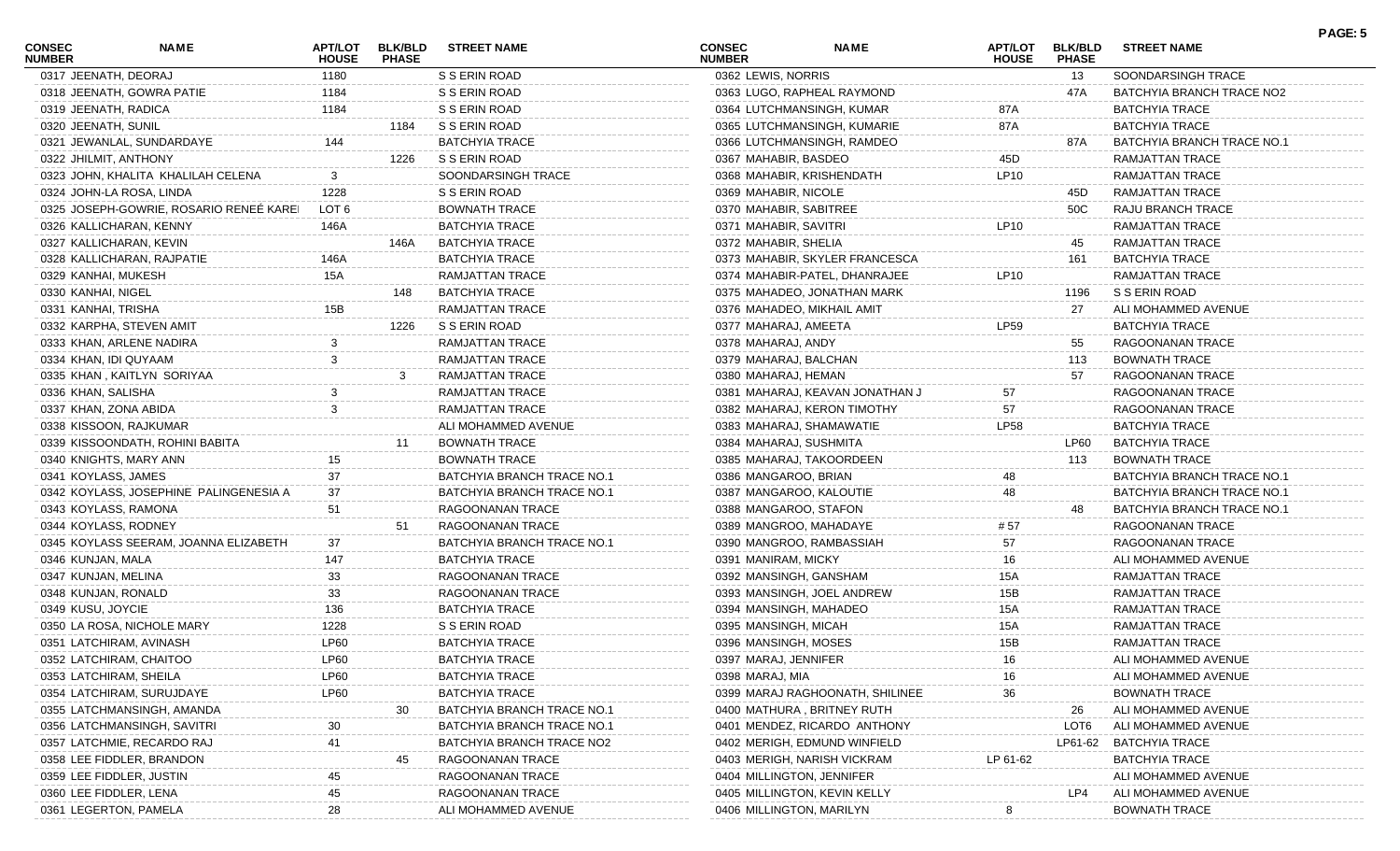| CONSEC<br><b>NUMBER</b>  | NAME                                    | APT/LOT<br><b>HOUSE</b> | <b>BLK/BLD</b><br><b>PHASE</b> | <b>STREET NAME</b>         | CONSEC<br><b>NUMBER</b>   | <b>NAME</b>                     | <b>APT/LOT</b><br><b>HOUSE</b> | <b>BLK/BLD</b><br><b>PHASE</b> | <b>STREET NAME</b>         | PAGE: 5 |
|--------------------------|-----------------------------------------|-------------------------|--------------------------------|----------------------------|---------------------------|---------------------------------|--------------------------------|--------------------------------|----------------------------|---------|
| 0317 JEENATH, DEORAJ     |                                         | 1180                    |                                | S S ERIN ROAD              | 0362 LEWIS, NORRIS        |                                 |                                | 13                             | SOONDARSINGH TRACE         |         |
|                          | 0318 JEENATH, GOWRA PATIE               | 1184                    |                                | S S ERIN ROAD              |                           | 0363 LUGO, RAPHEAL RAYMOND      |                                | 47A                            | BATCHYIA BRANCH TRACE NO2  |         |
| 0319 JEENATH, RADICA     |                                         | 1184                    |                                | S S ERIN ROAD              |                           | 0364 LUTCHMANSINGH, KUMAR       | 87A                            |                                | BATCHYIA TRACE             |         |
| 0320 JEENATH, SUNIL      |                                         |                         | 1184                           | S S ERIN ROAD              |                           | 0365 LUTCHMANSINGH, KUMARIE     | 87A                            |                                | <b>BATCHYIA TRACE</b>      |         |
|                          | 0321 JEWANLAL, SUNDARDAYE               | 144                     |                                | <b>BATCHYIA TRACE</b>      |                           | 0366 LUTCHMANSINGH, RAMDEO      |                                | 87A                            | BATCHYIA BRANCH TRACE NO.1 |         |
| 0322 JHILMIT, ANTHONY    |                                         |                         | 1226                           | S S ERIN ROAD              | 0367 MAHABIR, BASDEO      |                                 | 45D                            |                                | RAMJATTAN TRACE            |         |
|                          | 0323 JOHN, KHALITA KHALILAH CELENA      |                         |                                | SOONDARSINGH TRACE         |                           | 0368 MAHABIR, KRISHENDATH       | LP10                           |                                | RAMJATTAN TRACE            |         |
|                          | 0324 JOHN-LA ROSA, LINDA                | 1228                    |                                | S S ERIN ROAD              | 0369 MAHABIR, NICOLE      |                                 |                                | 45D                            | RAMJATTAN TRACE            |         |
|                          | 0325 JOSEPH-GOWRIE, ROSARIO RENEÉ KAREL | LOT 6                   |                                | <b>BOWNATH TRACE</b>       | 0370 MAHABIR, SABITREE    |                                 |                                | 50C                            | RAJU BRANCH TRACE          |         |
| 0326 KALLICHARAN, KENNY  |                                         | 146A                    |                                | <b>BATCHYIA TRACE</b>      | 0371 MAHABIR, SAVITRI     |                                 | LP10                           |                                | RAMJATTAN TRACE            |         |
| 0327 KALLICHARAN, KEVIN  |                                         |                         | 146A                           | <b>BATCHYIA TRACE</b>      | 0372 MAHABIR, SHELIA      |                                 |                                | 45                             | RAMJATTAN TRACE            |         |
|                          | 0328 KALLICHARAN, RAJPATIE              | 146A                    |                                | <b>BATCHYIA TRACE</b>      |                           | 0373 MAHABIR, SKYLER FRANCESCA  |                                | 161                            | <b>BATCHYIA TRACE</b>      |         |
| 0329 KANHAI, MUKESH      |                                         | <b>15A</b>              |                                | RAMJATTAN TRACE            |                           | 0374 MAHABIR-PATEL, DHANRAJEE   | LP10                           |                                | RAMJATTAN TRACE            |         |
| 0330 KANHAI, NIGEL       |                                         |                         | 148                            | <b>BATCHYIA TRACE</b>      |                           | 0375 MAHADEO, JONATHAN MARK     |                                | 1196                           | S S ERIN ROAD              |         |
| 0331 KANHAI, TRISHA      |                                         | 15B                     |                                | RAMJATTAN TRACE            |                           | 0376 MAHADEO, MIKHAIL AMIT      |                                | 27                             | ALI MOHAMMED AVENUE        |         |
|                          | 0332 KARPHA, STEVEN AMIT                |                         | 1226                           | S S ERIN ROAD              | 0377 MAHARAJ, AMEETA      |                                 | LP59                           |                                | <b>BATCHYIA TRACE</b>      |         |
|                          | 0333 KHAN, ARLENE NADIRA                |                         |                                | RAMJATTAN TRACE            | 0378 MAHARAJ, ANDY        |                                 |                                | 55                             | RAGOONANAN TRACE           |         |
| 0334 KHAN, IDI QUYAAM    |                                         | 3                       |                                | RAMJATTAN TRACE            | 0379 MAHARAJ, BALCHAN     |                                 |                                | 113                            | <b>BOWNATH TRACE</b>       |         |
|                          | 0335 KHAN, KAITLYN SORIYAA              |                         | 3                              | RAMJATTAN TRACE            | 0380 MAHARAJ, HEMAN       |                                 |                                | 57                             | RAGOONANAN TRACE           |         |
| 0336 KHAN, SALISHA       |                                         |                         |                                | RAMJATTAN TRACE            |                           | 0381 MAHARAJ, KEAVAN JONATHAN J | 57                             |                                | RAGOONANAN TRACE           |         |
| 0337 KHAN, ZONA ABIDA    |                                         | 3                       |                                | RAMJATTAN TRACE            |                           | 0382 MAHARAJ, KERON TIMOTHY     | 57                             |                                | RAGOONANAN TRACE           |         |
| 0338 KISSOON, RAJKUMAR   |                                         |                         |                                | ALI MOHAMMED AVENUE        |                           | 0383 MAHARAJ, SHAMAWATIE        | <b>LP58</b>                    |                                | <b>BATCHYIA TRACE</b>      |         |
|                          | 0339 KISSOONDATH, ROHINI BABITA         |                         | 11                             | <b>BOWNATH TRACE</b>       | 0384 MAHARAJ, SUSHMITA    |                                 |                                | LP60                           | <b>BATCHYIA TRACE</b>      |         |
| 0340 KNIGHTS, MARY ANN   |                                         |                         |                                | <b>BOWNATH TRACE</b>       |                           | 0385 MAHARAJ, TAKOORDEEN        |                                | 113                            | <b>BOWNATH TRACE</b>       |         |
| 0341 KOYLASS, JAMES      |                                         | 37                      |                                | BATCHYIA BRANCH TRACE NO.1 | 0386 MANGAROO, BRIAN      |                                 |                                |                                | BATCHYIA BRANCH TRACE NO.1 |         |
|                          | 0342 KOYLASS, JOSEPHINE PALINGENESIA A  | 37                      |                                | BATCHYIA BRANCH TRACE NO.1 | 0387 MANGAROO, KALOUTIE   |                                 | 48                             |                                | BATCHYIA BRANCH TRACE NO.1 |         |
| 0343 KOYLASS, RAMONA     |                                         | 51                      |                                | RAGOONANAN TRACE           | 0388 MANGAROO, STAFON     |                                 |                                | 48                             | BATCHYIA BRANCH TRACE NO.1 |         |
| 0344 KOYLASS, RODNEY     |                                         |                         | -51                            | RAGOONANAN TRACE           | 0389 MANGROO, MAHADAYE    |                                 | # 57                           |                                | RAGOONANAN TRACE           |         |
|                          | 0345 KOYLASS SEERAM, JOANNA ELIZABETH   | 37                      |                                | BATCHYIA BRANCH TRACE NO.1 |                           | 0390 MANGROO, RAMBASSIAH        | 57                             |                                | RAGOONANAN TRACE           |         |
| 0346 KUNJAN, MALA        |                                         | 147                     |                                | <b>BATCHYIA TRACE</b>      | 0391 MANIRAM, MICKY       |                                 | 16                             |                                | ALI MOHAMMED AVENUE        |         |
| 0347 KUNJAN, MELINA      |                                         | 33                      |                                | RAGOONANAN TRACE           | 0392 MANSINGH, GANSHAM    |                                 | 15A                            |                                | RAMJATTAN TRACE            |         |
| 0348 KUNJAN, RONALD      |                                         | 33                      |                                | RAGOONANAN TRACE           |                           | 0393 MANSINGH, JOEL ANDREW      | 15B                            |                                | RAMJATTAN TRACE            |         |
| 0349 KUSU, JOYCIE        |                                         | 136                     |                                | <b>BATCHYIA TRACE</b>      | 0394 MANSINGH, MAHADEO    |                                 | 15A                            |                                | RAMJATTAN TRACE            |         |
|                          | 0350 LA ROSA, NICHOLE MARY              | 1228                    |                                | S S ERIN ROAD              | 0395 MANSINGH, MICAH      |                                 | 15A                            |                                | RAMJATTAN TRACE            |         |
| 0351 LATCHIRAM, AVINASH  |                                         | LP60                    |                                | <b>BATCHYIA TRACE</b>      | 0396 MANSINGH, MOSES      |                                 | 15B                            |                                | RAMJATTAN TRACE            |         |
| 0352 LATCHIRAM, CHAITOO  |                                         | LP60                    |                                | <b>BATCHYIA TRACE</b>      | 0397 MARAJ, JENNIFER      |                                 | 16                             |                                | ALI MOHAMMED AVENUE        |         |
| 0353 LATCHIRAM, SHEILA   |                                         | LP60                    |                                | <b>BATCHYIA TRACE</b>      | 0398 MARAJ, MIA           |                                 |                                |                                | ALI MOHAMMED AVENUE        |         |
|                          | 0354 LATCHIRAM, SURUJDAYE               | <b>LP60</b>             |                                | <b>BATCHYIA TRACE</b>      |                           | 0399 MARAJ RAGHOONATH, SHILINEE | 36                             |                                | <b>BOWNATH TRACE</b>       |         |
|                          | 0355 LATCHMANSINGH, AMANDA              |                         | 30                             | BATCHYIA BRANCH TRACE NO.1 |                           | 0400 MATHURA, BRITNEY RUTH      |                                | 26                             | ALI MOHAMMED AVENUE        |         |
|                          | 0356 LATCHMANSINGH, SAVITRI             | 30                      |                                | BATCHYIA BRANCH TRACE NO.1 |                           | 0401 MENDEZ, RICARDO ANTHONY    |                                | LOT6                           | ALI MOHAMMED AVENUE        |         |
|                          | 0357 LATCHMIE, RECARDO RAJ              | 41                      |                                | BATCHYIA BRANCH TRACE NO2  |                           | 0402 MERIGH, EDMUND WINFIELD    |                                | LP61-62                        | <b>BATCHYIA TRACE</b>      |         |
|                          | 0358 LEE FIDDLER, BRANDON               |                         | 45                             | RAGOONANAN TRACE           |                           | 0403 MERIGH, NARISH VICKRAM     | LP 61-62                       |                                | <b>BATCHYIA TRACE</b>      |         |
| 0359 LEE FIDDLER, JUSTIN |                                         |                         |                                | RAGOONANAN TRACE           | 0404 MILLINGTON, JENNIFER |                                 |                                |                                | ALI MOHAMMED AVENUE        |         |
| 0360 LEE FIDDLER, LENA   |                                         | 45                      |                                | RAGOONANAN TRACE           |                           | 0405 MILLINGTON, KEVIN KELLY    |                                | LP4                            | ALI MOHAMMED AVENUE        |         |
| 0361 LEGERTON, PAMELA    |                                         | 28                      |                                | ALI MOHAMMED AVENUE        | 0406 MILLINGTON, MARILYN  |                                 |                                |                                | <b>BOWNATH TRACE</b>       |         |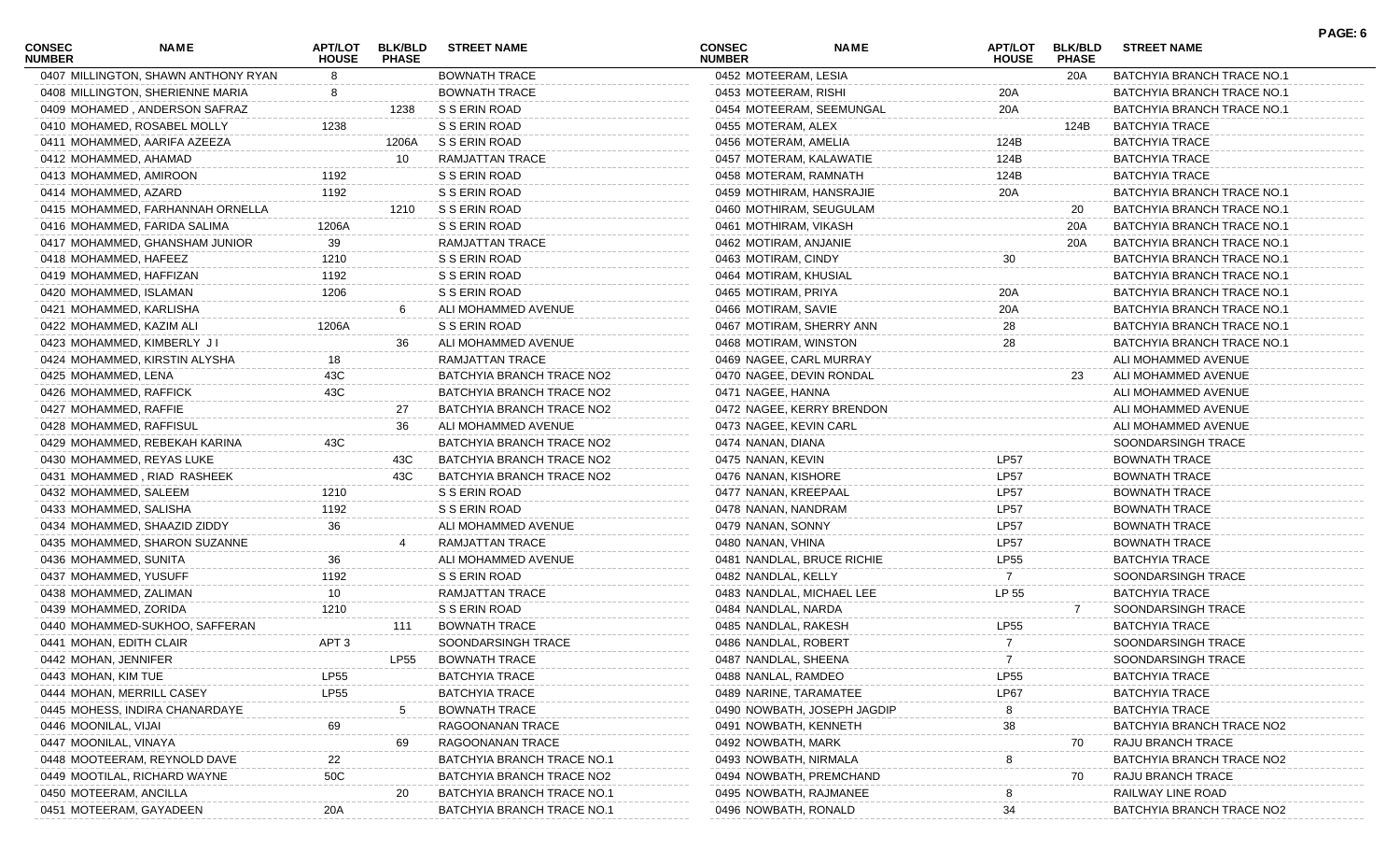| 0407 MILLINGTON, SHAWN ANTHONY RYAN<br><b>BOWNATH TRACE</b><br>0452 MOTEERAM, LESIA<br>20A<br>BATCHYIA BRANCH TRACE NO.1<br><b>BOWNATH TRACE</b><br>0408 MILLINGTON, SHERIENNE MARIA<br>0453 MOTEERAM, RISHI<br>20A<br>BATCHYIA BRANCH TRACE NO.1<br>S S ERIN ROAD<br>20A<br>0409 MOHAMED, ANDERSON SAFRAZ<br>1238<br>0454 MOTEERAM, SEEMUNGAL<br>BATCHYIA BRANCH TRACE NO.1<br>1238<br>S S ERIN ROAD<br>0410 MOHAMED, ROSABEL MOLLY<br>0455 MOTERAM, ALEX<br>124B<br><b>BATCHYIA TRACE</b><br>S S ERIN ROAD<br>124B<br>0411 MOHAMMED, AARIFA AZEEZA<br>1206A<br>0456 MOTERAM, AMELIA<br>BATCHYIA TRACE<br>RAMJATTAN TRACE<br>0412 MOHAMMED, AHAMAD<br>10<br>0457 MOTERAM, KALAWATIE<br>124B<br>BATCHYIA TRACE<br>0413 MOHAMMED, AMIROON<br>1192<br>S S ERIN ROAD<br>124B<br>0458 MOTERAM, RAMNATH<br>BATCHYIA TRACE<br>1192<br>S S ERIN ROAD<br>20A<br>0414 MOHAMMED, AZARD<br>0459 MOTHIRAM, HANSRAJIE<br>BATCHYIA BRANCH TRACE NO.1<br>S S ERIN ROAD<br>0415 MOHAMMED, FARHANNAH ORNELLA<br>1210<br>0460 MOTHIRAM, SEUGULAM<br>BATCHYIA BRANCH TRACE NO.1<br>20<br>S S ERIN ROAD<br>0416 MOHAMMED, FARIDA SALIMA<br>1206A<br>0461 MOTHIRAM, VIKASH<br>20A<br>BATCHYIA BRANCH TRACE NO.1<br>0417 MOHAMMED, GHANSHAM JUNIOR<br>39<br>RAMJATTAN TRACE<br>0462 MOTIRAM, ANJANIE<br>20A<br>BATCHYIA BRANCH TRACE NO.1<br>1210<br>S S ERIN ROAD<br>0418 MOHAMMED, HAFEEZ<br>0463 MOTIRAM, CINDY<br>30<br>BATCHYIA BRANCH TRACE NO.1<br>1192<br>S S ERIN ROAD<br>0419 MOHAMMED, HAFFIZAN<br>0464 MOTIRAM, KHUSIAL<br>BATCHYIA BRANCH TRACE NO.1<br>1206<br>S S ERIN ROAD<br>0420 MOHAMMED, ISLAMAN<br>0465 MOTIRAM, PRIYA<br>20A<br>BATCHYIA BRANCH TRACE NO.1<br>0466 MOTIRAM, SAVIE<br>0421 MOHAMMED, KARLISHA<br>ALI MOHAMMED AVENUE<br>20A<br>BATCHYIA BRANCH TRACE NO.1<br>1206A<br>S S ERIN ROAD<br>0422 MOHAMMED, KAZIM ALI<br>0467 MOTIRAM, SHERRY ANN<br>28<br>BATCHYIA BRANCH TRACE NO.1<br>28<br>0423 MOHAMMED, KIMBERLY JI<br>36<br>ALI MOHAMMED AVENUE<br>0468 MOTIRAM, WINSTON<br>BATCHYIA BRANCH TRACE NO.1<br>RAMJATTAN TRACE<br>0424 MOHAMMED, KIRSTIN ALYSHA<br>0469 NAGEE, CARL MURRAY<br>ALI MOHAMMED AVENUE<br>18.<br>BATCHYIA BRANCH TRACE NO2<br>23<br>0425 MOHAMMED, LENA<br>43C<br>0470 NAGEE, DEVIN RONDAL<br>ALI MOHAMMED AVENUE<br>43C<br>BATCHYIA BRANCH TRACE NO2<br>0426 MOHAMMED, RAFFICK<br>0471 NAGEE, HANNA<br>ALI MOHAMMED AVENUE<br>0427 MOHAMMED, RAFFIE<br>27<br>BATCHYIA BRANCH TRACE NO2<br>0472 NAGEE, KERRY BRENDON<br>ALI MOHAMMED AVENUE<br>ALI MOHAMMED AVENUE<br>0428 MOHAMMED, RAFFISUL<br>36<br>0473 NAGEE, KEVIN CARL<br>ALI MOHAMMED AVENUE<br>BATCHYIA BRANCH TRACE NO2<br>0429 MOHAMMED, REBEKAH KARINA<br>43C<br>0474 NANAN, DIANA<br>SOONDARSINGH TRACE<br><b>LP57</b><br>0430 MOHAMMED, REYAS LUKE<br>BATCHYIA BRANCH TRACE NO2<br>0475 NANAN, KEVIN<br>BOWNATH TRACE<br>43C<br><b>LP57</b><br>0431 MOHAMMED, RIAD RASHEEK<br>43C<br>BATCHYIA BRANCH TRACE NO2<br>0476 NANAN, KISHORE<br>BOWNATH TRACE<br>S S ERIN ROAD<br><b>LP57</b><br>0432 MOHAMMED, SALEEM<br>1210<br>0477 NANAN, KREEPAAL<br>BOWNATH TRACE<br>1192<br>S S ERIN ROAD<br><b>LP57</b><br>0433 MOHAMMED, SALISHA<br>0478 NANAN, NANDRAM<br>BOWNATH TRACE<br>36<br><b>LP57</b><br>0434 MOHAMMED, SHAAZID ZIDDY<br>ALI MOHAMMED AVENUE<br>0479 NANAN, SONNY<br>BOWNATH TRACE<br>RAMJATTAN TRACE<br><b>LP57</b><br>0435 MOHAMMED, SHARON SUZANNE<br>0480 NANAN, VHINA<br>BOWNATH TRACE<br>36<br>ALI MOHAMMED AVENUE<br>0481 NANDLAL, BRUCE RICHIE<br><b>LP55</b><br>0436 MOHAMMED, SUNITA<br>BATCHYIA TRACE<br>1192<br>S S ERIN ROAD<br>0437 MOHAMMED, YUSUFF<br>0482 NANDLAL, KELLY<br>SOONDARSINGH TRACE<br>LP 55<br>RAMJATTAN TRACE<br>BATCHYIA TRACE<br>0438 MOHAMMED, ZALIMAN<br>10<br>0483 NANDLAL, MICHAEL LEE<br>1210<br>S S ERIN ROAD<br>0439 MOHAMMED, ZORIDA<br>0484 NANDLAL, NARDA<br>SOONDARSINGH TRACE<br><b>BOWNATH TRACE</b><br><b>LP55</b><br>0440 MOHAMMED-SUKHOO, SAFFERAN<br>0485 NANDLAL, RAKESH<br>BATCHYIA TRACE<br>111<br>SOONDARSINGH TRACE<br>SOONDARSINGH TRACE<br>0441 MOHAN, EDITH CLAIR<br>APT 3<br>0486 NANDLAL, ROBERT<br>7<br><b>LP55</b><br><b>BOWNATH TRACE</b><br>$\overline{7}$<br>0442 MOHAN, JENNIFER<br>0487 NANDLAL, SHEENA<br>SOONDARSINGH TRACE<br>0443 MOHAN, KIM TUE<br><b>LP55</b><br><b>BATCHYIA TRACE</b><br>0488 NANLAL, RAMDEO<br><b>LP55</b><br><b>BATCHYIA TRACE</b><br><b>BATCHYIA TRACE</b><br>0489 NARINE, TARAMATEE<br><b>BATCHYIA TRACE</b><br>0444 MOHAN, MERRILL CASEY<br>LP55<br>LP67<br><b>BOWNATH TRACE</b><br><b>BATCHYIA TRACE</b><br>0445 MOHESS, INDIRA CHANARDAYE<br>0490 NOWBATH, JOSEPH JAGDIP<br>0446 MOONILAL, VIJAI<br>69<br>RAGOONANAN TRACE<br>0491 NOWBATH, KENNETH<br>38<br>BATCHYIA BRANCH TRACE NO2<br>0447 MOONILAL, VINAYA<br>69<br>RAGOONANAN TRACE<br>0492 NOWBATH, MARK<br>RAJU BRANCH TRACE<br>70<br>0448 MOOTEERAM, REYNOLD DAVE<br>BATCHYIA BRANCH TRACE NO.<br>0493 NOWBATH, NIRMALA<br>BATCHYIA BRANCH TRACE NO2<br>50C<br>0449 MOOTILAL, RICHARD WAYNE<br>BATCHYIA BRANCH TRACE NO2<br>0494 NOWBATH, PREMCHAND<br>RAJU BRANCH TRACE<br>70<br>0450 MOTEERAM, ANCILLA<br>20<br>BATCHYIA BRANCH TRACE NO.1<br>0495 NOWBATH, RAJMANEE<br>RAILWAY LINE ROAD<br>0451 MOTEERAM, GAYADEEN<br>0496 NOWBATH, RONALD | <b>CONSEC</b><br><b>NUMBER</b> | <b>NAME</b> | <b>APT/LOT</b><br><b>HOUSE</b> | <b>BLK/BLD</b><br><b>PHASE</b> | <b>STREET NAME</b>         | CONSEC<br><b>NUMBER</b> | <b>NAME</b> | <b>APT/LOT</b><br><b>HOUSE</b> | <b>BLK/BLD</b><br><b>PHASE</b> | <b>STREET NAME</b>        | PAGE: 6 |
|-----------------------------------------------------------------------------------------------------------------------------------------------------------------------------------------------------------------------------------------------------------------------------------------------------------------------------------------------------------------------------------------------------------------------------------------------------------------------------------------------------------------------------------------------------------------------------------------------------------------------------------------------------------------------------------------------------------------------------------------------------------------------------------------------------------------------------------------------------------------------------------------------------------------------------------------------------------------------------------------------------------------------------------------------------------------------------------------------------------------------------------------------------------------------------------------------------------------------------------------------------------------------------------------------------------------------------------------------------------------------------------------------------------------------------------------------------------------------------------------------------------------------------------------------------------------------------------------------------------------------------------------------------------------------------------------------------------------------------------------------------------------------------------------------------------------------------------------------------------------------------------------------------------------------------------------------------------------------------------------------------------------------------------------------------------------------------------------------------------------------------------------------------------------------------------------------------------------------------------------------------------------------------------------------------------------------------------------------------------------------------------------------------------------------------------------------------------------------------------------------------------------------------------------------------------------------------------------------------------------------------------------------------------------------------------------------------------------------------------------------------------------------------------------------------------------------------------------------------------------------------------------------------------------------------------------------------------------------------------------------------------------------------------------------------------------------------------------------------------------------------------------------------------------------------------------------------------------------------------------------------------------------------------------------------------------------------------------------------------------------------------------------------------------------------------------------------------------------------------------------------------------------------------------------------------------------------------------------------------------------------------------------------------------------------------------------------------------------------------------------------------------------------------------------------------------------------------------------------------------------------------------------------------------------------------------------------------------------------------------------------------------------------------------------------------------------------------------------------------------------------------------------------------------------------------------------------------------------------------------------------------------------------------------------------------------------------------------------------------------------------------------------------------------------------------------------------------------------------------------------------------------------------------------------------------------------------------------------------------------------------------------------------------------------------------------------------------------------------------------------------------------------------------------------------------------------------------------------------------------------------------------------------------------------------------------------------------------------------------------------------------------------------------------------------------------------------------------------------------------------------------------------------------------------------------------------------------------------|--------------------------------|-------------|--------------------------------|--------------------------------|----------------------------|-------------------------|-------------|--------------------------------|--------------------------------|---------------------------|---------|
|                                                                                                                                                                                                                                                                                                                                                                                                                                                                                                                                                                                                                                                                                                                                                                                                                                                                                                                                                                                                                                                                                                                                                                                                                                                                                                                                                                                                                                                                                                                                                                                                                                                                                                                                                                                                                                                                                                                                                                                                                                                                                                                                                                                                                                                                                                                                                                                                                                                                                                                                                                                                                                                                                                                                                                                                                                                                                                                                                                                                                                                                                                                                                                                                                                                                                                                                                                                                                                                                                                                                                                                                                                                                                                                                                                                                                                                                                                                                                                                                                                                                                                                                                                                                                                                                                                                                                                                                                                                                                                                                                                                                                                                                                                                                                                                                                                                                                                                                                                                                                                                                                                                                                                                                                       |                                |             |                                |                                |                            |                         |             |                                |                                |                           |         |
|                                                                                                                                                                                                                                                                                                                                                                                                                                                                                                                                                                                                                                                                                                                                                                                                                                                                                                                                                                                                                                                                                                                                                                                                                                                                                                                                                                                                                                                                                                                                                                                                                                                                                                                                                                                                                                                                                                                                                                                                                                                                                                                                                                                                                                                                                                                                                                                                                                                                                                                                                                                                                                                                                                                                                                                                                                                                                                                                                                                                                                                                                                                                                                                                                                                                                                                                                                                                                                                                                                                                                                                                                                                                                                                                                                                                                                                                                                                                                                                                                                                                                                                                                                                                                                                                                                                                                                                                                                                                                                                                                                                                                                                                                                                                                                                                                                                                                                                                                                                                                                                                                                                                                                                                                       |                                |             |                                |                                |                            |                         |             |                                |                                |                           |         |
|                                                                                                                                                                                                                                                                                                                                                                                                                                                                                                                                                                                                                                                                                                                                                                                                                                                                                                                                                                                                                                                                                                                                                                                                                                                                                                                                                                                                                                                                                                                                                                                                                                                                                                                                                                                                                                                                                                                                                                                                                                                                                                                                                                                                                                                                                                                                                                                                                                                                                                                                                                                                                                                                                                                                                                                                                                                                                                                                                                                                                                                                                                                                                                                                                                                                                                                                                                                                                                                                                                                                                                                                                                                                                                                                                                                                                                                                                                                                                                                                                                                                                                                                                                                                                                                                                                                                                                                                                                                                                                                                                                                                                                                                                                                                                                                                                                                                                                                                                                                                                                                                                                                                                                                                                       |                                |             |                                |                                |                            |                         |             |                                |                                |                           |         |
|                                                                                                                                                                                                                                                                                                                                                                                                                                                                                                                                                                                                                                                                                                                                                                                                                                                                                                                                                                                                                                                                                                                                                                                                                                                                                                                                                                                                                                                                                                                                                                                                                                                                                                                                                                                                                                                                                                                                                                                                                                                                                                                                                                                                                                                                                                                                                                                                                                                                                                                                                                                                                                                                                                                                                                                                                                                                                                                                                                                                                                                                                                                                                                                                                                                                                                                                                                                                                                                                                                                                                                                                                                                                                                                                                                                                                                                                                                                                                                                                                                                                                                                                                                                                                                                                                                                                                                                                                                                                                                                                                                                                                                                                                                                                                                                                                                                                                                                                                                                                                                                                                                                                                                                                                       |                                |             |                                |                                |                            |                         |             |                                |                                |                           |         |
|                                                                                                                                                                                                                                                                                                                                                                                                                                                                                                                                                                                                                                                                                                                                                                                                                                                                                                                                                                                                                                                                                                                                                                                                                                                                                                                                                                                                                                                                                                                                                                                                                                                                                                                                                                                                                                                                                                                                                                                                                                                                                                                                                                                                                                                                                                                                                                                                                                                                                                                                                                                                                                                                                                                                                                                                                                                                                                                                                                                                                                                                                                                                                                                                                                                                                                                                                                                                                                                                                                                                                                                                                                                                                                                                                                                                                                                                                                                                                                                                                                                                                                                                                                                                                                                                                                                                                                                                                                                                                                                                                                                                                                                                                                                                                                                                                                                                                                                                                                                                                                                                                                                                                                                                                       |                                |             |                                |                                |                            |                         |             |                                |                                |                           |         |
|                                                                                                                                                                                                                                                                                                                                                                                                                                                                                                                                                                                                                                                                                                                                                                                                                                                                                                                                                                                                                                                                                                                                                                                                                                                                                                                                                                                                                                                                                                                                                                                                                                                                                                                                                                                                                                                                                                                                                                                                                                                                                                                                                                                                                                                                                                                                                                                                                                                                                                                                                                                                                                                                                                                                                                                                                                                                                                                                                                                                                                                                                                                                                                                                                                                                                                                                                                                                                                                                                                                                                                                                                                                                                                                                                                                                                                                                                                                                                                                                                                                                                                                                                                                                                                                                                                                                                                                                                                                                                                                                                                                                                                                                                                                                                                                                                                                                                                                                                                                                                                                                                                                                                                                                                       |                                |             |                                |                                |                            |                         |             |                                |                                |                           |         |
|                                                                                                                                                                                                                                                                                                                                                                                                                                                                                                                                                                                                                                                                                                                                                                                                                                                                                                                                                                                                                                                                                                                                                                                                                                                                                                                                                                                                                                                                                                                                                                                                                                                                                                                                                                                                                                                                                                                                                                                                                                                                                                                                                                                                                                                                                                                                                                                                                                                                                                                                                                                                                                                                                                                                                                                                                                                                                                                                                                                                                                                                                                                                                                                                                                                                                                                                                                                                                                                                                                                                                                                                                                                                                                                                                                                                                                                                                                                                                                                                                                                                                                                                                                                                                                                                                                                                                                                                                                                                                                                                                                                                                                                                                                                                                                                                                                                                                                                                                                                                                                                                                                                                                                                                                       |                                |             |                                |                                |                            |                         |             |                                |                                |                           |         |
|                                                                                                                                                                                                                                                                                                                                                                                                                                                                                                                                                                                                                                                                                                                                                                                                                                                                                                                                                                                                                                                                                                                                                                                                                                                                                                                                                                                                                                                                                                                                                                                                                                                                                                                                                                                                                                                                                                                                                                                                                                                                                                                                                                                                                                                                                                                                                                                                                                                                                                                                                                                                                                                                                                                                                                                                                                                                                                                                                                                                                                                                                                                                                                                                                                                                                                                                                                                                                                                                                                                                                                                                                                                                                                                                                                                                                                                                                                                                                                                                                                                                                                                                                                                                                                                                                                                                                                                                                                                                                                                                                                                                                                                                                                                                                                                                                                                                                                                                                                                                                                                                                                                                                                                                                       |                                |             |                                |                                |                            |                         |             |                                |                                |                           |         |
|                                                                                                                                                                                                                                                                                                                                                                                                                                                                                                                                                                                                                                                                                                                                                                                                                                                                                                                                                                                                                                                                                                                                                                                                                                                                                                                                                                                                                                                                                                                                                                                                                                                                                                                                                                                                                                                                                                                                                                                                                                                                                                                                                                                                                                                                                                                                                                                                                                                                                                                                                                                                                                                                                                                                                                                                                                                                                                                                                                                                                                                                                                                                                                                                                                                                                                                                                                                                                                                                                                                                                                                                                                                                                                                                                                                                                                                                                                                                                                                                                                                                                                                                                                                                                                                                                                                                                                                                                                                                                                                                                                                                                                                                                                                                                                                                                                                                                                                                                                                                                                                                                                                                                                                                                       |                                |             |                                |                                |                            |                         |             |                                |                                |                           |         |
|                                                                                                                                                                                                                                                                                                                                                                                                                                                                                                                                                                                                                                                                                                                                                                                                                                                                                                                                                                                                                                                                                                                                                                                                                                                                                                                                                                                                                                                                                                                                                                                                                                                                                                                                                                                                                                                                                                                                                                                                                                                                                                                                                                                                                                                                                                                                                                                                                                                                                                                                                                                                                                                                                                                                                                                                                                                                                                                                                                                                                                                                                                                                                                                                                                                                                                                                                                                                                                                                                                                                                                                                                                                                                                                                                                                                                                                                                                                                                                                                                                                                                                                                                                                                                                                                                                                                                                                                                                                                                                                                                                                                                                                                                                                                                                                                                                                                                                                                                                                                                                                                                                                                                                                                                       |                                |             |                                |                                |                            |                         |             |                                |                                |                           |         |
|                                                                                                                                                                                                                                                                                                                                                                                                                                                                                                                                                                                                                                                                                                                                                                                                                                                                                                                                                                                                                                                                                                                                                                                                                                                                                                                                                                                                                                                                                                                                                                                                                                                                                                                                                                                                                                                                                                                                                                                                                                                                                                                                                                                                                                                                                                                                                                                                                                                                                                                                                                                                                                                                                                                                                                                                                                                                                                                                                                                                                                                                                                                                                                                                                                                                                                                                                                                                                                                                                                                                                                                                                                                                                                                                                                                                                                                                                                                                                                                                                                                                                                                                                                                                                                                                                                                                                                                                                                                                                                                                                                                                                                                                                                                                                                                                                                                                                                                                                                                                                                                                                                                                                                                                                       |                                |             |                                |                                |                            |                         |             |                                |                                |                           |         |
|                                                                                                                                                                                                                                                                                                                                                                                                                                                                                                                                                                                                                                                                                                                                                                                                                                                                                                                                                                                                                                                                                                                                                                                                                                                                                                                                                                                                                                                                                                                                                                                                                                                                                                                                                                                                                                                                                                                                                                                                                                                                                                                                                                                                                                                                                                                                                                                                                                                                                                                                                                                                                                                                                                                                                                                                                                                                                                                                                                                                                                                                                                                                                                                                                                                                                                                                                                                                                                                                                                                                                                                                                                                                                                                                                                                                                                                                                                                                                                                                                                                                                                                                                                                                                                                                                                                                                                                                                                                                                                                                                                                                                                                                                                                                                                                                                                                                                                                                                                                                                                                                                                                                                                                                                       |                                |             |                                |                                |                            |                         |             |                                |                                |                           |         |
|                                                                                                                                                                                                                                                                                                                                                                                                                                                                                                                                                                                                                                                                                                                                                                                                                                                                                                                                                                                                                                                                                                                                                                                                                                                                                                                                                                                                                                                                                                                                                                                                                                                                                                                                                                                                                                                                                                                                                                                                                                                                                                                                                                                                                                                                                                                                                                                                                                                                                                                                                                                                                                                                                                                                                                                                                                                                                                                                                                                                                                                                                                                                                                                                                                                                                                                                                                                                                                                                                                                                                                                                                                                                                                                                                                                                                                                                                                                                                                                                                                                                                                                                                                                                                                                                                                                                                                                                                                                                                                                                                                                                                                                                                                                                                                                                                                                                                                                                                                                                                                                                                                                                                                                                                       |                                |             |                                |                                |                            |                         |             |                                |                                |                           |         |
|                                                                                                                                                                                                                                                                                                                                                                                                                                                                                                                                                                                                                                                                                                                                                                                                                                                                                                                                                                                                                                                                                                                                                                                                                                                                                                                                                                                                                                                                                                                                                                                                                                                                                                                                                                                                                                                                                                                                                                                                                                                                                                                                                                                                                                                                                                                                                                                                                                                                                                                                                                                                                                                                                                                                                                                                                                                                                                                                                                                                                                                                                                                                                                                                                                                                                                                                                                                                                                                                                                                                                                                                                                                                                                                                                                                                                                                                                                                                                                                                                                                                                                                                                                                                                                                                                                                                                                                                                                                                                                                                                                                                                                                                                                                                                                                                                                                                                                                                                                                                                                                                                                                                                                                                                       |                                |             |                                |                                |                            |                         |             |                                |                                |                           |         |
|                                                                                                                                                                                                                                                                                                                                                                                                                                                                                                                                                                                                                                                                                                                                                                                                                                                                                                                                                                                                                                                                                                                                                                                                                                                                                                                                                                                                                                                                                                                                                                                                                                                                                                                                                                                                                                                                                                                                                                                                                                                                                                                                                                                                                                                                                                                                                                                                                                                                                                                                                                                                                                                                                                                                                                                                                                                                                                                                                                                                                                                                                                                                                                                                                                                                                                                                                                                                                                                                                                                                                                                                                                                                                                                                                                                                                                                                                                                                                                                                                                                                                                                                                                                                                                                                                                                                                                                                                                                                                                                                                                                                                                                                                                                                                                                                                                                                                                                                                                                                                                                                                                                                                                                                                       |                                |             |                                |                                |                            |                         |             |                                |                                |                           |         |
|                                                                                                                                                                                                                                                                                                                                                                                                                                                                                                                                                                                                                                                                                                                                                                                                                                                                                                                                                                                                                                                                                                                                                                                                                                                                                                                                                                                                                                                                                                                                                                                                                                                                                                                                                                                                                                                                                                                                                                                                                                                                                                                                                                                                                                                                                                                                                                                                                                                                                                                                                                                                                                                                                                                                                                                                                                                                                                                                                                                                                                                                                                                                                                                                                                                                                                                                                                                                                                                                                                                                                                                                                                                                                                                                                                                                                                                                                                                                                                                                                                                                                                                                                                                                                                                                                                                                                                                                                                                                                                                                                                                                                                                                                                                                                                                                                                                                                                                                                                                                                                                                                                                                                                                                                       |                                |             |                                |                                |                            |                         |             |                                |                                |                           |         |
|                                                                                                                                                                                                                                                                                                                                                                                                                                                                                                                                                                                                                                                                                                                                                                                                                                                                                                                                                                                                                                                                                                                                                                                                                                                                                                                                                                                                                                                                                                                                                                                                                                                                                                                                                                                                                                                                                                                                                                                                                                                                                                                                                                                                                                                                                                                                                                                                                                                                                                                                                                                                                                                                                                                                                                                                                                                                                                                                                                                                                                                                                                                                                                                                                                                                                                                                                                                                                                                                                                                                                                                                                                                                                                                                                                                                                                                                                                                                                                                                                                                                                                                                                                                                                                                                                                                                                                                                                                                                                                                                                                                                                                                                                                                                                                                                                                                                                                                                                                                                                                                                                                                                                                                                                       |                                |             |                                |                                |                            |                         |             |                                |                                |                           |         |
|                                                                                                                                                                                                                                                                                                                                                                                                                                                                                                                                                                                                                                                                                                                                                                                                                                                                                                                                                                                                                                                                                                                                                                                                                                                                                                                                                                                                                                                                                                                                                                                                                                                                                                                                                                                                                                                                                                                                                                                                                                                                                                                                                                                                                                                                                                                                                                                                                                                                                                                                                                                                                                                                                                                                                                                                                                                                                                                                                                                                                                                                                                                                                                                                                                                                                                                                                                                                                                                                                                                                                                                                                                                                                                                                                                                                                                                                                                                                                                                                                                                                                                                                                                                                                                                                                                                                                                                                                                                                                                                                                                                                                                                                                                                                                                                                                                                                                                                                                                                                                                                                                                                                                                                                                       |                                |             |                                |                                |                            |                         |             |                                |                                |                           |         |
|                                                                                                                                                                                                                                                                                                                                                                                                                                                                                                                                                                                                                                                                                                                                                                                                                                                                                                                                                                                                                                                                                                                                                                                                                                                                                                                                                                                                                                                                                                                                                                                                                                                                                                                                                                                                                                                                                                                                                                                                                                                                                                                                                                                                                                                                                                                                                                                                                                                                                                                                                                                                                                                                                                                                                                                                                                                                                                                                                                                                                                                                                                                                                                                                                                                                                                                                                                                                                                                                                                                                                                                                                                                                                                                                                                                                                                                                                                                                                                                                                                                                                                                                                                                                                                                                                                                                                                                                                                                                                                                                                                                                                                                                                                                                                                                                                                                                                                                                                                                                                                                                                                                                                                                                                       |                                |             |                                |                                |                            |                         |             |                                |                                |                           |         |
|                                                                                                                                                                                                                                                                                                                                                                                                                                                                                                                                                                                                                                                                                                                                                                                                                                                                                                                                                                                                                                                                                                                                                                                                                                                                                                                                                                                                                                                                                                                                                                                                                                                                                                                                                                                                                                                                                                                                                                                                                                                                                                                                                                                                                                                                                                                                                                                                                                                                                                                                                                                                                                                                                                                                                                                                                                                                                                                                                                                                                                                                                                                                                                                                                                                                                                                                                                                                                                                                                                                                                                                                                                                                                                                                                                                                                                                                                                                                                                                                                                                                                                                                                                                                                                                                                                                                                                                                                                                                                                                                                                                                                                                                                                                                                                                                                                                                                                                                                                                                                                                                                                                                                                                                                       |                                |             |                                |                                |                            |                         |             |                                |                                |                           |         |
|                                                                                                                                                                                                                                                                                                                                                                                                                                                                                                                                                                                                                                                                                                                                                                                                                                                                                                                                                                                                                                                                                                                                                                                                                                                                                                                                                                                                                                                                                                                                                                                                                                                                                                                                                                                                                                                                                                                                                                                                                                                                                                                                                                                                                                                                                                                                                                                                                                                                                                                                                                                                                                                                                                                                                                                                                                                                                                                                                                                                                                                                                                                                                                                                                                                                                                                                                                                                                                                                                                                                                                                                                                                                                                                                                                                                                                                                                                                                                                                                                                                                                                                                                                                                                                                                                                                                                                                                                                                                                                                                                                                                                                                                                                                                                                                                                                                                                                                                                                                                                                                                                                                                                                                                                       |                                |             |                                |                                |                            |                         |             |                                |                                |                           |         |
|                                                                                                                                                                                                                                                                                                                                                                                                                                                                                                                                                                                                                                                                                                                                                                                                                                                                                                                                                                                                                                                                                                                                                                                                                                                                                                                                                                                                                                                                                                                                                                                                                                                                                                                                                                                                                                                                                                                                                                                                                                                                                                                                                                                                                                                                                                                                                                                                                                                                                                                                                                                                                                                                                                                                                                                                                                                                                                                                                                                                                                                                                                                                                                                                                                                                                                                                                                                                                                                                                                                                                                                                                                                                                                                                                                                                                                                                                                                                                                                                                                                                                                                                                                                                                                                                                                                                                                                                                                                                                                                                                                                                                                                                                                                                                                                                                                                                                                                                                                                                                                                                                                                                                                                                                       |                                |             |                                |                                |                            |                         |             |                                |                                |                           |         |
|                                                                                                                                                                                                                                                                                                                                                                                                                                                                                                                                                                                                                                                                                                                                                                                                                                                                                                                                                                                                                                                                                                                                                                                                                                                                                                                                                                                                                                                                                                                                                                                                                                                                                                                                                                                                                                                                                                                                                                                                                                                                                                                                                                                                                                                                                                                                                                                                                                                                                                                                                                                                                                                                                                                                                                                                                                                                                                                                                                                                                                                                                                                                                                                                                                                                                                                                                                                                                                                                                                                                                                                                                                                                                                                                                                                                                                                                                                                                                                                                                                                                                                                                                                                                                                                                                                                                                                                                                                                                                                                                                                                                                                                                                                                                                                                                                                                                                                                                                                                                                                                                                                                                                                                                                       |                                |             |                                |                                |                            |                         |             |                                |                                |                           |         |
|                                                                                                                                                                                                                                                                                                                                                                                                                                                                                                                                                                                                                                                                                                                                                                                                                                                                                                                                                                                                                                                                                                                                                                                                                                                                                                                                                                                                                                                                                                                                                                                                                                                                                                                                                                                                                                                                                                                                                                                                                                                                                                                                                                                                                                                                                                                                                                                                                                                                                                                                                                                                                                                                                                                                                                                                                                                                                                                                                                                                                                                                                                                                                                                                                                                                                                                                                                                                                                                                                                                                                                                                                                                                                                                                                                                                                                                                                                                                                                                                                                                                                                                                                                                                                                                                                                                                                                                                                                                                                                                                                                                                                                                                                                                                                                                                                                                                                                                                                                                                                                                                                                                                                                                                                       |                                |             |                                |                                |                            |                         |             |                                |                                |                           |         |
|                                                                                                                                                                                                                                                                                                                                                                                                                                                                                                                                                                                                                                                                                                                                                                                                                                                                                                                                                                                                                                                                                                                                                                                                                                                                                                                                                                                                                                                                                                                                                                                                                                                                                                                                                                                                                                                                                                                                                                                                                                                                                                                                                                                                                                                                                                                                                                                                                                                                                                                                                                                                                                                                                                                                                                                                                                                                                                                                                                                                                                                                                                                                                                                                                                                                                                                                                                                                                                                                                                                                                                                                                                                                                                                                                                                                                                                                                                                                                                                                                                                                                                                                                                                                                                                                                                                                                                                                                                                                                                                                                                                                                                                                                                                                                                                                                                                                                                                                                                                                                                                                                                                                                                                                                       |                                |             |                                |                                |                            |                         |             |                                |                                |                           |         |
|                                                                                                                                                                                                                                                                                                                                                                                                                                                                                                                                                                                                                                                                                                                                                                                                                                                                                                                                                                                                                                                                                                                                                                                                                                                                                                                                                                                                                                                                                                                                                                                                                                                                                                                                                                                                                                                                                                                                                                                                                                                                                                                                                                                                                                                                                                                                                                                                                                                                                                                                                                                                                                                                                                                                                                                                                                                                                                                                                                                                                                                                                                                                                                                                                                                                                                                                                                                                                                                                                                                                                                                                                                                                                                                                                                                                                                                                                                                                                                                                                                                                                                                                                                                                                                                                                                                                                                                                                                                                                                                                                                                                                                                                                                                                                                                                                                                                                                                                                                                                                                                                                                                                                                                                                       |                                |             |                                |                                |                            |                         |             |                                |                                |                           |         |
|                                                                                                                                                                                                                                                                                                                                                                                                                                                                                                                                                                                                                                                                                                                                                                                                                                                                                                                                                                                                                                                                                                                                                                                                                                                                                                                                                                                                                                                                                                                                                                                                                                                                                                                                                                                                                                                                                                                                                                                                                                                                                                                                                                                                                                                                                                                                                                                                                                                                                                                                                                                                                                                                                                                                                                                                                                                                                                                                                                                                                                                                                                                                                                                                                                                                                                                                                                                                                                                                                                                                                                                                                                                                                                                                                                                                                                                                                                                                                                                                                                                                                                                                                                                                                                                                                                                                                                                                                                                                                                                                                                                                                                                                                                                                                                                                                                                                                                                                                                                                                                                                                                                                                                                                                       |                                |             |                                |                                |                            |                         |             |                                |                                |                           |         |
|                                                                                                                                                                                                                                                                                                                                                                                                                                                                                                                                                                                                                                                                                                                                                                                                                                                                                                                                                                                                                                                                                                                                                                                                                                                                                                                                                                                                                                                                                                                                                                                                                                                                                                                                                                                                                                                                                                                                                                                                                                                                                                                                                                                                                                                                                                                                                                                                                                                                                                                                                                                                                                                                                                                                                                                                                                                                                                                                                                                                                                                                                                                                                                                                                                                                                                                                                                                                                                                                                                                                                                                                                                                                                                                                                                                                                                                                                                                                                                                                                                                                                                                                                                                                                                                                                                                                                                                                                                                                                                                                                                                                                                                                                                                                                                                                                                                                                                                                                                                                                                                                                                                                                                                                                       |                                |             |                                |                                |                            |                         |             |                                |                                |                           |         |
|                                                                                                                                                                                                                                                                                                                                                                                                                                                                                                                                                                                                                                                                                                                                                                                                                                                                                                                                                                                                                                                                                                                                                                                                                                                                                                                                                                                                                                                                                                                                                                                                                                                                                                                                                                                                                                                                                                                                                                                                                                                                                                                                                                                                                                                                                                                                                                                                                                                                                                                                                                                                                                                                                                                                                                                                                                                                                                                                                                                                                                                                                                                                                                                                                                                                                                                                                                                                                                                                                                                                                                                                                                                                                                                                                                                                                                                                                                                                                                                                                                                                                                                                                                                                                                                                                                                                                                                                                                                                                                                                                                                                                                                                                                                                                                                                                                                                                                                                                                                                                                                                                                                                                                                                                       |                                |             |                                |                                |                            |                         |             |                                |                                |                           |         |
|                                                                                                                                                                                                                                                                                                                                                                                                                                                                                                                                                                                                                                                                                                                                                                                                                                                                                                                                                                                                                                                                                                                                                                                                                                                                                                                                                                                                                                                                                                                                                                                                                                                                                                                                                                                                                                                                                                                                                                                                                                                                                                                                                                                                                                                                                                                                                                                                                                                                                                                                                                                                                                                                                                                                                                                                                                                                                                                                                                                                                                                                                                                                                                                                                                                                                                                                                                                                                                                                                                                                                                                                                                                                                                                                                                                                                                                                                                                                                                                                                                                                                                                                                                                                                                                                                                                                                                                                                                                                                                                                                                                                                                                                                                                                                                                                                                                                                                                                                                                                                                                                                                                                                                                                                       |                                |             |                                |                                |                            |                         |             |                                |                                |                           |         |
|                                                                                                                                                                                                                                                                                                                                                                                                                                                                                                                                                                                                                                                                                                                                                                                                                                                                                                                                                                                                                                                                                                                                                                                                                                                                                                                                                                                                                                                                                                                                                                                                                                                                                                                                                                                                                                                                                                                                                                                                                                                                                                                                                                                                                                                                                                                                                                                                                                                                                                                                                                                                                                                                                                                                                                                                                                                                                                                                                                                                                                                                                                                                                                                                                                                                                                                                                                                                                                                                                                                                                                                                                                                                                                                                                                                                                                                                                                                                                                                                                                                                                                                                                                                                                                                                                                                                                                                                                                                                                                                                                                                                                                                                                                                                                                                                                                                                                                                                                                                                                                                                                                                                                                                                                       |                                |             |                                |                                |                            |                         |             |                                |                                |                           |         |
|                                                                                                                                                                                                                                                                                                                                                                                                                                                                                                                                                                                                                                                                                                                                                                                                                                                                                                                                                                                                                                                                                                                                                                                                                                                                                                                                                                                                                                                                                                                                                                                                                                                                                                                                                                                                                                                                                                                                                                                                                                                                                                                                                                                                                                                                                                                                                                                                                                                                                                                                                                                                                                                                                                                                                                                                                                                                                                                                                                                                                                                                                                                                                                                                                                                                                                                                                                                                                                                                                                                                                                                                                                                                                                                                                                                                                                                                                                                                                                                                                                                                                                                                                                                                                                                                                                                                                                                                                                                                                                                                                                                                                                                                                                                                                                                                                                                                                                                                                                                                                                                                                                                                                                                                                       |                                |             |                                |                                |                            |                         |             |                                |                                |                           |         |
|                                                                                                                                                                                                                                                                                                                                                                                                                                                                                                                                                                                                                                                                                                                                                                                                                                                                                                                                                                                                                                                                                                                                                                                                                                                                                                                                                                                                                                                                                                                                                                                                                                                                                                                                                                                                                                                                                                                                                                                                                                                                                                                                                                                                                                                                                                                                                                                                                                                                                                                                                                                                                                                                                                                                                                                                                                                                                                                                                                                                                                                                                                                                                                                                                                                                                                                                                                                                                                                                                                                                                                                                                                                                                                                                                                                                                                                                                                                                                                                                                                                                                                                                                                                                                                                                                                                                                                                                                                                                                                                                                                                                                                                                                                                                                                                                                                                                                                                                                                                                                                                                                                                                                                                                                       |                                |             |                                |                                |                            |                         |             |                                |                                |                           |         |
|                                                                                                                                                                                                                                                                                                                                                                                                                                                                                                                                                                                                                                                                                                                                                                                                                                                                                                                                                                                                                                                                                                                                                                                                                                                                                                                                                                                                                                                                                                                                                                                                                                                                                                                                                                                                                                                                                                                                                                                                                                                                                                                                                                                                                                                                                                                                                                                                                                                                                                                                                                                                                                                                                                                                                                                                                                                                                                                                                                                                                                                                                                                                                                                                                                                                                                                                                                                                                                                                                                                                                                                                                                                                                                                                                                                                                                                                                                                                                                                                                                                                                                                                                                                                                                                                                                                                                                                                                                                                                                                                                                                                                                                                                                                                                                                                                                                                                                                                                                                                                                                                                                                                                                                                                       |                                |             |                                |                                |                            |                         |             |                                |                                |                           |         |
|                                                                                                                                                                                                                                                                                                                                                                                                                                                                                                                                                                                                                                                                                                                                                                                                                                                                                                                                                                                                                                                                                                                                                                                                                                                                                                                                                                                                                                                                                                                                                                                                                                                                                                                                                                                                                                                                                                                                                                                                                                                                                                                                                                                                                                                                                                                                                                                                                                                                                                                                                                                                                                                                                                                                                                                                                                                                                                                                                                                                                                                                                                                                                                                                                                                                                                                                                                                                                                                                                                                                                                                                                                                                                                                                                                                                                                                                                                                                                                                                                                                                                                                                                                                                                                                                                                                                                                                                                                                                                                                                                                                                                                                                                                                                                                                                                                                                                                                                                                                                                                                                                                                                                                                                                       |                                |             |                                |                                |                            |                         |             |                                |                                |                           |         |
|                                                                                                                                                                                                                                                                                                                                                                                                                                                                                                                                                                                                                                                                                                                                                                                                                                                                                                                                                                                                                                                                                                                                                                                                                                                                                                                                                                                                                                                                                                                                                                                                                                                                                                                                                                                                                                                                                                                                                                                                                                                                                                                                                                                                                                                                                                                                                                                                                                                                                                                                                                                                                                                                                                                                                                                                                                                                                                                                                                                                                                                                                                                                                                                                                                                                                                                                                                                                                                                                                                                                                                                                                                                                                                                                                                                                                                                                                                                                                                                                                                                                                                                                                                                                                                                                                                                                                                                                                                                                                                                                                                                                                                                                                                                                                                                                                                                                                                                                                                                                                                                                                                                                                                                                                       |                                |             |                                |                                |                            |                         |             |                                |                                |                           |         |
|                                                                                                                                                                                                                                                                                                                                                                                                                                                                                                                                                                                                                                                                                                                                                                                                                                                                                                                                                                                                                                                                                                                                                                                                                                                                                                                                                                                                                                                                                                                                                                                                                                                                                                                                                                                                                                                                                                                                                                                                                                                                                                                                                                                                                                                                                                                                                                                                                                                                                                                                                                                                                                                                                                                                                                                                                                                                                                                                                                                                                                                                                                                                                                                                                                                                                                                                                                                                                                                                                                                                                                                                                                                                                                                                                                                                                                                                                                                                                                                                                                                                                                                                                                                                                                                                                                                                                                                                                                                                                                                                                                                                                                                                                                                                                                                                                                                                                                                                                                                                                                                                                                                                                                                                                       |                                |             |                                |                                |                            |                         |             |                                |                                |                           |         |
|                                                                                                                                                                                                                                                                                                                                                                                                                                                                                                                                                                                                                                                                                                                                                                                                                                                                                                                                                                                                                                                                                                                                                                                                                                                                                                                                                                                                                                                                                                                                                                                                                                                                                                                                                                                                                                                                                                                                                                                                                                                                                                                                                                                                                                                                                                                                                                                                                                                                                                                                                                                                                                                                                                                                                                                                                                                                                                                                                                                                                                                                                                                                                                                                                                                                                                                                                                                                                                                                                                                                                                                                                                                                                                                                                                                                                                                                                                                                                                                                                                                                                                                                                                                                                                                                                                                                                                                                                                                                                                                                                                                                                                                                                                                                                                                                                                                                                                                                                                                                                                                                                                                                                                                                                       |                                |             |                                |                                |                            |                         |             |                                |                                |                           |         |
|                                                                                                                                                                                                                                                                                                                                                                                                                                                                                                                                                                                                                                                                                                                                                                                                                                                                                                                                                                                                                                                                                                                                                                                                                                                                                                                                                                                                                                                                                                                                                                                                                                                                                                                                                                                                                                                                                                                                                                                                                                                                                                                                                                                                                                                                                                                                                                                                                                                                                                                                                                                                                                                                                                                                                                                                                                                                                                                                                                                                                                                                                                                                                                                                                                                                                                                                                                                                                                                                                                                                                                                                                                                                                                                                                                                                                                                                                                                                                                                                                                                                                                                                                                                                                                                                                                                                                                                                                                                                                                                                                                                                                                                                                                                                                                                                                                                                                                                                                                                                                                                                                                                                                                                                                       |                                |             |                                |                                |                            |                         |             |                                |                                |                           |         |
|                                                                                                                                                                                                                                                                                                                                                                                                                                                                                                                                                                                                                                                                                                                                                                                                                                                                                                                                                                                                                                                                                                                                                                                                                                                                                                                                                                                                                                                                                                                                                                                                                                                                                                                                                                                                                                                                                                                                                                                                                                                                                                                                                                                                                                                                                                                                                                                                                                                                                                                                                                                                                                                                                                                                                                                                                                                                                                                                                                                                                                                                                                                                                                                                                                                                                                                                                                                                                                                                                                                                                                                                                                                                                                                                                                                                                                                                                                                                                                                                                                                                                                                                                                                                                                                                                                                                                                                                                                                                                                                                                                                                                                                                                                                                                                                                                                                                                                                                                                                                                                                                                                                                                                                                                       |                                |             |                                |                                |                            |                         |             |                                |                                |                           |         |
|                                                                                                                                                                                                                                                                                                                                                                                                                                                                                                                                                                                                                                                                                                                                                                                                                                                                                                                                                                                                                                                                                                                                                                                                                                                                                                                                                                                                                                                                                                                                                                                                                                                                                                                                                                                                                                                                                                                                                                                                                                                                                                                                                                                                                                                                                                                                                                                                                                                                                                                                                                                                                                                                                                                                                                                                                                                                                                                                                                                                                                                                                                                                                                                                                                                                                                                                                                                                                                                                                                                                                                                                                                                                                                                                                                                                                                                                                                                                                                                                                                                                                                                                                                                                                                                                                                                                                                                                                                                                                                                                                                                                                                                                                                                                                                                                                                                                                                                                                                                                                                                                                                                                                                                                                       |                                |             |                                |                                |                            |                         |             |                                |                                |                           |         |
|                                                                                                                                                                                                                                                                                                                                                                                                                                                                                                                                                                                                                                                                                                                                                                                                                                                                                                                                                                                                                                                                                                                                                                                                                                                                                                                                                                                                                                                                                                                                                                                                                                                                                                                                                                                                                                                                                                                                                                                                                                                                                                                                                                                                                                                                                                                                                                                                                                                                                                                                                                                                                                                                                                                                                                                                                                                                                                                                                                                                                                                                                                                                                                                                                                                                                                                                                                                                                                                                                                                                                                                                                                                                                                                                                                                                                                                                                                                                                                                                                                                                                                                                                                                                                                                                                                                                                                                                                                                                                                                                                                                                                                                                                                                                                                                                                                                                                                                                                                                                                                                                                                                                                                                                                       |                                |             |                                |                                |                            |                         |             |                                |                                |                           |         |
|                                                                                                                                                                                                                                                                                                                                                                                                                                                                                                                                                                                                                                                                                                                                                                                                                                                                                                                                                                                                                                                                                                                                                                                                                                                                                                                                                                                                                                                                                                                                                                                                                                                                                                                                                                                                                                                                                                                                                                                                                                                                                                                                                                                                                                                                                                                                                                                                                                                                                                                                                                                                                                                                                                                                                                                                                                                                                                                                                                                                                                                                                                                                                                                                                                                                                                                                                                                                                                                                                                                                                                                                                                                                                                                                                                                                                                                                                                                                                                                                                                                                                                                                                                                                                                                                                                                                                                                                                                                                                                                                                                                                                                                                                                                                                                                                                                                                                                                                                                                                                                                                                                                                                                                                                       |                                |             |                                |                                |                            |                         |             |                                |                                |                           |         |
|                                                                                                                                                                                                                                                                                                                                                                                                                                                                                                                                                                                                                                                                                                                                                                                                                                                                                                                                                                                                                                                                                                                                                                                                                                                                                                                                                                                                                                                                                                                                                                                                                                                                                                                                                                                                                                                                                                                                                                                                                                                                                                                                                                                                                                                                                                                                                                                                                                                                                                                                                                                                                                                                                                                                                                                                                                                                                                                                                                                                                                                                                                                                                                                                                                                                                                                                                                                                                                                                                                                                                                                                                                                                                                                                                                                                                                                                                                                                                                                                                                                                                                                                                                                                                                                                                                                                                                                                                                                                                                                                                                                                                                                                                                                                                                                                                                                                                                                                                                                                                                                                                                                                                                                                                       |                                |             |                                |                                |                            |                         |             |                                |                                |                           |         |
|                                                                                                                                                                                                                                                                                                                                                                                                                                                                                                                                                                                                                                                                                                                                                                                                                                                                                                                                                                                                                                                                                                                                                                                                                                                                                                                                                                                                                                                                                                                                                                                                                                                                                                                                                                                                                                                                                                                                                                                                                                                                                                                                                                                                                                                                                                                                                                                                                                                                                                                                                                                                                                                                                                                                                                                                                                                                                                                                                                                                                                                                                                                                                                                                                                                                                                                                                                                                                                                                                                                                                                                                                                                                                                                                                                                                                                                                                                                                                                                                                                                                                                                                                                                                                                                                                                                                                                                                                                                                                                                                                                                                                                                                                                                                                                                                                                                                                                                                                                                                                                                                                                                                                                                                                       |                                |             | 20A                            |                                | BATCHYIA BRANCH TRACE NO.1 |                         |             | 34                             |                                | BATCHYIA BRANCH TRACE NO2 |         |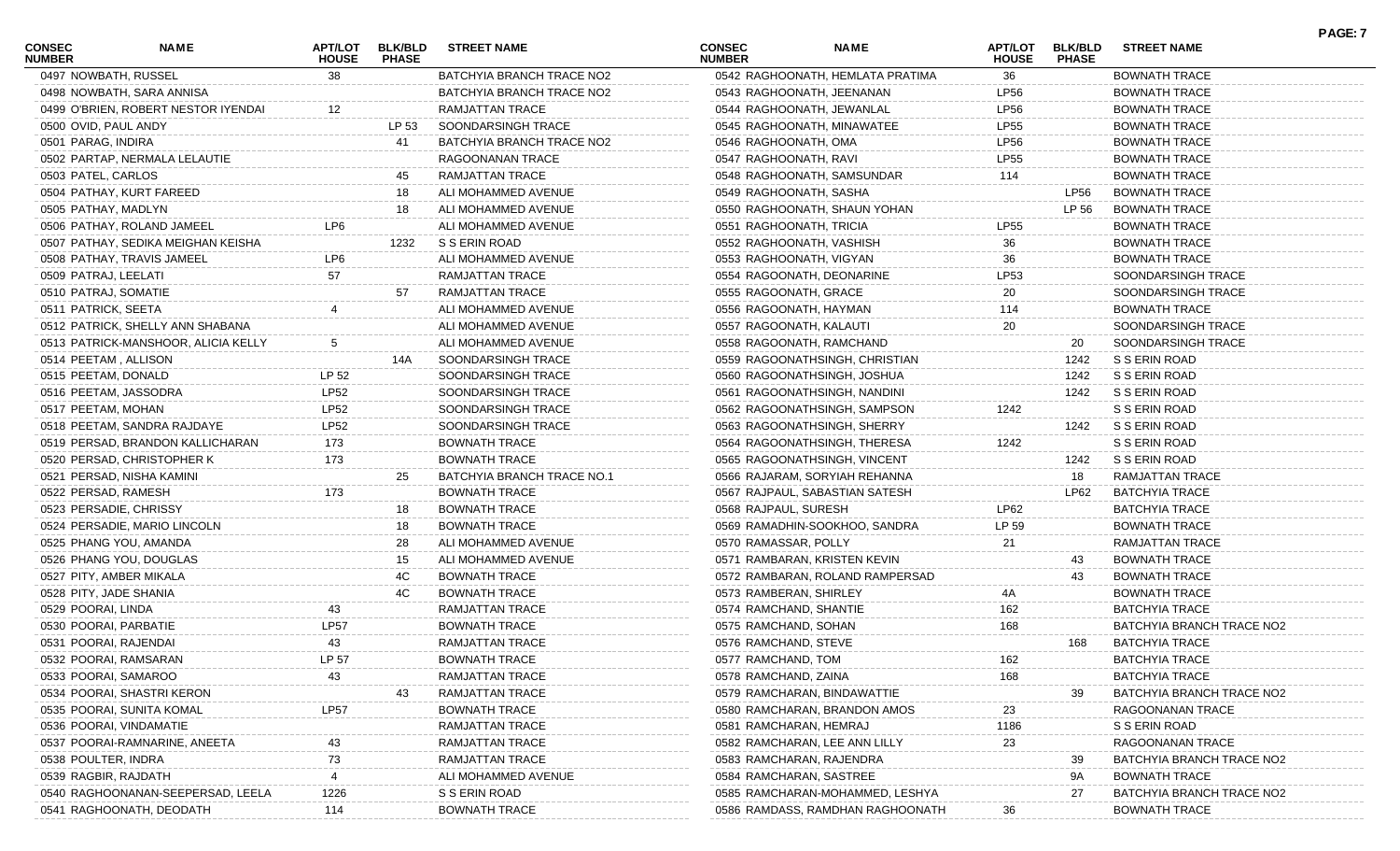| <b>CONSEC</b><br><b>NUMBER</b> | NAME                                | <b>APT/LOT</b><br><b>HOUSE</b> | <b>BLK/BLD</b><br><b>PHASE</b> | <b>STREET NAME</b>         | <b>CONSEC</b><br><b>NUMBER</b> | <b>NAME</b>                      | APT/LOT<br><b>HOUSE</b> | <b>BLK/BLD</b><br><b>PHASE</b> | <b>STREET NAME</b>        | <b>PAGE: 7</b> |
|--------------------------------|-------------------------------------|--------------------------------|--------------------------------|----------------------------|--------------------------------|----------------------------------|-------------------------|--------------------------------|---------------------------|----------------|
| 0497 NOWBATH, RUSSEL           |                                     | 38                             |                                | BATCHYIA BRANCH TRACE NO2  |                                | 0542 RAGHOONATH, HEMLATA PRATIMA | 36                      |                                | <b>BOWNATH TRACE</b>      |                |
|                                | 0498 NOWBATH, SARA ANNISA           |                                |                                | BATCHYIA BRANCH TRACE NO2  | 0543 RAGHOONATH, JEENANAN      |                                  | LP56                    |                                | <b>BOWNATH TRACE</b>      |                |
|                                | 0499 O'BRIEN, ROBERT NESTOR IYENDAI |                                |                                | RAMJATTAN TRACE            | 0544 RAGHOONATH, JEWANLAL      |                                  | LP56                    |                                | <b>BOWNATH TRACE</b>      |                |
| 0500 OVID, PAUL ANDY           |                                     |                                | LP 53                          | SOONDARSINGH TRACE         | 0545 RAGHOONATH, MINAWATEE     |                                  | LP55                    |                                | <b>BOWNATH TRACE</b>      |                |
| 0501 PARAG, INDIRA             |                                     |                                | 41                             | BATCHYIA BRANCH TRACE NO2  | 0546 RAGHOONATH, OMA           |                                  | LP56                    |                                | <b>BOWNATH TRACE</b>      |                |
|                                | 0502 PARTAP, NERMALA LELAUTIE       |                                |                                | RAGOONANAN TRACE           | 0547 RAGHOONATH, RAVI          |                                  | LP55                    |                                | <b>BOWNATH TRACE</b>      |                |
| 0503 PATEL, CARLOS             |                                     |                                | 45                             | RAMJATTAN TRACE            | 0548 RAGHOONATH, SAMSUNDAR     |                                  | 114                     |                                | <b>BOWNATH TRACE</b>      |                |
|                                | 0504 PATHAY, KURT FAREED            |                                | 18                             | ALI MOHAMMED AVENUE        | 0549 RAGHOONATH, SASHA         |                                  |                         | LP56                           | <b>BOWNATH TRACE</b>      |                |
| 0505 PATHAY, MADLYN            |                                     |                                | 18                             | ALI MOHAMMED AVENUE        | 0550 RAGHOONATH, SHAUN YOHAN   |                                  |                         | LP 56                          | <b>BOWNATH TRACE</b>      |                |
|                                | 0506 PATHAY, ROLAND JAMEEL          | LP6                            |                                | ALI MOHAMMED AVENUE        | 0551 RAGHOONATH, TRICIA        |                                  | <b>LP55</b>             |                                | <b>BOWNATH TRACE</b>      |                |
|                                | 0507 PATHAY, SEDIKA MEIGHAN KEISHA  |                                | 1232                           | S S ERIN ROAD              | 0552 RAGHOONATH, VASHISH       |                                  | 36                      |                                | <b>BOWNATH TRACE</b>      |                |
|                                | 0508 PATHAY, TRAVIS JAMEEL          | LP6                            |                                | ALI MOHAMMED AVENUE        | 0553 RAGHOONATH, VIGYAN        |                                  | 36                      |                                | <b>BOWNATH TRACE</b>      |                |
| 0509 PATRAJ, LEELATI           |                                     | 57                             |                                | RAMJATTAN TRACE            | 0554 RAGOONATH, DEONARINE      |                                  | LP53                    |                                | SOONDARSINGH TRACE        |                |
| 0510 PATRAJ, SOMATIE           |                                     |                                | 57                             | RAMJATTAN TRACE            | 0555 RAGOONATH, GRACE          |                                  | 20                      |                                | SOONDARSINGH TRACE        |                |
| 0511 PATRICK, SEETA            |                                     |                                |                                | ALI MOHAMMED AVENUE        | 0556 RAGOONATH, HAYMAN         |                                  | 114                     |                                | <b>BOWNATH TRACE</b>      |                |
|                                | 0512 PATRICK, SHELLY ANN SHABANA    |                                |                                | ALI MOHAMMED AVENUE        | 0557 RAGOONATH, KALAUTI        |                                  | 20                      |                                | SOONDARSINGH TRACE        |                |
|                                | 0513 PATRICK-MANSHOOR, ALICIA KELLY |                                |                                | ALI MOHAMMED AVENUE        | 0558 RAGOONATH, RAMCHAND       |                                  |                         | 20                             | SOONDARSINGH TRACE        |                |
| 0514 PEETAM, ALLISON           |                                     |                                | 14A                            | SOONDARSINGH TRACE         | 0559 RAGOONATHSINGH, CHRISTIAN |                                  |                         | 1242                           | S S ERIN ROAD             |                |
| 0515 PEETAM, DONALD            |                                     | LP 52                          |                                | SOONDARSINGH TRACE         | 0560 RAGOONATHSINGH, JOSHUA    |                                  |                         | 1242                           | S S ERIN ROAD             |                |
| 0516 PEETAM, JASSODRA          |                                     | <b>LP52</b>                    |                                | SOONDARSINGH TRACE         | 0561 RAGOONATHSINGH, NANDINI   |                                  |                         | 1242                           | S S ERIN ROAD             |                |
| 0517 PEETAM, MOHAN             |                                     | LP52                           |                                | SOONDARSINGH TRACE         | 0562 RAGOONATHSINGH, SAMPSON   |                                  | 1242                    |                                | S S ERIN ROAD             |                |
|                                | 0518 PEETAM, SANDRA RAJDAYE         | <b>LP52</b>                    |                                | SOONDARSINGH TRACE         | 0563 RAGOONATHSINGH, SHERRY    |                                  |                         | 1242                           | S S ERIN ROAD             |                |
|                                | 0519 PERSAD, BRANDON KALLICHARAN    | 173                            |                                | <b>BOWNATH TRACE</b>       | 0564 RAGOONATHSINGH, THERESA   |                                  | 1242                    |                                | S S ERIN ROAD             |                |
|                                | 0520 PERSAD, CHRISTOPHER K          | 173                            |                                | <b>BOWNATH TRACE</b>       | 0565 RAGOONATHSINGH, VINCENT   |                                  |                         | 1242                           | S S ERIN ROAD             |                |
|                                | 0521 PERSAD, NISHA KAMINI           |                                | 25                             | BATCHYIA BRANCH TRACE NO.1 | 0566 RAJARAM, SORYIAH REHANNA  |                                  |                         | 18                             | RAMJATTAN TRACE           |                |
| 0522 PERSAD, RAMESH            |                                     | 173                            |                                | <b>BOWNATH TRACE</b>       | 0567 RAJPAUL, SABASTIAN SATESH |                                  |                         | LP62                           | <b>BATCHYIA TRACE</b>     |                |
| 0523 PERSADIE, CHRISSY         |                                     |                                | 18                             | <b>BOWNATH TRACE</b>       | 0568 RAJPAUL, SURESH           |                                  | LP62                    |                                | <b>BATCHYIA TRACE</b>     |                |
|                                | 0524 PERSADIE, MARIO LINCOLN        |                                | 18                             | <b>BOWNATH TRACE</b>       | 0569 RAMADHIN-SOOKHOO, SANDRA  |                                  | LP 59                   |                                | <b>BOWNATH TRACE</b>      |                |
|                                | 0525 PHANG YOU, AMANDA              |                                | 28                             | ALI MOHAMMED AVENUE        | 0570 RAMASSAR, POLLY           |                                  | 21                      |                                | RAMJATTAN TRACE           |                |
|                                | 0526 PHANG YOU, DOUGLAS             |                                | 15                             | ALI MOHAMMED AVENUE        | 0571 RAMBARAN, KRISTEN KEVIN   |                                  |                         | 43                             | <b>BOWNATH TRACE</b>      |                |
| 0527 PITY, AMBER MIKALA        |                                     |                                | 4C                             | <b>BOWNATH TRACE</b>       |                                | 0572 RAMBARAN, ROLAND RAMPERSAD  |                         | 43                             | <b>BOWNATH TRACE</b>      |                |
| 0528 PITY, JADE SHANIA         |                                     |                                | 4C                             | <b>BOWNATH TRACE</b>       | 0573 RAMBERAN, SHIRLEY         |                                  | 4Α                      |                                | <b>BOWNATH TRACE</b>      |                |
| 0529 POORAI, LINDA             |                                     | 43                             |                                | RAMJATTAN TRACE            | 0574 RAMCHAND, SHANTIE         |                                  | 162                     |                                | <b>BATCHYIA TRACE</b>     |                |
| 0530 POORAI, PARBATIE          |                                     | LP57                           |                                | <b>BOWNATH TRACE</b>       | 0575 RAMCHAND, SOHAN           |                                  | 168                     |                                | BATCHYIA BRANCH TRACE NO2 |                |
| 0531 POORAI, RAJENDAI          |                                     | 43                             |                                | RAMJATTAN TRACE            | 0576 RAMCHAND, STEVE           |                                  |                         | 168                            | <b>BATCHYIA TRACE</b>     |                |
| 0532 POORAI, RAMSARAN          |                                     | LP 57                          |                                | <b>BOWNATH TRACE</b>       | 0577 RAMCHAND, TOM             |                                  | 162                     |                                | <b>BATCHYIA TRACE</b>     |                |
| 0533 POORAI, SAMAROO           |                                     | 43                             |                                | RAMJATTAN TRACE            | 0578 RAMCHAND, ZAINA           |                                  | 168                     |                                | <b>BATCHYIA TRACE</b>     |                |
|                                | 0534 POORAI, SHASTRI KERON          |                                | 43                             | RAMJATTAN TRACE            | 0579 RAMCHARAN, BINDAWATTIE    |                                  |                         | 39                             | BATCHYIA BRANCH TRACE NO2 |                |
|                                | 0535 POORAI, SUNITA KOMAL           | <b>LP57</b>                    |                                | <b>BOWNATH TRACE</b>       | 0580 RAMCHARAN, BRANDON AMOS   |                                  | 23                      |                                | RAGOONANAN TRACE          |                |
|                                | 0536 POORAI, VINDAMATIE             |                                |                                | RAMJATTAN TRACE            | 0581 RAMCHARAN, HEMRAJ         |                                  | 1186                    |                                | S S ERIN ROAD             |                |
|                                | 0537 POORAI-RAMNARINE, ANEETA       |                                |                                | RAMJATTAN TRACE            | 0582 RAMCHARAN, LEE ANN LILLY  |                                  | 23                      |                                | RAGOONANAN TRACE          |                |
| 0538 POULTER, INDRA            |                                     | 73                             |                                | <b>RAMJATTAN TRACE</b>     | 0583 RAMCHARAN, RAJENDRA       |                                  |                         | 39                             | BATCHYIA BRANCH TRACE NO2 |                |
| 0539 RAGBIR, RAJDATH           |                                     |                                |                                | ALI MOHAMMED AVENUE        | 0584 RAMCHARAN, SASTREE        |                                  |                         | 9A                             | <b>BOWNATH TRACE</b>      |                |
|                                | 0540 RAGHOONANAN-SEEPERSAD, LEELA   | 1226                           |                                | S S ERIN ROAD              |                                | 0585 RAMCHARAN-MOHAMMED, LESHYA  |                         | 27                             | BATCHYIA BRANCH TRACE NO2 |                |
|                                | 0541 RAGHOONATH, DEODATH            | 114                            |                                | <b>BOWNATH TRACE</b>       |                                | 0586 RAMDASS, RAMDHAN RAGHOONATH | 36                      |                                | <b>BOWNATH TRACE</b>      |                |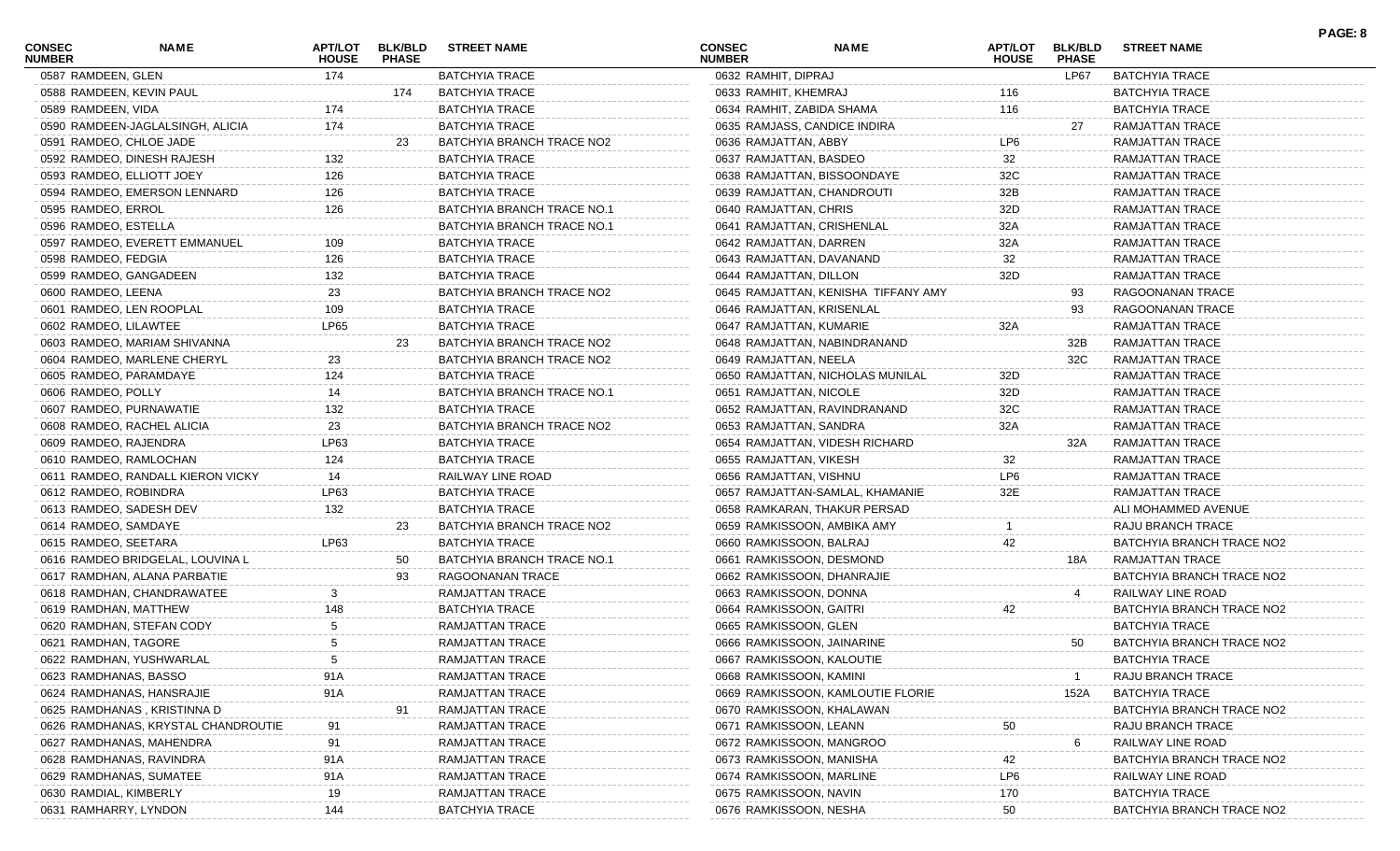| <b>BATCHYIA TRACE</b><br>LP67<br><b>BATCHYIA TRACE</b><br>0587 RAMDEEN, GLEN<br>174<br>0632 RAMHIT, DIPRAJ<br><b>BATCHYIA TRACE</b><br><b>BATCHYIA TRACE</b><br>0588 RAMDEEN, KEVIN PAUL<br>0633 RAMHIT, KHEMRAJ<br>116<br>174<br>0589 RAMDEEN, VIDA<br>174<br><b>BATCHYIA TRACE</b><br>116<br><b>BATCHYIA TRACE</b><br>0634 RAMHIT, ZABIDA SHAMA<br>174<br>0590 RAMDEEN-JAGLALSINGH, ALICIA<br><b>BATCHYIA TRACE</b><br>RAMJATTAN TRACE<br>0635 RAMJASS, CANDICE INDIRA<br>27<br>0591 RAMDEO, CHLOE JADE<br>BATCHYIA BRANCH TRACE NO2<br>LP6<br>0636 RAMJATTAN, ABBY<br>RAMJATTAN TRACE<br>23<br>132<br><b>BATCHYIA TRACE</b><br>0592 RAMDEO, DINESH RAJESH<br>0637 RAMJATTAN, BASDEO<br>32<br>RAMJATTAN TRACE<br>126<br><b>BATCHYIA TRACE</b><br>32C<br>RAMJATTAN TRACE<br>0593 RAMDEO, ELLIOTT JOEY<br>0638 RAMJATTAN, BISSOONDAYE<br>126<br><b>BATCHYIA TRACE</b><br>32B<br><b>RAMJATTAN TRACE</b><br>0594 RAMDEO, EMERSON LENNARD<br>0639 RAMJATTAN, CHANDROUTI<br>126<br>BATCHYIA BRANCH TRACE NO.1<br>32D<br>0595 RAMDEO, ERROL<br>0640 RAMJATTAN, CHRIS<br>RAMJATTAN TRACE<br>BATCHYIA BRANCH TRACE NO.1<br>0596 RAMDEO, ESTELLA<br>0641 RAMJATTAN, CRISHENLAL<br>32A<br>RAMJATTAN TRACE<br><b>BATCHYIA TRACE</b><br>RAMJATTAN TRACE<br>0597 RAMDEO, EVERETT EMMANUEL<br>0642 RAMJATTAN, DARREN<br>32A<br>109<br>126<br><b>BATCHYIA TRACE</b><br>32<br>RAMJATTAN TRACE<br>0598 RAMDEO, FEDGIA<br>0643 RAMJATTAN, DAVANAND<br>132<br>32D<br>BATCHYIA TRACE<br>0599 RAMDEO, GANGADEEN<br>0644 RAMJATTAN, DILLON<br>RAMJATTAN TRACE<br>23<br>BATCHYIA BRANCH TRACE NO2<br>0600 RAMDEO, LEENA<br>0645 RAMJATTAN, KENISHA TIFFANY AMY<br>RAGOONANAN TRACE<br>93<br><b>BATCHYIA TRACE</b><br>0601 RAMDEO, LEN ROOPLAL<br>109<br>RAGOONANAN TRACE<br>0646 RAMJATTAN, KRISENLAL<br>93<br>LP65<br>0602 RAMDEO, LILAWTEE<br><b>BATCHYIA TRACE</b><br>32A<br>RAMJATTAN TRACE<br>0647 RAMJATTAN, KUMARIE<br>BATCHYIA BRANCH TRACE NO2<br>RAMJATTAN TRACE<br>0603 RAMDEO, MARIAM SHIVANNA<br>0648 RAMJATTAN, NABINDRANAND<br>23<br>32B<br>BATCHYIA BRANCH TRACE NO2<br>RAMJATTAN TRACE<br>0604 RAMDEO, MARLENE CHERYL<br>23<br>0649 RAMJATTAN, NEELA<br>32C<br>124<br><b>BATCHYIA TRACE</b><br>RAMJATTAN TRACE<br>0605 RAMDEO, PARAMDAYE<br>0650 RAMJATTAN, NICHOLAS MUNILAL<br>32D<br>0606 RAMDEO, POLLY<br>BATCHYIA BRANCH TRACE NO.1<br>14<br>0651 RAMJATTAN, NICOLE<br>32D<br>RAMJATTAN TRACE<br>132<br><b>BATCHYIA TRACE</b><br>32C<br>0607 RAMDEO, PURNAWATIE<br>0652 RAMJATTAN, RAVINDRANAND<br>RAMJATTAN TRACE<br>23<br>BATCHYIA BRANCH TRACE NO2<br>0608 RAMDEO, RACHEL ALICIA<br>0653 RAMJATTAN, SANDRA<br>32A<br>RAMJATTAN TRACE<br>LP63<br><b>BATCHYIA TRACE</b><br>RAMJATTAN TRACE<br>0609 RAMDEO, RAJENDRA<br>0654 RAMJATTAN, VIDESH RICHARD<br>32A<br>124<br>BATCHYIA TRACE<br>32<br>RAMJATTAN TRACE<br>0610 RAMDEO, RAMLOCHAN<br>0655 RAMJATTAN, VIKESH<br>RAILWAY LINE ROAD<br>LP6<br>0611 RAMDEO, RANDALL KIERON VICKY<br>14<br>0656 RAMJATTAN, VISHNU<br>RAMJATTAN TRACE<br>LP63<br><b>BATCHYIA TRACE</b><br>32E<br>0612 RAMDEO, ROBINDRA<br>0657 RAMJATTAN-SAMLAL, KHAMANIE<br>RAMJATTAN TRACE<br>132<br><b>BATCHYIA TRACE</b><br>ALI MOHAMMED AVENUE<br>0613 RAMDEO, SADESH DEV<br>0658 RAMKARAN, THAKUR PERSAD<br>BATCHYIA BRANCH TRACE NO2<br>RAJU BRANCH TRACE<br>0614 RAMDEO, SAMDAYE<br>0659 RAMKISSOON, AMBIKA AMY<br>23<br>LP63<br><b>BATCHYIA TRACE</b><br>42<br>BATCHYIA BRANCH TRACE NO2<br>0615 RAMDEO, SEETARA<br>0660 RAMKISSOON, BALRAJ<br>BATCHYIA BRANCH TRACE NO.1<br>RAMJATTAN TRACE<br>0616 RAMDEO BRIDGELAL, LOUVINA L<br>0661 RAMKISSOON, DESMOND<br>50<br>18A<br>RAGOONANAN TRACE<br>0662 RAMKISSOON, DHANRAJIE<br>BATCHYIA BRANCH TRACE NO2<br>0617 RAMDHAN, ALANA PARBATIE<br>93<br>0618 RAMDHAN, CHANDRAWATEE<br>RAMJATTAN TRACE<br>0663 RAMKISSOON, DONNA<br>RAILWAY LINE ROAD<br>148<br><b>BATCHYIA TRACE</b><br>0664 RAMKISSOON, GAITRI<br>BATCHYIA BRANCH TRACE NO2<br>0619 RAMDHAN, MATTHEW<br>42<br><b>RAMJATTAN TRACE</b><br>0665 RAMKISSOON, GLEN<br><b>BATCHYIA TRACE</b><br>0620 RAMDHAN, STEFAN CODY<br>0621 RAMDHAN, TAGORE<br>RAMJATTAN TRACE<br>0666 RAMKISSOON, JAINARINE<br>BATCHYIA BRANCH TRACE NO2<br>5.<br>50<br>RAMJATTAN TRACE<br><b>BATCHYIA TRACE</b><br>0622 RAMDHAN, YUSHWARLAL<br>5<br>0667 RAMKISSOON, KALOUTIE<br>91A<br>0623 RAMDHANAS, BASSO<br>RAMJATTAN TRACE<br>0668 RAMKISSOON, KAMINI<br>RAJU BRANCH TRACE<br>91A<br>RAMJATTAN TRACE<br><b>BATCHYIA TRACE</b><br>0624 RAMDHANAS, HANSRAJIE<br>0669 RAMKISSOON, KAMLOUTIE FLORIE<br>152A<br>RAMJATTAN TRACE<br>BATCHYIA BRANCH TRACE NO2<br>0625 RAMDHANAS, KRISTINNA D<br>0670 RAMKISSOON, KHALAWAN<br>91<br>RAMJATTAN TRACE<br>0626 RAMDHANAS, KRYSTAL CHANDROUTIE<br>0671 RAMKISSOON, LEANN<br>RAJU BRANCH TRACE<br>50<br>0627 RAMDHANAS, MAHENDRA<br>91<br>RAMJATTAN TRACE<br>0672 RAMKISSOON, MANGROO<br>RAILWAY LINE ROAD<br>6<br>91A<br><b>RAMJATTAN TRACE</b><br>0628 RAMDHANAS, RAVINDRA<br>0673 RAMKISSOON, MANISHA<br>42<br>BATCHYIA BRANCH TRACE NO2<br>91A<br>RAMJATTAN TRACE<br>0674 RAMKISSOON, MARLINE<br>LP6<br>RAILWAY LINE ROAD<br>0629 RAMDHANAS, SUMATEE<br>0630 RAMDIAL, KIMBERLY<br>19<br>RAMJATTAN TRACE<br>170<br><b>BATCHYIA TRACE</b><br>0675 RAMKISSOON, NAVIN<br>0631 RAMHARRY, LYNDON<br>0676 RAMKISSOON, NESHA | <b>CONSEC</b><br><b>NUMBER</b> | NAME | APT/LOT<br><b>HOUSE</b> | <b>BLK/BLD</b><br><b>PHASE</b> | <b>STREET NAME</b>    | <b>CONSEC</b><br><b>NUMBER</b> | <b>NAME</b> | APT/LOT<br><b>HOUSE</b> | <b>BLK/BLD</b><br><b>PHASE</b> | <b>STREET NAME</b>        | PAGE: 8 |
|---------------------------------------------------------------------------------------------------------------------------------------------------------------------------------------------------------------------------------------------------------------------------------------------------------------------------------------------------------------------------------------------------------------------------------------------------------------------------------------------------------------------------------------------------------------------------------------------------------------------------------------------------------------------------------------------------------------------------------------------------------------------------------------------------------------------------------------------------------------------------------------------------------------------------------------------------------------------------------------------------------------------------------------------------------------------------------------------------------------------------------------------------------------------------------------------------------------------------------------------------------------------------------------------------------------------------------------------------------------------------------------------------------------------------------------------------------------------------------------------------------------------------------------------------------------------------------------------------------------------------------------------------------------------------------------------------------------------------------------------------------------------------------------------------------------------------------------------------------------------------------------------------------------------------------------------------------------------------------------------------------------------------------------------------------------------------------------------------------------------------------------------------------------------------------------------------------------------------------------------------------------------------------------------------------------------------------------------------------------------------------------------------------------------------------------------------------------------------------------------------------------------------------------------------------------------------------------------------------------------------------------------------------------------------------------------------------------------------------------------------------------------------------------------------------------------------------------------------------------------------------------------------------------------------------------------------------------------------------------------------------------------------------------------------------------------------------------------------------------------------------------------------------------------------------------------------------------------------------------------------------------------------------------------------------------------------------------------------------------------------------------------------------------------------------------------------------------------------------------------------------------------------------------------------------------------------------------------------------------------------------------------------------------------------------------------------------------------------------------------------------------------------------------------------------------------------------------------------------------------------------------------------------------------------------------------------------------------------------------------------------------------------------------------------------------------------------------------------------------------------------------------------------------------------------------------------------------------------------------------------------------------------------------------------------------------------------------------------------------------------------------------------------------------------------------------------------------------------------------------------------------------------------------------------------------------------------------------------------------------------------------------------------------------------------------------------------------------------------------------------------------------------------------------------------------------------------------------------------------------------------------------------------------------------------------------------------------------------------------------------------------------------------------------------------------------------------------------------------------------------------------------------------------------------------------------------------------------------------------------------------------------------|--------------------------------|------|-------------------------|--------------------------------|-----------------------|--------------------------------|-------------|-------------------------|--------------------------------|---------------------------|---------|
|                                                                                                                                                                                                                                                                                                                                                                                                                                                                                                                                                                                                                                                                                                                                                                                                                                                                                                                                                                                                                                                                                                                                                                                                                                                                                                                                                                                                                                                                                                                                                                                                                                                                                                                                                                                                                                                                                                                                                                                                                                                                                                                                                                                                                                                                                                                                                                                                                                                                                                                                                                                                                                                                                                                                                                                                                                                                                                                                                                                                                                                                                                                                                                                                                                                                                                                                                                                                                                                                                                                                                                                                                                                                                                                                                                                                                                                                                                                                                                                                                                                                                                                                                                                                                                                                                                                                                                                                                                                                                                                                                                                                                                                                                                                                                                                                                                                                                                                                                                                                                                                                                                                                                                                                                                                                           |                                |      |                         |                                |                       |                                |             |                         |                                |                           |         |
|                                                                                                                                                                                                                                                                                                                                                                                                                                                                                                                                                                                                                                                                                                                                                                                                                                                                                                                                                                                                                                                                                                                                                                                                                                                                                                                                                                                                                                                                                                                                                                                                                                                                                                                                                                                                                                                                                                                                                                                                                                                                                                                                                                                                                                                                                                                                                                                                                                                                                                                                                                                                                                                                                                                                                                                                                                                                                                                                                                                                                                                                                                                                                                                                                                                                                                                                                                                                                                                                                                                                                                                                                                                                                                                                                                                                                                                                                                                                                                                                                                                                                                                                                                                                                                                                                                                                                                                                                                                                                                                                                                                                                                                                                                                                                                                                                                                                                                                                                                                                                                                                                                                                                                                                                                                                           |                                |      |                         |                                |                       |                                |             |                         |                                |                           |         |
|                                                                                                                                                                                                                                                                                                                                                                                                                                                                                                                                                                                                                                                                                                                                                                                                                                                                                                                                                                                                                                                                                                                                                                                                                                                                                                                                                                                                                                                                                                                                                                                                                                                                                                                                                                                                                                                                                                                                                                                                                                                                                                                                                                                                                                                                                                                                                                                                                                                                                                                                                                                                                                                                                                                                                                                                                                                                                                                                                                                                                                                                                                                                                                                                                                                                                                                                                                                                                                                                                                                                                                                                                                                                                                                                                                                                                                                                                                                                                                                                                                                                                                                                                                                                                                                                                                                                                                                                                                                                                                                                                                                                                                                                                                                                                                                                                                                                                                                                                                                                                                                                                                                                                                                                                                                                           |                                |      |                         |                                |                       |                                |             |                         |                                |                           |         |
|                                                                                                                                                                                                                                                                                                                                                                                                                                                                                                                                                                                                                                                                                                                                                                                                                                                                                                                                                                                                                                                                                                                                                                                                                                                                                                                                                                                                                                                                                                                                                                                                                                                                                                                                                                                                                                                                                                                                                                                                                                                                                                                                                                                                                                                                                                                                                                                                                                                                                                                                                                                                                                                                                                                                                                                                                                                                                                                                                                                                                                                                                                                                                                                                                                                                                                                                                                                                                                                                                                                                                                                                                                                                                                                                                                                                                                                                                                                                                                                                                                                                                                                                                                                                                                                                                                                                                                                                                                                                                                                                                                                                                                                                                                                                                                                                                                                                                                                                                                                                                                                                                                                                                                                                                                                                           |                                |      |                         |                                |                       |                                |             |                         |                                |                           |         |
|                                                                                                                                                                                                                                                                                                                                                                                                                                                                                                                                                                                                                                                                                                                                                                                                                                                                                                                                                                                                                                                                                                                                                                                                                                                                                                                                                                                                                                                                                                                                                                                                                                                                                                                                                                                                                                                                                                                                                                                                                                                                                                                                                                                                                                                                                                                                                                                                                                                                                                                                                                                                                                                                                                                                                                                                                                                                                                                                                                                                                                                                                                                                                                                                                                                                                                                                                                                                                                                                                                                                                                                                                                                                                                                                                                                                                                                                                                                                                                                                                                                                                                                                                                                                                                                                                                                                                                                                                                                                                                                                                                                                                                                                                                                                                                                                                                                                                                                                                                                                                                                                                                                                                                                                                                                                           |                                |      |                         |                                |                       |                                |             |                         |                                |                           |         |
|                                                                                                                                                                                                                                                                                                                                                                                                                                                                                                                                                                                                                                                                                                                                                                                                                                                                                                                                                                                                                                                                                                                                                                                                                                                                                                                                                                                                                                                                                                                                                                                                                                                                                                                                                                                                                                                                                                                                                                                                                                                                                                                                                                                                                                                                                                                                                                                                                                                                                                                                                                                                                                                                                                                                                                                                                                                                                                                                                                                                                                                                                                                                                                                                                                                                                                                                                                                                                                                                                                                                                                                                                                                                                                                                                                                                                                                                                                                                                                                                                                                                                                                                                                                                                                                                                                                                                                                                                                                                                                                                                                                                                                                                                                                                                                                                                                                                                                                                                                                                                                                                                                                                                                                                                                                                           |                                |      |                         |                                |                       |                                |             |                         |                                |                           |         |
|                                                                                                                                                                                                                                                                                                                                                                                                                                                                                                                                                                                                                                                                                                                                                                                                                                                                                                                                                                                                                                                                                                                                                                                                                                                                                                                                                                                                                                                                                                                                                                                                                                                                                                                                                                                                                                                                                                                                                                                                                                                                                                                                                                                                                                                                                                                                                                                                                                                                                                                                                                                                                                                                                                                                                                                                                                                                                                                                                                                                                                                                                                                                                                                                                                                                                                                                                                                                                                                                                                                                                                                                                                                                                                                                                                                                                                                                                                                                                                                                                                                                                                                                                                                                                                                                                                                                                                                                                                                                                                                                                                                                                                                                                                                                                                                                                                                                                                                                                                                                                                                                                                                                                                                                                                                                           |                                |      |                         |                                |                       |                                |             |                         |                                |                           |         |
|                                                                                                                                                                                                                                                                                                                                                                                                                                                                                                                                                                                                                                                                                                                                                                                                                                                                                                                                                                                                                                                                                                                                                                                                                                                                                                                                                                                                                                                                                                                                                                                                                                                                                                                                                                                                                                                                                                                                                                                                                                                                                                                                                                                                                                                                                                                                                                                                                                                                                                                                                                                                                                                                                                                                                                                                                                                                                                                                                                                                                                                                                                                                                                                                                                                                                                                                                                                                                                                                                                                                                                                                                                                                                                                                                                                                                                                                                                                                                                                                                                                                                                                                                                                                                                                                                                                                                                                                                                                                                                                                                                                                                                                                                                                                                                                                                                                                                                                                                                                                                                                                                                                                                                                                                                                                           |                                |      |                         |                                |                       |                                |             |                         |                                |                           |         |
|                                                                                                                                                                                                                                                                                                                                                                                                                                                                                                                                                                                                                                                                                                                                                                                                                                                                                                                                                                                                                                                                                                                                                                                                                                                                                                                                                                                                                                                                                                                                                                                                                                                                                                                                                                                                                                                                                                                                                                                                                                                                                                                                                                                                                                                                                                                                                                                                                                                                                                                                                                                                                                                                                                                                                                                                                                                                                                                                                                                                                                                                                                                                                                                                                                                                                                                                                                                                                                                                                                                                                                                                                                                                                                                                                                                                                                                                                                                                                                                                                                                                                                                                                                                                                                                                                                                                                                                                                                                                                                                                                                                                                                                                                                                                                                                                                                                                                                                                                                                                                                                                                                                                                                                                                                                                           |                                |      |                         |                                |                       |                                |             |                         |                                |                           |         |
|                                                                                                                                                                                                                                                                                                                                                                                                                                                                                                                                                                                                                                                                                                                                                                                                                                                                                                                                                                                                                                                                                                                                                                                                                                                                                                                                                                                                                                                                                                                                                                                                                                                                                                                                                                                                                                                                                                                                                                                                                                                                                                                                                                                                                                                                                                                                                                                                                                                                                                                                                                                                                                                                                                                                                                                                                                                                                                                                                                                                                                                                                                                                                                                                                                                                                                                                                                                                                                                                                                                                                                                                                                                                                                                                                                                                                                                                                                                                                                                                                                                                                                                                                                                                                                                                                                                                                                                                                                                                                                                                                                                                                                                                                                                                                                                                                                                                                                                                                                                                                                                                                                                                                                                                                                                                           |                                |      |                         |                                |                       |                                |             |                         |                                |                           |         |
|                                                                                                                                                                                                                                                                                                                                                                                                                                                                                                                                                                                                                                                                                                                                                                                                                                                                                                                                                                                                                                                                                                                                                                                                                                                                                                                                                                                                                                                                                                                                                                                                                                                                                                                                                                                                                                                                                                                                                                                                                                                                                                                                                                                                                                                                                                                                                                                                                                                                                                                                                                                                                                                                                                                                                                                                                                                                                                                                                                                                                                                                                                                                                                                                                                                                                                                                                                                                                                                                                                                                                                                                                                                                                                                                                                                                                                                                                                                                                                                                                                                                                                                                                                                                                                                                                                                                                                                                                                                                                                                                                                                                                                                                                                                                                                                                                                                                                                                                                                                                                                                                                                                                                                                                                                                                           |                                |      |                         |                                |                       |                                |             |                         |                                |                           |         |
|                                                                                                                                                                                                                                                                                                                                                                                                                                                                                                                                                                                                                                                                                                                                                                                                                                                                                                                                                                                                                                                                                                                                                                                                                                                                                                                                                                                                                                                                                                                                                                                                                                                                                                                                                                                                                                                                                                                                                                                                                                                                                                                                                                                                                                                                                                                                                                                                                                                                                                                                                                                                                                                                                                                                                                                                                                                                                                                                                                                                                                                                                                                                                                                                                                                                                                                                                                                                                                                                                                                                                                                                                                                                                                                                                                                                                                                                                                                                                                                                                                                                                                                                                                                                                                                                                                                                                                                                                                                                                                                                                                                                                                                                                                                                                                                                                                                                                                                                                                                                                                                                                                                                                                                                                                                                           |                                |      |                         |                                |                       |                                |             |                         |                                |                           |         |
|                                                                                                                                                                                                                                                                                                                                                                                                                                                                                                                                                                                                                                                                                                                                                                                                                                                                                                                                                                                                                                                                                                                                                                                                                                                                                                                                                                                                                                                                                                                                                                                                                                                                                                                                                                                                                                                                                                                                                                                                                                                                                                                                                                                                                                                                                                                                                                                                                                                                                                                                                                                                                                                                                                                                                                                                                                                                                                                                                                                                                                                                                                                                                                                                                                                                                                                                                                                                                                                                                                                                                                                                                                                                                                                                                                                                                                                                                                                                                                                                                                                                                                                                                                                                                                                                                                                                                                                                                                                                                                                                                                                                                                                                                                                                                                                                                                                                                                                                                                                                                                                                                                                                                                                                                                                                           |                                |      |                         |                                |                       |                                |             |                         |                                |                           |         |
|                                                                                                                                                                                                                                                                                                                                                                                                                                                                                                                                                                                                                                                                                                                                                                                                                                                                                                                                                                                                                                                                                                                                                                                                                                                                                                                                                                                                                                                                                                                                                                                                                                                                                                                                                                                                                                                                                                                                                                                                                                                                                                                                                                                                                                                                                                                                                                                                                                                                                                                                                                                                                                                                                                                                                                                                                                                                                                                                                                                                                                                                                                                                                                                                                                                                                                                                                                                                                                                                                                                                                                                                                                                                                                                                                                                                                                                                                                                                                                                                                                                                                                                                                                                                                                                                                                                                                                                                                                                                                                                                                                                                                                                                                                                                                                                                                                                                                                                                                                                                                                                                                                                                                                                                                                                                           |                                |      |                         |                                |                       |                                |             |                         |                                |                           |         |
|                                                                                                                                                                                                                                                                                                                                                                                                                                                                                                                                                                                                                                                                                                                                                                                                                                                                                                                                                                                                                                                                                                                                                                                                                                                                                                                                                                                                                                                                                                                                                                                                                                                                                                                                                                                                                                                                                                                                                                                                                                                                                                                                                                                                                                                                                                                                                                                                                                                                                                                                                                                                                                                                                                                                                                                                                                                                                                                                                                                                                                                                                                                                                                                                                                                                                                                                                                                                                                                                                                                                                                                                                                                                                                                                                                                                                                                                                                                                                                                                                                                                                                                                                                                                                                                                                                                                                                                                                                                                                                                                                                                                                                                                                                                                                                                                                                                                                                                                                                                                                                                                                                                                                                                                                                                                           |                                |      |                         |                                |                       |                                |             |                         |                                |                           |         |
|                                                                                                                                                                                                                                                                                                                                                                                                                                                                                                                                                                                                                                                                                                                                                                                                                                                                                                                                                                                                                                                                                                                                                                                                                                                                                                                                                                                                                                                                                                                                                                                                                                                                                                                                                                                                                                                                                                                                                                                                                                                                                                                                                                                                                                                                                                                                                                                                                                                                                                                                                                                                                                                                                                                                                                                                                                                                                                                                                                                                                                                                                                                                                                                                                                                                                                                                                                                                                                                                                                                                                                                                                                                                                                                                                                                                                                                                                                                                                                                                                                                                                                                                                                                                                                                                                                                                                                                                                                                                                                                                                                                                                                                                                                                                                                                                                                                                                                                                                                                                                                                                                                                                                                                                                                                                           |                                |      |                         |                                |                       |                                |             |                         |                                |                           |         |
|                                                                                                                                                                                                                                                                                                                                                                                                                                                                                                                                                                                                                                                                                                                                                                                                                                                                                                                                                                                                                                                                                                                                                                                                                                                                                                                                                                                                                                                                                                                                                                                                                                                                                                                                                                                                                                                                                                                                                                                                                                                                                                                                                                                                                                                                                                                                                                                                                                                                                                                                                                                                                                                                                                                                                                                                                                                                                                                                                                                                                                                                                                                                                                                                                                                                                                                                                                                                                                                                                                                                                                                                                                                                                                                                                                                                                                                                                                                                                                                                                                                                                                                                                                                                                                                                                                                                                                                                                                                                                                                                                                                                                                                                                                                                                                                                                                                                                                                                                                                                                                                                                                                                                                                                                                                                           |                                |      |                         |                                |                       |                                |             |                         |                                |                           |         |
|                                                                                                                                                                                                                                                                                                                                                                                                                                                                                                                                                                                                                                                                                                                                                                                                                                                                                                                                                                                                                                                                                                                                                                                                                                                                                                                                                                                                                                                                                                                                                                                                                                                                                                                                                                                                                                                                                                                                                                                                                                                                                                                                                                                                                                                                                                                                                                                                                                                                                                                                                                                                                                                                                                                                                                                                                                                                                                                                                                                                                                                                                                                                                                                                                                                                                                                                                                                                                                                                                                                                                                                                                                                                                                                                                                                                                                                                                                                                                                                                                                                                                                                                                                                                                                                                                                                                                                                                                                                                                                                                                                                                                                                                                                                                                                                                                                                                                                                                                                                                                                                                                                                                                                                                                                                                           |                                |      |                         |                                |                       |                                |             |                         |                                |                           |         |
|                                                                                                                                                                                                                                                                                                                                                                                                                                                                                                                                                                                                                                                                                                                                                                                                                                                                                                                                                                                                                                                                                                                                                                                                                                                                                                                                                                                                                                                                                                                                                                                                                                                                                                                                                                                                                                                                                                                                                                                                                                                                                                                                                                                                                                                                                                                                                                                                                                                                                                                                                                                                                                                                                                                                                                                                                                                                                                                                                                                                                                                                                                                                                                                                                                                                                                                                                                                                                                                                                                                                                                                                                                                                                                                                                                                                                                                                                                                                                                                                                                                                                                                                                                                                                                                                                                                                                                                                                                                                                                                                                                                                                                                                                                                                                                                                                                                                                                                                                                                                                                                                                                                                                                                                                                                                           |                                |      |                         |                                |                       |                                |             |                         |                                |                           |         |
|                                                                                                                                                                                                                                                                                                                                                                                                                                                                                                                                                                                                                                                                                                                                                                                                                                                                                                                                                                                                                                                                                                                                                                                                                                                                                                                                                                                                                                                                                                                                                                                                                                                                                                                                                                                                                                                                                                                                                                                                                                                                                                                                                                                                                                                                                                                                                                                                                                                                                                                                                                                                                                                                                                                                                                                                                                                                                                                                                                                                                                                                                                                                                                                                                                                                                                                                                                                                                                                                                                                                                                                                                                                                                                                                                                                                                                                                                                                                                                                                                                                                                                                                                                                                                                                                                                                                                                                                                                                                                                                                                                                                                                                                                                                                                                                                                                                                                                                                                                                                                                                                                                                                                                                                                                                                           |                                |      |                         |                                |                       |                                |             |                         |                                |                           |         |
|                                                                                                                                                                                                                                                                                                                                                                                                                                                                                                                                                                                                                                                                                                                                                                                                                                                                                                                                                                                                                                                                                                                                                                                                                                                                                                                                                                                                                                                                                                                                                                                                                                                                                                                                                                                                                                                                                                                                                                                                                                                                                                                                                                                                                                                                                                                                                                                                                                                                                                                                                                                                                                                                                                                                                                                                                                                                                                                                                                                                                                                                                                                                                                                                                                                                                                                                                                                                                                                                                                                                                                                                                                                                                                                                                                                                                                                                                                                                                                                                                                                                                                                                                                                                                                                                                                                                                                                                                                                                                                                                                                                                                                                                                                                                                                                                                                                                                                                                                                                                                                                                                                                                                                                                                                                                           |                                |      |                         |                                |                       |                                |             |                         |                                |                           |         |
|                                                                                                                                                                                                                                                                                                                                                                                                                                                                                                                                                                                                                                                                                                                                                                                                                                                                                                                                                                                                                                                                                                                                                                                                                                                                                                                                                                                                                                                                                                                                                                                                                                                                                                                                                                                                                                                                                                                                                                                                                                                                                                                                                                                                                                                                                                                                                                                                                                                                                                                                                                                                                                                                                                                                                                                                                                                                                                                                                                                                                                                                                                                                                                                                                                                                                                                                                                                                                                                                                                                                                                                                                                                                                                                                                                                                                                                                                                                                                                                                                                                                                                                                                                                                                                                                                                                                                                                                                                                                                                                                                                                                                                                                                                                                                                                                                                                                                                                                                                                                                                                                                                                                                                                                                                                                           |                                |      |                         |                                |                       |                                |             |                         |                                |                           |         |
|                                                                                                                                                                                                                                                                                                                                                                                                                                                                                                                                                                                                                                                                                                                                                                                                                                                                                                                                                                                                                                                                                                                                                                                                                                                                                                                                                                                                                                                                                                                                                                                                                                                                                                                                                                                                                                                                                                                                                                                                                                                                                                                                                                                                                                                                                                                                                                                                                                                                                                                                                                                                                                                                                                                                                                                                                                                                                                                                                                                                                                                                                                                                                                                                                                                                                                                                                                                                                                                                                                                                                                                                                                                                                                                                                                                                                                                                                                                                                                                                                                                                                                                                                                                                                                                                                                                                                                                                                                                                                                                                                                                                                                                                                                                                                                                                                                                                                                                                                                                                                                                                                                                                                                                                                                                                           |                                |      |                         |                                |                       |                                |             |                         |                                |                           |         |
|                                                                                                                                                                                                                                                                                                                                                                                                                                                                                                                                                                                                                                                                                                                                                                                                                                                                                                                                                                                                                                                                                                                                                                                                                                                                                                                                                                                                                                                                                                                                                                                                                                                                                                                                                                                                                                                                                                                                                                                                                                                                                                                                                                                                                                                                                                                                                                                                                                                                                                                                                                                                                                                                                                                                                                                                                                                                                                                                                                                                                                                                                                                                                                                                                                                                                                                                                                                                                                                                                                                                                                                                                                                                                                                                                                                                                                                                                                                                                                                                                                                                                                                                                                                                                                                                                                                                                                                                                                                                                                                                                                                                                                                                                                                                                                                                                                                                                                                                                                                                                                                                                                                                                                                                                                                                           |                                |      |                         |                                |                       |                                |             |                         |                                |                           |         |
|                                                                                                                                                                                                                                                                                                                                                                                                                                                                                                                                                                                                                                                                                                                                                                                                                                                                                                                                                                                                                                                                                                                                                                                                                                                                                                                                                                                                                                                                                                                                                                                                                                                                                                                                                                                                                                                                                                                                                                                                                                                                                                                                                                                                                                                                                                                                                                                                                                                                                                                                                                                                                                                                                                                                                                                                                                                                                                                                                                                                                                                                                                                                                                                                                                                                                                                                                                                                                                                                                                                                                                                                                                                                                                                                                                                                                                                                                                                                                                                                                                                                                                                                                                                                                                                                                                                                                                                                                                                                                                                                                                                                                                                                                                                                                                                                                                                                                                                                                                                                                                                                                                                                                                                                                                                                           |                                |      |                         |                                |                       |                                |             |                         |                                |                           |         |
|                                                                                                                                                                                                                                                                                                                                                                                                                                                                                                                                                                                                                                                                                                                                                                                                                                                                                                                                                                                                                                                                                                                                                                                                                                                                                                                                                                                                                                                                                                                                                                                                                                                                                                                                                                                                                                                                                                                                                                                                                                                                                                                                                                                                                                                                                                                                                                                                                                                                                                                                                                                                                                                                                                                                                                                                                                                                                                                                                                                                                                                                                                                                                                                                                                                                                                                                                                                                                                                                                                                                                                                                                                                                                                                                                                                                                                                                                                                                                                                                                                                                                                                                                                                                                                                                                                                                                                                                                                                                                                                                                                                                                                                                                                                                                                                                                                                                                                                                                                                                                                                                                                                                                                                                                                                                           |                                |      |                         |                                |                       |                                |             |                         |                                |                           |         |
|                                                                                                                                                                                                                                                                                                                                                                                                                                                                                                                                                                                                                                                                                                                                                                                                                                                                                                                                                                                                                                                                                                                                                                                                                                                                                                                                                                                                                                                                                                                                                                                                                                                                                                                                                                                                                                                                                                                                                                                                                                                                                                                                                                                                                                                                                                                                                                                                                                                                                                                                                                                                                                                                                                                                                                                                                                                                                                                                                                                                                                                                                                                                                                                                                                                                                                                                                                                                                                                                                                                                                                                                                                                                                                                                                                                                                                                                                                                                                                                                                                                                                                                                                                                                                                                                                                                                                                                                                                                                                                                                                                                                                                                                                                                                                                                                                                                                                                                                                                                                                                                                                                                                                                                                                                                                           |                                |      |                         |                                |                       |                                |             |                         |                                |                           |         |
|                                                                                                                                                                                                                                                                                                                                                                                                                                                                                                                                                                                                                                                                                                                                                                                                                                                                                                                                                                                                                                                                                                                                                                                                                                                                                                                                                                                                                                                                                                                                                                                                                                                                                                                                                                                                                                                                                                                                                                                                                                                                                                                                                                                                                                                                                                                                                                                                                                                                                                                                                                                                                                                                                                                                                                                                                                                                                                                                                                                                                                                                                                                                                                                                                                                                                                                                                                                                                                                                                                                                                                                                                                                                                                                                                                                                                                                                                                                                                                                                                                                                                                                                                                                                                                                                                                                                                                                                                                                                                                                                                                                                                                                                                                                                                                                                                                                                                                                                                                                                                                                                                                                                                                                                                                                                           |                                |      |                         |                                |                       |                                |             |                         |                                |                           |         |
|                                                                                                                                                                                                                                                                                                                                                                                                                                                                                                                                                                                                                                                                                                                                                                                                                                                                                                                                                                                                                                                                                                                                                                                                                                                                                                                                                                                                                                                                                                                                                                                                                                                                                                                                                                                                                                                                                                                                                                                                                                                                                                                                                                                                                                                                                                                                                                                                                                                                                                                                                                                                                                                                                                                                                                                                                                                                                                                                                                                                                                                                                                                                                                                                                                                                                                                                                                                                                                                                                                                                                                                                                                                                                                                                                                                                                                                                                                                                                                                                                                                                                                                                                                                                                                                                                                                                                                                                                                                                                                                                                                                                                                                                                                                                                                                                                                                                                                                                                                                                                                                                                                                                                                                                                                                                           |                                |      |                         |                                |                       |                                |             |                         |                                |                           |         |
|                                                                                                                                                                                                                                                                                                                                                                                                                                                                                                                                                                                                                                                                                                                                                                                                                                                                                                                                                                                                                                                                                                                                                                                                                                                                                                                                                                                                                                                                                                                                                                                                                                                                                                                                                                                                                                                                                                                                                                                                                                                                                                                                                                                                                                                                                                                                                                                                                                                                                                                                                                                                                                                                                                                                                                                                                                                                                                                                                                                                                                                                                                                                                                                                                                                                                                                                                                                                                                                                                                                                                                                                                                                                                                                                                                                                                                                                                                                                                                                                                                                                                                                                                                                                                                                                                                                                                                                                                                                                                                                                                                                                                                                                                                                                                                                                                                                                                                                                                                                                                                                                                                                                                                                                                                                                           |                                |      |                         |                                |                       |                                |             |                         |                                |                           |         |
|                                                                                                                                                                                                                                                                                                                                                                                                                                                                                                                                                                                                                                                                                                                                                                                                                                                                                                                                                                                                                                                                                                                                                                                                                                                                                                                                                                                                                                                                                                                                                                                                                                                                                                                                                                                                                                                                                                                                                                                                                                                                                                                                                                                                                                                                                                                                                                                                                                                                                                                                                                                                                                                                                                                                                                                                                                                                                                                                                                                                                                                                                                                                                                                                                                                                                                                                                                                                                                                                                                                                                                                                                                                                                                                                                                                                                                                                                                                                                                                                                                                                                                                                                                                                                                                                                                                                                                                                                                                                                                                                                                                                                                                                                                                                                                                                                                                                                                                                                                                                                                                                                                                                                                                                                                                                           |                                |      |                         |                                |                       |                                |             |                         |                                |                           |         |
|                                                                                                                                                                                                                                                                                                                                                                                                                                                                                                                                                                                                                                                                                                                                                                                                                                                                                                                                                                                                                                                                                                                                                                                                                                                                                                                                                                                                                                                                                                                                                                                                                                                                                                                                                                                                                                                                                                                                                                                                                                                                                                                                                                                                                                                                                                                                                                                                                                                                                                                                                                                                                                                                                                                                                                                                                                                                                                                                                                                                                                                                                                                                                                                                                                                                                                                                                                                                                                                                                                                                                                                                                                                                                                                                                                                                                                                                                                                                                                                                                                                                                                                                                                                                                                                                                                                                                                                                                                                                                                                                                                                                                                                                                                                                                                                                                                                                                                                                                                                                                                                                                                                                                                                                                                                                           |                                |      |                         |                                |                       |                                |             |                         |                                |                           |         |
|                                                                                                                                                                                                                                                                                                                                                                                                                                                                                                                                                                                                                                                                                                                                                                                                                                                                                                                                                                                                                                                                                                                                                                                                                                                                                                                                                                                                                                                                                                                                                                                                                                                                                                                                                                                                                                                                                                                                                                                                                                                                                                                                                                                                                                                                                                                                                                                                                                                                                                                                                                                                                                                                                                                                                                                                                                                                                                                                                                                                                                                                                                                                                                                                                                                                                                                                                                                                                                                                                                                                                                                                                                                                                                                                                                                                                                                                                                                                                                                                                                                                                                                                                                                                                                                                                                                                                                                                                                                                                                                                                                                                                                                                                                                                                                                                                                                                                                                                                                                                                                                                                                                                                                                                                                                                           |                                |      |                         |                                |                       |                                |             |                         |                                |                           |         |
|                                                                                                                                                                                                                                                                                                                                                                                                                                                                                                                                                                                                                                                                                                                                                                                                                                                                                                                                                                                                                                                                                                                                                                                                                                                                                                                                                                                                                                                                                                                                                                                                                                                                                                                                                                                                                                                                                                                                                                                                                                                                                                                                                                                                                                                                                                                                                                                                                                                                                                                                                                                                                                                                                                                                                                                                                                                                                                                                                                                                                                                                                                                                                                                                                                                                                                                                                                                                                                                                                                                                                                                                                                                                                                                                                                                                                                                                                                                                                                                                                                                                                                                                                                                                                                                                                                                                                                                                                                                                                                                                                                                                                                                                                                                                                                                                                                                                                                                                                                                                                                                                                                                                                                                                                                                                           |                                |      |                         |                                |                       |                                |             |                         |                                |                           |         |
|                                                                                                                                                                                                                                                                                                                                                                                                                                                                                                                                                                                                                                                                                                                                                                                                                                                                                                                                                                                                                                                                                                                                                                                                                                                                                                                                                                                                                                                                                                                                                                                                                                                                                                                                                                                                                                                                                                                                                                                                                                                                                                                                                                                                                                                                                                                                                                                                                                                                                                                                                                                                                                                                                                                                                                                                                                                                                                                                                                                                                                                                                                                                                                                                                                                                                                                                                                                                                                                                                                                                                                                                                                                                                                                                                                                                                                                                                                                                                                                                                                                                                                                                                                                                                                                                                                                                                                                                                                                                                                                                                                                                                                                                                                                                                                                                                                                                                                                                                                                                                                                                                                                                                                                                                                                                           |                                |      |                         |                                |                       |                                |             |                         |                                |                           |         |
|                                                                                                                                                                                                                                                                                                                                                                                                                                                                                                                                                                                                                                                                                                                                                                                                                                                                                                                                                                                                                                                                                                                                                                                                                                                                                                                                                                                                                                                                                                                                                                                                                                                                                                                                                                                                                                                                                                                                                                                                                                                                                                                                                                                                                                                                                                                                                                                                                                                                                                                                                                                                                                                                                                                                                                                                                                                                                                                                                                                                                                                                                                                                                                                                                                                                                                                                                                                                                                                                                                                                                                                                                                                                                                                                                                                                                                                                                                                                                                                                                                                                                                                                                                                                                                                                                                                                                                                                                                                                                                                                                                                                                                                                                                                                                                                                                                                                                                                                                                                                                                                                                                                                                                                                                                                                           |                                |      |                         |                                |                       |                                |             |                         |                                |                           |         |
|                                                                                                                                                                                                                                                                                                                                                                                                                                                                                                                                                                                                                                                                                                                                                                                                                                                                                                                                                                                                                                                                                                                                                                                                                                                                                                                                                                                                                                                                                                                                                                                                                                                                                                                                                                                                                                                                                                                                                                                                                                                                                                                                                                                                                                                                                                                                                                                                                                                                                                                                                                                                                                                                                                                                                                                                                                                                                                                                                                                                                                                                                                                                                                                                                                                                                                                                                                                                                                                                                                                                                                                                                                                                                                                                                                                                                                                                                                                                                                                                                                                                                                                                                                                                                                                                                                                                                                                                                                                                                                                                                                                                                                                                                                                                                                                                                                                                                                                                                                                                                                                                                                                                                                                                                                                                           |                                |      |                         |                                |                       |                                |             |                         |                                |                           |         |
|                                                                                                                                                                                                                                                                                                                                                                                                                                                                                                                                                                                                                                                                                                                                                                                                                                                                                                                                                                                                                                                                                                                                                                                                                                                                                                                                                                                                                                                                                                                                                                                                                                                                                                                                                                                                                                                                                                                                                                                                                                                                                                                                                                                                                                                                                                                                                                                                                                                                                                                                                                                                                                                                                                                                                                                                                                                                                                                                                                                                                                                                                                                                                                                                                                                                                                                                                                                                                                                                                                                                                                                                                                                                                                                                                                                                                                                                                                                                                                                                                                                                                                                                                                                                                                                                                                                                                                                                                                                                                                                                                                                                                                                                                                                                                                                                                                                                                                                                                                                                                                                                                                                                                                                                                                                                           |                                |      |                         |                                |                       |                                |             |                         |                                |                           |         |
|                                                                                                                                                                                                                                                                                                                                                                                                                                                                                                                                                                                                                                                                                                                                                                                                                                                                                                                                                                                                                                                                                                                                                                                                                                                                                                                                                                                                                                                                                                                                                                                                                                                                                                                                                                                                                                                                                                                                                                                                                                                                                                                                                                                                                                                                                                                                                                                                                                                                                                                                                                                                                                                                                                                                                                                                                                                                                                                                                                                                                                                                                                                                                                                                                                                                                                                                                                                                                                                                                                                                                                                                                                                                                                                                                                                                                                                                                                                                                                                                                                                                                                                                                                                                                                                                                                                                                                                                                                                                                                                                                                                                                                                                                                                                                                                                                                                                                                                                                                                                                                                                                                                                                                                                                                                                           |                                |      |                         |                                |                       |                                |             |                         |                                |                           |         |
|                                                                                                                                                                                                                                                                                                                                                                                                                                                                                                                                                                                                                                                                                                                                                                                                                                                                                                                                                                                                                                                                                                                                                                                                                                                                                                                                                                                                                                                                                                                                                                                                                                                                                                                                                                                                                                                                                                                                                                                                                                                                                                                                                                                                                                                                                                                                                                                                                                                                                                                                                                                                                                                                                                                                                                                                                                                                                                                                                                                                                                                                                                                                                                                                                                                                                                                                                                                                                                                                                                                                                                                                                                                                                                                                                                                                                                                                                                                                                                                                                                                                                                                                                                                                                                                                                                                                                                                                                                                                                                                                                                                                                                                                                                                                                                                                                                                                                                                                                                                                                                                                                                                                                                                                                                                                           |                                |      |                         |                                |                       |                                |             |                         |                                |                           |         |
|                                                                                                                                                                                                                                                                                                                                                                                                                                                                                                                                                                                                                                                                                                                                                                                                                                                                                                                                                                                                                                                                                                                                                                                                                                                                                                                                                                                                                                                                                                                                                                                                                                                                                                                                                                                                                                                                                                                                                                                                                                                                                                                                                                                                                                                                                                                                                                                                                                                                                                                                                                                                                                                                                                                                                                                                                                                                                                                                                                                                                                                                                                                                                                                                                                                                                                                                                                                                                                                                                                                                                                                                                                                                                                                                                                                                                                                                                                                                                                                                                                                                                                                                                                                                                                                                                                                                                                                                                                                                                                                                                                                                                                                                                                                                                                                                                                                                                                                                                                                                                                                                                                                                                                                                                                                                           |                                |      |                         |                                |                       |                                |             |                         |                                |                           |         |
|                                                                                                                                                                                                                                                                                                                                                                                                                                                                                                                                                                                                                                                                                                                                                                                                                                                                                                                                                                                                                                                                                                                                                                                                                                                                                                                                                                                                                                                                                                                                                                                                                                                                                                                                                                                                                                                                                                                                                                                                                                                                                                                                                                                                                                                                                                                                                                                                                                                                                                                                                                                                                                                                                                                                                                                                                                                                                                                                                                                                                                                                                                                                                                                                                                                                                                                                                                                                                                                                                                                                                                                                                                                                                                                                                                                                                                                                                                                                                                                                                                                                                                                                                                                                                                                                                                                                                                                                                                                                                                                                                                                                                                                                                                                                                                                                                                                                                                                                                                                                                                                                                                                                                                                                                                                                           |                                |      |                         |                                |                       |                                |             |                         |                                |                           |         |
|                                                                                                                                                                                                                                                                                                                                                                                                                                                                                                                                                                                                                                                                                                                                                                                                                                                                                                                                                                                                                                                                                                                                                                                                                                                                                                                                                                                                                                                                                                                                                                                                                                                                                                                                                                                                                                                                                                                                                                                                                                                                                                                                                                                                                                                                                                                                                                                                                                                                                                                                                                                                                                                                                                                                                                                                                                                                                                                                                                                                                                                                                                                                                                                                                                                                                                                                                                                                                                                                                                                                                                                                                                                                                                                                                                                                                                                                                                                                                                                                                                                                                                                                                                                                                                                                                                                                                                                                                                                                                                                                                                                                                                                                                                                                                                                                                                                                                                                                                                                                                                                                                                                                                                                                                                                                           |                                |      |                         |                                |                       |                                |             |                         |                                |                           |         |
|                                                                                                                                                                                                                                                                                                                                                                                                                                                                                                                                                                                                                                                                                                                                                                                                                                                                                                                                                                                                                                                                                                                                                                                                                                                                                                                                                                                                                                                                                                                                                                                                                                                                                                                                                                                                                                                                                                                                                                                                                                                                                                                                                                                                                                                                                                                                                                                                                                                                                                                                                                                                                                                                                                                                                                                                                                                                                                                                                                                                                                                                                                                                                                                                                                                                                                                                                                                                                                                                                                                                                                                                                                                                                                                                                                                                                                                                                                                                                                                                                                                                                                                                                                                                                                                                                                                                                                                                                                                                                                                                                                                                                                                                                                                                                                                                                                                                                                                                                                                                                                                                                                                                                                                                                                                                           |                                |      |                         |                                |                       |                                |             |                         |                                |                           |         |
|                                                                                                                                                                                                                                                                                                                                                                                                                                                                                                                                                                                                                                                                                                                                                                                                                                                                                                                                                                                                                                                                                                                                                                                                                                                                                                                                                                                                                                                                                                                                                                                                                                                                                                                                                                                                                                                                                                                                                                                                                                                                                                                                                                                                                                                                                                                                                                                                                                                                                                                                                                                                                                                                                                                                                                                                                                                                                                                                                                                                                                                                                                                                                                                                                                                                                                                                                                                                                                                                                                                                                                                                                                                                                                                                                                                                                                                                                                                                                                                                                                                                                                                                                                                                                                                                                                                                                                                                                                                                                                                                                                                                                                                                                                                                                                                                                                                                                                                                                                                                                                                                                                                                                                                                                                                                           |                                |      | 144                     |                                | <b>BATCHYIA TRACE</b> |                                |             | 50                      |                                | BATCHYIA BRANCH TRACE NO2 |         |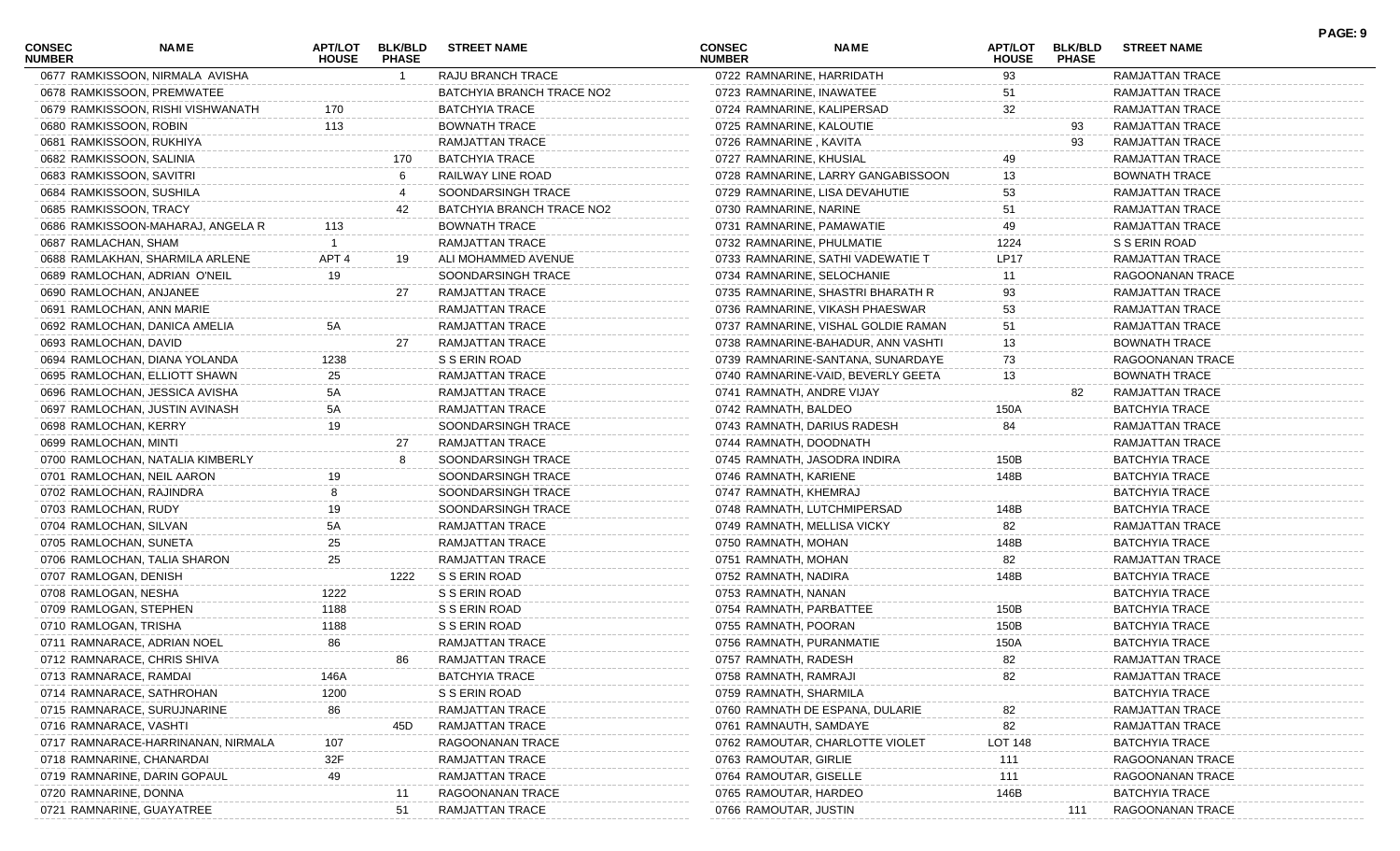| <b>CONSEC</b><br><b>NUMBER</b> | <b>NAME</b>                        | <b>HOUSE</b>     | <b>PHASE</b> | APT/LOT BLK/BLD STREET NAME | <b>CONSEC</b><br><b>NUMBER</b> | <b>NAME</b>                         | <b>HOUSE</b>   | APT/LOT BLK/BLD<br><b>PHASE</b> | <b>STREET NAME</b>     |  |
|--------------------------------|------------------------------------|------------------|--------------|-----------------------------|--------------------------------|-------------------------------------|----------------|---------------------------------|------------------------|--|
|                                | 0677 RAMKISSOON, NIRMALA AVISHA    |                  | - 1          | RAJU BRANCH TRACE           |                                | 0722 RAMNARINE, HARRIDATH           | 93             |                                 | RAMJATTAN TRACE        |  |
|                                | 0678 RAMKISSOON, PREMWATEE         |                  |              | BATCHYIA BRANCH TRACE NO2   |                                | 0723 RAMNARINE, INAWATEE            | 51             |                                 | RAMJATTAN TRACE        |  |
|                                | 0679 RAMKISSOON, RISHI VISHWANATH  | 170              |              | <b>BATCHYIA TRACE</b>       |                                | 0724 RAMNARINE, KALIPERSAD          | 32             |                                 | <b>RAMJATTAN TRACE</b> |  |
| 0680 RAMKISSOON, ROBIN         |                                    | 113              |              | <b>BOWNATH TRACE</b>        |                                | 0725 RAMNARINE, KALOUTIE            |                | 93                              | <b>RAMJATTAN TRACE</b> |  |
|                                | 0681 RAMKISSOON, RUKHIYA           |                  |              | RAMJATTAN TRACE             | 0726 RAMNARINE, KAVITA         |                                     |                | 93                              | RAMJATTAN TRACE        |  |
|                                | 0682 RAMKISSOON, SALINIA           |                  | 170          | <b>BATCHYIA TRACE</b>       |                                | 0727 RAMNARINE, KHUSIAL             | 49             |                                 | RAMJATTAN TRACE        |  |
|                                | 0683 RAMKISSOON, SAVITRI           |                  |              | RAILWAY LINE ROAD           |                                | 0728 RAMNARINE, LARRY GANGABISSOON  | 13             |                                 | <b>BOWNATH TRACE</b>   |  |
|                                | 0684 RAMKISSOON, SUSHILA           |                  |              | SOONDARSINGH TRACE          |                                | 0729 RAMNARINE, LISA DEVAHUTIE      | 53             |                                 | RAMJATTAN TRACE        |  |
|                                | 0685 RAMKISSOON, TRACY             |                  | 42           | BATCHYIA BRANCH TRACE NO2   | 0730 RAMNARINE, NARINE         |                                     | 51             |                                 | RAMJATTAN TRACE        |  |
|                                | 0686 RAMKISSOON-MAHARAJ, ANGELA R  | 113              |              | <b>BOWNATH TRACE</b>        |                                | 0731 RAMNARINE, PAMAWATIE           | 49             |                                 | RAMJATTAN TRACE        |  |
| 0687 RAMLACHAN, SHAM           |                                    |                  |              | RAMJATTAN TRACE             |                                | 0732 RAMNARINE, PHULMATIE           | 1224           |                                 | S S ERIN ROAD          |  |
|                                | 0688 RAMLAKHAN, SHARMILA ARLENE    | APT <sub>4</sub> | 19           | ALI MOHAMMED AVENUE         |                                | 0733 RAMNARINE, SATHI VADEWATIE T   | <b>LP17</b>    |                                 | RAMJATTAN TRACE        |  |
|                                | 0689 RAMLOCHAN, ADRIAN O'NEIL      | 19               |              | SOONDARSINGH TRACE          |                                | 0734 RAMNARINE, SELOCHANIE          | 11             |                                 | RAGOONANAN TRACE       |  |
|                                | 0690 RAMLOCHAN, ANJANEE            |                  | 27           | RAMJATTAN TRACE             |                                | 0735 RAMNARINE, SHASTRI BHARATH R   | 93             |                                 | RAMJATTAN TRACE        |  |
|                                | 0691 RAMLOCHAN, ANN MARIE          |                  |              | RAMJATTAN TRACE             |                                | 0736 RAMNARINE, VIKASH PHAESWAR     | 53             |                                 | RAMJATTAN TRACE        |  |
|                                | 0692 RAMLOCHAN, DANICA AMELIA      |                  |              | <b>RAMJATTAN TRACE</b>      |                                | 0737 RAMNARINE, VISHAL GOLDIE RAMAN | 51             |                                 | <b>RAMJATTAN TRACE</b> |  |
| 0693 RAMLOCHAN, DAVID          |                                    |                  | 27           | RAMJATTAN TRACE             |                                | 0738 RAMNARINE-BAHADUR, ANN VASHTI  | 13             |                                 | <b>BOWNATH TRACE</b>   |  |
|                                | 0694 RAMLOCHAN, DIANA YOLANDA      | 1238             |              | S S ERIN ROAD               |                                | 0739 RAMNARINE-SANTANA, SUNARDAYE   | 73             |                                 | RAGOONANAN TRACE       |  |
|                                | 0695 RAMLOCHAN, ELLIOTT SHAWN      | 25               |              | RAMJATTAN TRACE             |                                | 0740 RAMNARINE-VAID, BEVERLY GEETA  | 13             |                                 | <b>BOWNATH TRACE</b>   |  |
|                                | 0696 RAMLOCHAN, JESSICA AVISHA     | 5A               |              | RAMJATTAN TRACE             |                                | 0741 RAMNATH, ANDRE VIJAY           |                | 82                              | RAMJATTAN TRACE        |  |
|                                | 0697 RAMLOCHAN, JUSTIN AVINASH     | 5A               |              | RAMJATTAN TRACE             | 0742 RAMNATH, BALDEO           |                                     | 150A           |                                 | <b>BATCHYIA TRACE</b>  |  |
| 0698 RAMLOCHAN, KERRY          |                                    | 19               |              | SOONDARSINGH TRACE          |                                | 0743 RAMNATH, DARIUS RADESH         | 84             |                                 | RAMJATTAN TRACE        |  |
| 0699 RAMLOCHAN, MINTI          |                                    |                  | 27           | RAMJATTAN TRACE             |                                | 0744 RAMNATH, DOODNATH              |                |                                 | RAMJATTAN TRACE        |  |
|                                | 0700 RAMLOCHAN, NATALIA KIMBERLY   |                  | 8            | SOONDARSINGH TRACE          |                                | 0745 RAMNATH, JASODRA INDIRA        | 150B           |                                 | <b>BATCHYIA TRACE</b>  |  |
|                                | 0701 RAMLOCHAN, NEIL AARON         | 19.              |              | SOONDARSINGH TRACE          | 0746 RAMNATH, KARIENE          |                                     | 148B           |                                 | <b>BATCHYIA TRACE</b>  |  |
|                                | 0702 RAMLOCHAN, RAJINDRA           |                  |              | SOONDARSINGH TRACE          | 0747 RAMNATH, KHEMRAJ          |                                     |                |                                 | <b>BATCHYIA TRACE</b>  |  |
| 0703 RAMLOCHAN, RUDY           |                                    |                  |              | SOONDARSINGH TRACE          |                                | 0748 RAMNATH, LUTCHMIPERSAD         | 148B           |                                 | <b>BATCHYIA TRACE</b>  |  |
| 0704 RAMLOCHAN, SILVAN         |                                    | 5А               |              | RAMJATTAN TRACE             |                                | 0749 RAMNATH, MELLISA VICKY         | 82             |                                 | RAMJATTAN TRACE        |  |
|                                | 0705 RAMLOCHAN, SUNETA             | 25               |              | RAMJATTAN TRACE             | 0750 RAMNATH, MOHAN            |                                     | 148B           |                                 | <b>BATCHYIA TRACE</b>  |  |
|                                | 0706 RAMLOCHAN, TALIA SHARON       | 25               |              | RAMJATTAN TRACE             | 0751 RAMNATH, MOHAN            |                                     | 82             |                                 | RAMJATTAN TRACE        |  |
| 0707 RAMLOGAN, DENISH          |                                    |                  | 1222         | S S ERIN ROAD               | 0752 RAMNATH, NADIRA           |                                     | 148B           |                                 | <b>BATCHYIA TRACE</b>  |  |
| 0708 RAMLOGAN, NESHA           |                                    | 1222             |              | S S ERIN ROAD               | 0753 RAMNATH, NANAN            |                                     |                |                                 | <b>BATCHYIA TRACE</b>  |  |
|                                | 0709 RAMLOGAN, STEPHEN             | 1188             |              | S S ERIN ROAD               |                                | 0754 RAMNATH, PARBATTEE             | 150B           |                                 | <b>BATCHYIA TRACE</b>  |  |
| 0710 RAMLOGAN, TRISHA          |                                    | 1188             |              | S S ERIN ROAD               | 0755 RAMNATH, POORAN           |                                     | 150B           |                                 | <b>BATCHYIA TRACE</b>  |  |
|                                | 0711 RAMNARACE, ADRIAN NOEL        | 86               |              | RAMJATTAN TRACE             |                                | 0756 RAMNATH, PURANMATIE            | 150A           |                                 | <b>BATCHYIA TRACE</b>  |  |
|                                | 0712 RAMNARACE, CHRIS SHIVA        |                  |              | RAMJATTAN TRACE             | 0757 RAMNATH, RADESH           |                                     | 82             |                                 | RAMJATTAN TRACE        |  |
|                                | 0713 RAMNARACE, RAMDAI             | 146A             |              | <b>BATCHYIA TRACE</b>       | 0758 RAMNATH, RAMRAJI          |                                     | 82             |                                 | RAMJATTAN TRACE        |  |
|                                | 0714 RAMNARACE, SATHROHAN          | 1200             |              | S S ERIN ROAD               | 0759 RAMNATH, SHARMILA         |                                     |                |                                 | <b>BATCHYIA TRACE</b>  |  |
|                                | 0715 RAMNARACE, SURUJNARINE        | 86               |              | <b>RAMJATTAN TRACE</b>      |                                | 0760 RAMNATH DE ESPANA, DULARIE     |                |                                 | <b>RAMJATTAN TRACE</b> |  |
| 0716 RAMNARACE, VASHTI         |                                    |                  | 45D          | RAMJATTAN TRACE             |                                | 0761 RAMNAUTH, SAMDAYE              | 82             |                                 | RAMJATTAN TRACE        |  |
|                                | 0717 RAMNARACE-HARRINANAN, NIRMALA | 107              |              | RAGOONANAN TRACE            |                                | 0762 RAMOUTAR, CHARLOTTE VIOLET     | <b>LOT 148</b> |                                 | BATCHYIA TRACE         |  |
|                                | 0718 RAMNARINE, CHANARDAI          | 32F              |              | RAMJATTAN TRACE             | 0763 RAMOUTAR, GIRLIE          |                                     | 111            |                                 | RAGOONANAN TRACE       |  |
|                                | 0719 RAMNARINE, DARIN GOPAUL       | 49               |              | <b>RAMJATTAN TRACE</b>      | 0764 RAMOUTAR, GISELLE         |                                     | 111            |                                 | RAGOONANAN TRACE       |  |
| 0720 RAMNARINE, DONNA          |                                    |                  | 11           | RAGOONANAN TRACE            | 0765 RAMOUTAR, HARDEO          |                                     | 146B           |                                 | <b>BATCHYIA TRACE</b>  |  |
|                                | 0721 RAMNARINE, GUAYATREE          |                  | 51           | RAMJATTAN TRACE             | 0766 RAMOUTAR, JUSTIN          |                                     |                | 111                             | RAGOONANAN TRACE       |  |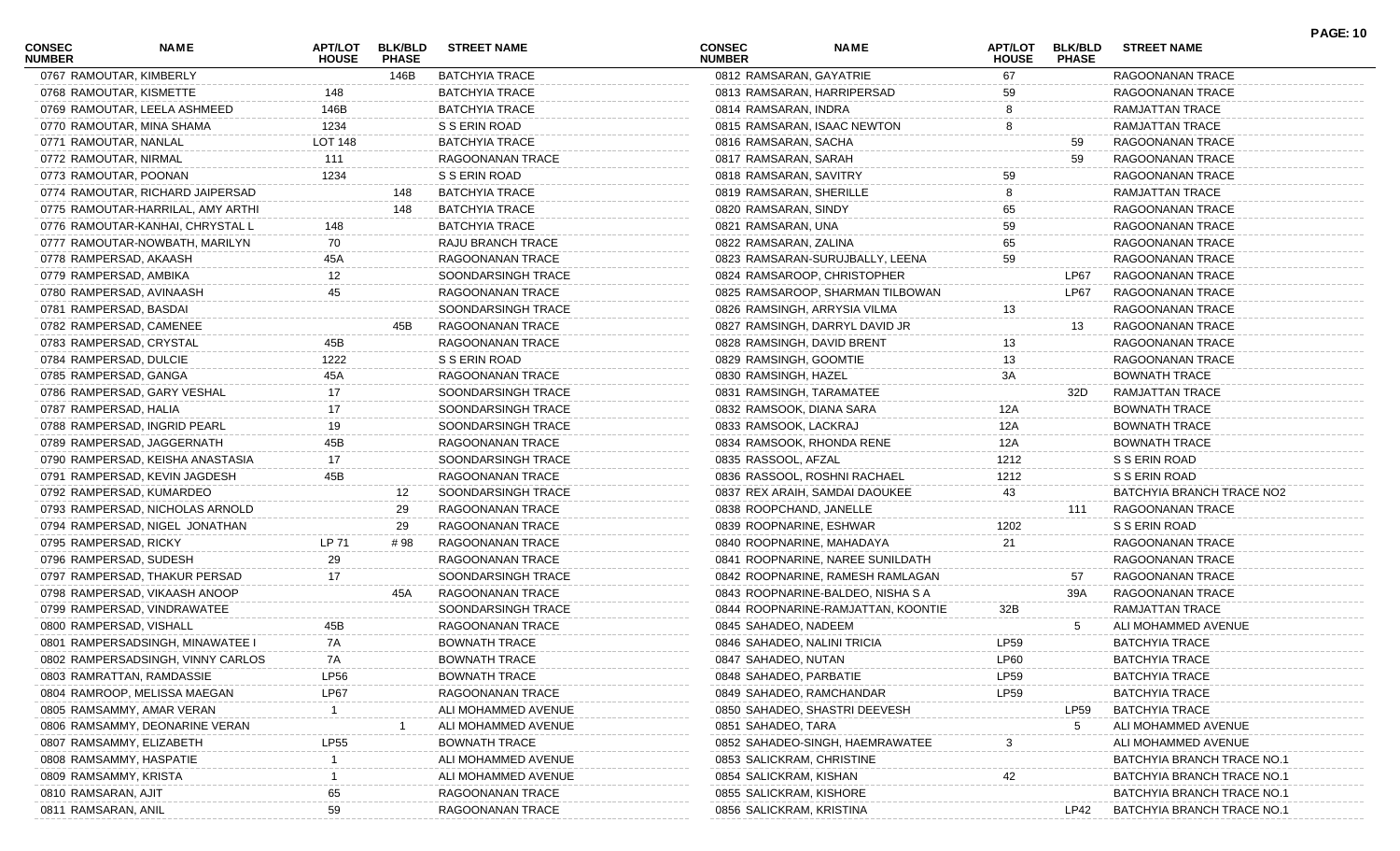| CONSEC<br><b>NUMBER</b>   | NAME                              | <b>APT/LOT</b><br><b>HOUSE</b> | <b>BLK/BLD</b><br><b>PHASE</b> | <b>STREET NAME</b>    | <b>CONSEC</b><br><b>NUMBER</b> | <b>NAME</b>                        | APT/LOT<br><b>HOUSE</b> | <b>BLK/BLD</b><br><b>PHASE</b> | <b>STREET NAME</b>         | <b>PAGE: 10</b> |
|---------------------------|-----------------------------------|--------------------------------|--------------------------------|-----------------------|--------------------------------|------------------------------------|-------------------------|--------------------------------|----------------------------|-----------------|
| 0767 RAMOUTAR, KIMBERLY   |                                   |                                | 146B                           | <b>BATCHYIA TRACE</b> | 0812 RAMSARAN, GAYATRIE        |                                    | 67                      |                                | RAGOONANAN TRACE           |                 |
| 0768 RAMOUTAR, KISMETTE   |                                   | 148                            |                                | <b>BATCHYIA TRACE</b> | 0813 RAMSARAN, HARRIPERSAD     |                                    | 59                      |                                | RAGOONANAN TRACE           |                 |
|                           | 0769 RAMOUTAR, LEELA ASHMEED      | 146B                           |                                | <b>BATCHYIA TRACE</b> | 0814 RAMSARAN, INDRA           |                                    |                         |                                | RAMJATTAN TRACE            |                 |
| 0770 RAMOUTAR, MINA SHAMA |                                   | 1234                           |                                | S S ERIN ROAD         |                                | 0815 RAMSARAN, ISAAC NEWTON        | 8                       |                                | RAMJATTAN TRACE            |                 |
| 0771 RAMOUTAR, NANLAL     |                                   | <b>LOT 148</b>                 |                                | BATCHYIA TRACE        | 0816 RAMSARAN, SACHA           |                                    |                         | 59                             | RAGOONANAN TRACE           |                 |
| 0772 RAMOUTAR, NIRMAL     |                                   | 111                            |                                | RAGOONANAN TRACE      | 0817 RAMSARAN, SARAH           |                                    |                         | 59                             | RAGOONANAN TRACE           |                 |
| 0773 RAMOUTAR, POONAN     |                                   | 1234                           |                                | S S ERIN ROAD         | 0818 RAMSARAN, SAVITRY         |                                    | 59                      |                                | RAGOONANAN TRACE           |                 |
|                           | 0774 RAMOUTAR, RICHARD JAIPERSAD  |                                | 148                            | <b>BATCHYIA TRACE</b> | 0819 RAMSARAN, SHERILLE        |                                    |                         |                                | RAMJATTAN TRACE            |                 |
|                           | 0775 RAMOUTAR-HARRILAL, AMY ARTHI |                                | 148                            | <b>BATCHYIA TRACE</b> | 0820 RAMSARAN, SINDY           |                                    | 65                      |                                | RAGOONANAN TRACE           |                 |
|                           | 0776 RAMOUTAR-KANHAI, CHRYSTAL L  | 148                            |                                | <b>BATCHYIA TRACE</b> | 0821 RAMSARAN, UNA             |                                    | 59                      |                                | RAGOONANAN TRACE           |                 |
|                           | 0777 RAMOUTAR-NOWBATH, MARILYN    | 70                             |                                | RAJU BRANCH TRACE     | 0822 RAMSARAN, ZALINA          |                                    | 65                      |                                | RAGOONANAN TRACE           |                 |
| 0778 RAMPERSAD, AKAASH    |                                   | 45A                            |                                | RAGOONANAN TRACE      |                                | 0823 RAMSARAN-SURUJBALLY, LEENA    | 59                      |                                | RAGOONANAN TRACE           |                 |
| 0779 RAMPERSAD, AMBIKA    |                                   | 12                             |                                | SOONDARSINGH TRACE    |                                | 0824 RAMSAROOP, CHRISTOPHER        |                         | LP67                           | RAGOONANAN TRACE           |                 |
| 0780 RAMPERSAD, AVINAASH  |                                   | 45                             |                                | RAGOONANAN TRACE      |                                | 0825 RAMSAROOP, SHARMAN TILBOWAN   |                         | LP67                           | RAGOONANAN TRACE           |                 |
| 0781 RAMPERSAD, BASDAI    |                                   |                                |                                | SOONDARSINGH TRACE    |                                | 0826 RAMSINGH, ARRYSIA VILMA       | 13                      |                                | RAGOONANAN TRACE           |                 |
| 0782 RAMPERSAD, CAMENEE   |                                   |                                | 45B                            | RAGOONANAN TRACE      |                                | 0827 RAMSINGH, DARRYL DAVID JR     |                         | 13                             | RAGOONANAN TRACE           |                 |
| 0783 RAMPERSAD, CRYSTAL   |                                   | 45B                            |                                | RAGOONANAN TRACE      | 0828 RAMSINGH, DAVID BRENT     |                                    | 13                      |                                | RAGOONANAN TRACE           |                 |
| 0784 RAMPERSAD, DULCIE    |                                   | 1222                           |                                | S S ERIN ROAD         | 0829 RAMSINGH, GOOMTIE         |                                    | 13                      |                                | RAGOONANAN TRACE           |                 |
| 0785 RAMPERSAD, GANGA     |                                   | 45A                            |                                | RAGOONANAN TRACE      | 0830 RAMSINGH, HAZEL           |                                    | 3A                      |                                | <b>BOWNATH TRACE</b>       |                 |
|                           | 0786 RAMPERSAD, GARY VESHAL       | 17                             |                                | SOONDARSINGH TRACE    | 0831 RAMSINGH, TARAMATEE       |                                    |                         | 32D                            | RAMJATTAN TRACE            |                 |
| 0787 RAMPERSAD, HALIA     |                                   | 17                             |                                | SOONDARSINGH TRACE    | 0832 RAMSOOK, DIANA SARA       |                                    | 12A                     |                                | <b>BOWNATH TRACE</b>       |                 |
|                           | 0788 RAMPERSAD, INGRID PEARL      | 19                             |                                | SOONDARSINGH TRACE    | 0833 RAMSOOK, LACKRAJ          |                                    | 12A                     |                                | BOWNATH TRACE              |                 |
|                           | 0789 RAMPERSAD, JAGGERNATH        | 45B                            |                                | RAGOONANAN TRACE      | 0834 RAMSOOK, RHONDA RENE      |                                    | 12A                     |                                | BOWNATH TRACE              |                 |
|                           | 0790 RAMPERSAD, KEISHA ANASTASIA  | 17                             |                                | SOONDARSINGH TRACE    | 0835 RASSOOL, AFZAL            |                                    | 1212                    |                                | S S ERIN ROAD              |                 |
|                           | 0791 RAMPERSAD, KEVIN JAGDESH     | 45B                            |                                | RAGOONANAN TRACE      |                                | 0836 RASSOOL, ROSHNI RACHAEL       | 1212                    |                                | S S ERIN ROAD              |                 |
| 0792 RAMPERSAD, KUMARDEO  |                                   |                                | 12                             | SOONDARSINGH TRACE    |                                | 0837 REX ARAIH, SAMDAI DAOUKEE     | 43                      |                                | BATCHYIA BRANCH TRACE NO2  |                 |
|                           | 0793 RAMPERSAD, NICHOLAS ARNOLD   |                                | 29                             | RAGOONANAN TRACE      | 0838 ROOPCHAND, JANELLE        |                                    |                         | 111                            | RAGOONANAN TRACE           |                 |
|                           | 0794 RAMPERSAD, NIGEL JONATHAN    |                                | 29                             | RAGOONANAN TRACE      | 0839 ROOPNARINE, ESHWAR        |                                    | 1202                    |                                | S S ERIN ROAD              |                 |
| 0795 RAMPERSAD, RICKY     |                                   | LP 71                          | # 98                           | RAGOONANAN TRACE      | 0840 ROOPNARINE, MAHADAYA      |                                    | 21                      |                                | RAGOONANAN TRACE           |                 |
| 0796 RAMPERSAD, SUDESH    |                                   | 29                             |                                | RAGOONANAN TRACE      |                                | 0841 ROOPNARINE, NAREE SUNILDATH   |                         |                                | RAGOONANAN TRACE           |                 |
|                           | 0797 RAMPERSAD, THAKUR PERSAD     | 17                             |                                | SOONDARSINGH TRACE    |                                | 0842 ROOPNARINE, RAMESH RAMLAGAN   |                         | 57                             | RAGOONANAN TRACE           |                 |
|                           | 0798 RAMPERSAD, VIKAASH ANOOP     |                                | 45A                            | RAGOONANAN TRACE      |                                | 0843 ROOPNARINE-BALDEO, NISHA S A  |                         | 39A                            | RAGOONANAN TRACE           |                 |
|                           | 0799 RAMPERSAD, VINDRAWATEE       |                                |                                | SOONDARSINGH TRACE    |                                | 0844 ROOPNARINE-RAMJATTAN, KOONTIE | 32B                     |                                | RAMJATTAN TRACE            |                 |
| 0800 RAMPERSAD, VISHALL   |                                   | 45B                            |                                | RAGOONANAN TRACE      | 0845 SAHADEO, NADEEM           |                                    |                         | 5                              | ALI MOHAMMED AVENUE        |                 |
|                           | 0801 RAMPERSADSINGH, MINAWATEE I  | 7A                             |                                | <b>BOWNATH TRACE</b>  | 0846 SAHADEO, NALINI TRICIA    |                                    | LP59                    |                                | <b>BATCHYIA TRACE</b>      |                 |
|                           | 0802 RAMPERSADSINGH, VINNY CARLOS | 7A                             |                                | <b>BOWNATH TRACE</b>  | 0847 SAHADEO, NUTAN            |                                    | LP60                    |                                | <b>BATCHYIA TRACE</b>      |                 |
| 0803 RAMRATTAN, RAMDASSIE |                                   | LP56                           |                                | <b>BOWNATH TRACE</b>  | 0848 SAHADEO, PARBATIE         |                                    | LP59                    |                                | <b>BATCHYIA TRACE</b>      |                 |
|                           | 0804 RAMROOP, MELISSA MAEGAN      | LP67                           |                                | RAGOONANAN TRACE      | 0849 SAHADEO, RAMCHANDAR       |                                    | <b>LP59</b>             |                                | <b>BATCHYIA TRACE</b>      |                 |
| 0805 RAMSAMMY, AMAR VERAN |                                   |                                |                                | ALI MOHAMMED AVENUE   |                                | 0850 SAHADEO, SHASTRI DEEVESH      |                         | LP59                           | <b>BATCHYIA TRACE</b>      |                 |
|                           | 0806 RAMSAMMY, DEONARINE VERAN    |                                |                                | ALI MOHAMMED AVENUE   | 0851 SAHADEO, TARA             |                                    |                         | $5^{\circ}$                    | ALI MOHAMMED AVENUE        |                 |
| 0807 RAMSAMMY, ELIZABETH  |                                   | <b>LP55</b>                    |                                | <b>BOWNATH TRACE</b>  |                                | 0852 SAHADEO-SINGH, HAEMRAWATEE    | 3                       |                                | ALI MOHAMMED AVENUE        |                 |
| 0808 RAMSAMMY, HASPATIE   |                                   |                                |                                | ALI MOHAMMED AVENUE   | 0853 SALICKRAM, CHRISTINE      |                                    |                         |                                | BATCHYIA BRANCH TRACE NO.  |                 |
| 0809 RAMSAMMY, KRISTA     |                                   |                                |                                | ALI MOHAMMED AVENUE   | 0854 SALICKRAM, KISHAN         |                                    |                         |                                | BATCHYIA BRANCH TRACE NO.1 |                 |
| 0810 RAMSARAN, AJIT       |                                   | 65                             |                                | RAGOONANAN TRACE      | 0855 SALICKRAM, KISHORE        |                                    |                         |                                | BATCHYIA BRANCH TRACE NO.1 |                 |
| 0811 RAMSARAN, ANIL       |                                   | 59                             |                                | RAGOONANAN TRACE      | 0856 SALICKRAM, KRISTINA       |                                    |                         | LP42                           | BATCHYIA BRANCH TRACE NO.1 |                 |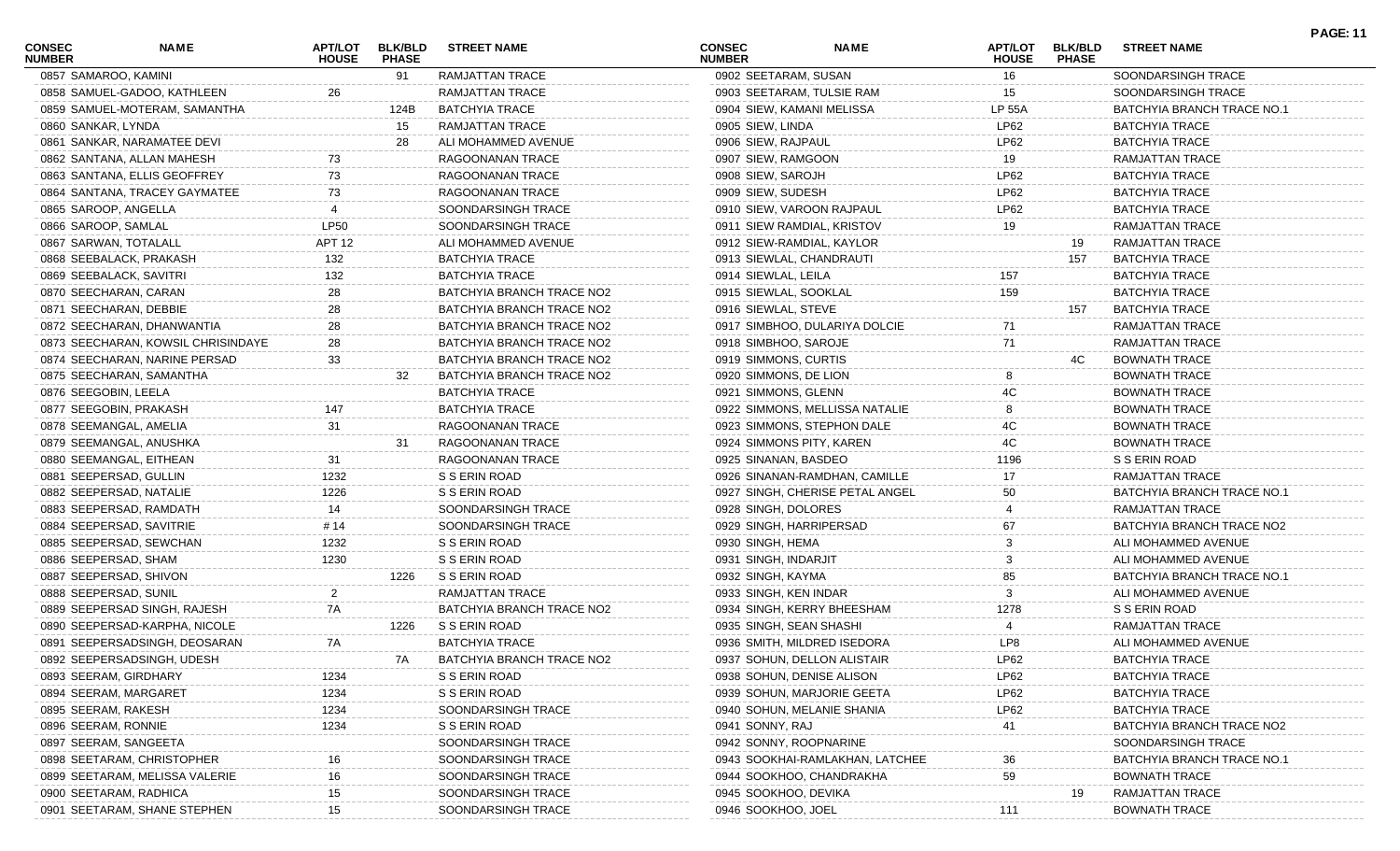| <b>CONSEC</b><br><b>NUMBER</b> | NAME                                                         | APT/LOT<br><b>HOUSE</b> | <b>BLK/BLD</b><br><b>PHASE</b> | <b>STREET NAME</b>                       | CONSEC<br><b>NUMBER</b> | <b>NAME</b>                     | APT/LOT<br><b>HOUSE</b> | <b>BLK/BLD</b><br><b>PHASE</b> | <b>STREET NAME</b>                               | <b>PAGE: 11</b> |
|--------------------------------|--------------------------------------------------------------|-------------------------|--------------------------------|------------------------------------------|-------------------------|---------------------------------|-------------------------|--------------------------------|--------------------------------------------------|-----------------|
| 0857 SAMAROO, KAMINI           |                                                              |                         | 91                             | RAMJATTAN TRACE                          | 0902 SEETARAM, SUSAN    |                                 | 16                      |                                | SOONDARSINGH TRACE                               |                 |
|                                | 0858 SAMUEL-GADOO, KATHLEEN                                  | 26                      |                                | RAMJATTAN TRACE                          |                         | 0903 SEETARAM, TULSIE RAM       | 15                      |                                | SOONDARSINGH TRACE                               |                 |
|                                | 0859 SAMUEL-MOTERAM, SAMANTHA                                |                         | 124B                           | <b>BATCHYIA TRACE</b>                    |                         | 0904 SIEW, KAMANI MELISSA       | <b>LP 55A</b>           |                                | BATCHYIA BRANCH TRACE NO.1                       |                 |
| 0860 SANKAR, LYNDA             |                                                              |                         | 15                             | RAMJATTAN TRACE                          | 0905 SIEW, LINDA        |                                 | LP62                    |                                | <b>BATCHYIA TRACE</b>                            |                 |
|                                | 0861 SANKAR, NARAMATEE DEVI                                  |                         | 28                             | ALI MOHAMMED AVENUE                      | 0906 SIEW, RAJPAUL      |                                 | LP62                    |                                | <b>BATCHYIA TRACE</b>                            |                 |
|                                | 0862 SANTANA, ALLAN MAHESH                                   | 73                      |                                | RAGOONANAN TRACE                         | 0907 SIEW, RAMGOON      |                                 | 19                      |                                | RAMJATTAN TRACE                                  |                 |
|                                | 0863 SANTANA, ELLIS GEOFFREY                                 | 73                      |                                | RAGOONANAN TRACE                         | 0908 SIEW, SAROJH       |                                 | LP62                    |                                | <b>BATCHYIA TRACE</b>                            |                 |
|                                | 0864 SANTANA, TRACEY GAYMATEE                                | 73                      |                                | RAGOONANAN TRACE                         | 0909 SIEW, SUDESH       |                                 | LP62                    |                                | <b>BATCHYIA TRACE</b>                            |                 |
| 0865 SAROOP, ANGELLA           |                                                              |                         |                                | SOONDARSINGH TRACE                       |                         | 0910 SIEW, VAROON RAJPAUL       | LP62                    |                                | <b>BATCHYIA TRACE</b>                            |                 |
| 0866 SAROOP, SAMLAL            |                                                              | <b>LP50</b>             |                                | SOONDARSINGH TRACE                       |                         | 0911 SIEW RAMDIAL, KRISTOV      | 19                      |                                | RAMJATTAN TRACE                                  |                 |
|                                | 0867 SARWAN, TOTALALL                                        | APT 12                  |                                | ALI MOHAMMED AVENUE                      |                         | 0912 SIEW-RAMDIAL, KAYLOR       |                         | 19                             | RAMJATTAN TRACE                                  |                 |
|                                | 0868 SEEBALACK, PRAKASH                                      | 132                     |                                | <b>BATCHYIA TRACE</b>                    |                         | 0913 SIEWLAL, CHANDRAUTI        |                         | 157                            | <b>BATCHYIA TRACE</b>                            |                 |
|                                | 0869 SEEBALACK, SAVITRI                                      | 132                     |                                | <b>BATCHYIA TRACE</b>                    | 0914 SIEWLAL, LEILA     |                                 | 157                     |                                | <b>BATCHYIA TRACE</b>                            |                 |
|                                | 0870 SEECHARAN, CARAN                                        | 28                      |                                | BATCHYIA BRANCH TRACE NO2                | 0915 SIEWLAL, SOOKLAL   |                                 | 159                     |                                | <b>BATCHYIA TRACE</b>                            |                 |
|                                | 0871 SEECHARAN, DEBBIE                                       | 28                      |                                | BATCHYIA BRANCH TRACE NO2                | 0916 SIEWLAL, STEVE     |                                 |                         | 157                            | <b>BATCHYIA TRACE</b>                            |                 |
|                                | 0872 SEECHARAN, DHANWANTIA                                   | 28                      |                                | BATCHYIA BRANCH TRACE NO2                |                         | 0917 SIMBHOO, DULARIYA DOLCIE   | 71                      |                                | RAMJATTAN TRACE                                  |                 |
|                                | 0873 SEECHARAN, KOWSIL CHRISINDAYE                           | 28                      |                                | BATCHYIA BRANCH TRACE NO2                | 0918 SIMBHOO, SAROJE    |                                 | 71                      |                                | <b>RAMJATTAN TRACE</b>                           |                 |
|                                | 0874 SEECHARAN, NARINE PERSAD                                | 33                      |                                | BATCHYIA BRANCH TRACE NO2                | 0919 SIMMONS, CURTIS    |                                 |                         | 4C.                            | <b>BOWNATH TRACE</b>                             |                 |
|                                | 0875 SEECHARAN, SAMANTHA                                     |                         | 32                             | BATCHYIA BRANCH TRACE NO2                | 0920 SIMMONS, DE LION   |                                 |                         |                                | <b>BOWNATH TRACE</b>                             |                 |
| 0876 SEEGOBIN, LEELA           |                                                              |                         |                                | BATCHYIA TRACE                           | 0921 SIMMONS, GLENN     |                                 | 4C                      |                                | <b>BOWNATH TRACE</b>                             |                 |
|                                | 0877 SEEGOBIN, PRAKASH                                       | 147                     |                                | <b>BATCHYIA TRACE</b>                    |                         | 0922 SIMMONS, MELLISSA NATALIE  |                         |                                | <b>BOWNATH TRACE</b>                             |                 |
|                                | 0878 SEEMANGAL, AMELIA                                       | 31                      |                                | RAGOONANAN TRACE                         |                         | 0923 SIMMONS, STEPHON DALE      | 4C                      |                                | <b>BOWNATH TRACE</b>                             |                 |
|                                | 0879 SEEMANGAL, ANUSHKA                                      |                         | -31                            | RAGOONANAN TRACE                         |                         | 0924 SIMMONS PITY, KAREN        | 4C                      |                                | <b>BOWNATH TRACE</b>                             |                 |
|                                | 0880 SEEMANGAL, EITHEAN                                      | 31                      |                                | RAGOONANAN TRACE                         | 0925 SINANAN, BASDEO    |                                 | 1196                    |                                | S S ERIN ROAD                                    |                 |
|                                | 0881 SEEPERSAD, GULLIN                                       | 1232                    |                                | S S ERIN ROAD                            |                         | 0926 SINANAN-RAMDHAN, CAMILLE   | 17                      |                                | RAMJATTAN TRACE                                  |                 |
|                                | 0882 SEEPERSAD, NATALIE                                      | 1226                    |                                | S S ERIN ROAD                            |                         | 0927 SINGH, CHERISE PETAL ANGEL | 50                      |                                | BATCHYIA BRANCH TRACE NO.1                       |                 |
|                                | 0883 SEEPERSAD, RAMDATH                                      | 14                      |                                | SOONDARSINGH TRACE                       | 0928 SINGH, DOLORES     |                                 |                         |                                | RAMJATTAN TRACE                                  |                 |
|                                | 0884 SEEPERSAD, SAVITRIE                                     | # 14                    |                                | SOONDARSINGH TRACE                       | 0929 SINGH, HARRIPERSAD |                                 | 67                      |                                | BATCHYIA BRANCH TRACE NO2                        |                 |
|                                | 0885 SEEPERSAD, SEWCHAN                                      | 1232                    |                                | S S ERIN ROAD                            | 0930 SINGH, HEMA        |                                 |                         |                                | ALI MOHAMMED AVENUE                              |                 |
| 0886 SEEPERSAD, SHAM           |                                                              | 1230                    |                                | S S ERIN ROAD                            | 0931 SINGH, INDARJIT    |                                 |                         |                                | ALI MOHAMMED AVENUE                              |                 |
|                                | 0887 SEEPERSAD, SHIVON                                       |                         | 1226                           | S S ERIN ROAD                            | 0932 SINGH, KAYMA       |                                 | 85                      |                                | BATCHYIA BRANCH TRACE NO.1                       |                 |
| 0888 SEEPERSAD, SUNIL          |                                                              | 2                       |                                | RAMJATTAN TRACE                          | 0933 SINGH, KEN INDAR   |                                 | 3                       |                                | ALI MOHAMMED AVENUE                              |                 |
|                                | 0889 SEEPERSAD SINGH, RAJESH                                 | 7A                      |                                | BATCHYIA BRANCH TRACE NO2                |                         | 0934 SINGH, KERRY BHEESHAM      | 1278                    |                                | S S ERIN ROAD                                    |                 |
|                                | 0890 SEEPERSAD-KARPHA, NICOLE                                |                         | 1226                           | S S ERIN ROAD                            | 0935 SINGH, SEAN SHASHI |                                 |                         |                                | RAMJATTAN TRACE                                  |                 |
|                                | 0891 SEEPERSADSINGH, DEOSARAN                                | 7A                      |                                | <b>BATCHYIA TRACE</b>                    |                         | 0936 SMITH, MILDRED ISEDORA     | LP8                     |                                | ALI MOHAMMED AVENUE                              |                 |
|                                | 0892 SEEPERSADSINGH, UDESH                                   |                         | 7A                             | BATCHYIA BRANCH TRACE NO2                |                         | 0937 SOHUN, DELLON ALISTAIR     | LP62                    |                                | <b>BATCHYIA TRACE</b>                            |                 |
|                                | 0893 SEERAM, GIRDHARY                                        | 1234                    |                                | S S ERIN ROAD                            |                         | 0938 SOHUN, DENISE ALISON       | LP62                    |                                | <b>BATCHYIA TRACE</b>                            |                 |
|                                | 0894 SEERAM, MARGARET                                        | 1234                    |                                | S S ERIN ROAD                            |                         | 0939 SOHUN, MARJORIE GEETA      | LP62                    |                                | <b>BATCHYIA TRACE</b>                            |                 |
| 0895 SEERAM, RAKESH            |                                                              | 1234                    |                                | SOONDARSINGH TRACE                       |                         | 0940 SOHUN, MELANIE SHANIA      | LP62                    |                                | <b>BATCHYIA TRACE</b>                            |                 |
|                                |                                                              |                         |                                |                                          |                         |                                 |                         |                                |                                                  |                 |
| 0896 SEERAM, RONNIE            |                                                              | 1234                    |                                | S S ERIN ROAD                            | 0941 SONNY, RAJ         |                                 | 41                      |                                | BATCHYIA BRANCH TRACE NO2                        |                 |
|                                | 0897 SEERAM, SANGEETA                                        |                         |                                | SOONDARSINGH TRACE<br>SOONDARSINGH TRACE | 0942 SONNY, ROOPNARINE  |                                 |                         |                                | SOONDARSINGH TRACE<br>BATCHYIA BRANCH TRACE NO.1 |                 |
|                                | 0898 SEETARAM, CHRISTOPHER<br>0899 SEETARAM, MELISSA VALERIE |                         |                                | SOONDARSINGH TRACE                       |                         | 0943 SOOKHAI-RAMLAKHAN, LATCHEE | 36                      |                                |                                                  |                 |
|                                |                                                              | 16                      |                                |                                          |                         | 0944 SOOKHOO, CHANDRAKHA        | 59                      |                                | <b>BOWNATH TRACE</b>                             |                 |
|                                | 0900 SEETARAM, RADHICA                                       | 15                      |                                | SOONDARSINGH TRACE                       | 0945 SOOKHOO, DEVIKA    |                                 |                         | 19                             | RAMJATTAN TRACE                                  |                 |
|                                | 0901 SEETARAM, SHANE STEPHEN                                 | 15                      |                                | SOONDARSINGH TRACE                       | 0946 SOOKHOO, JOEL      |                                 | 111                     |                                | <b>BOWNATH TRACE</b>                             |                 |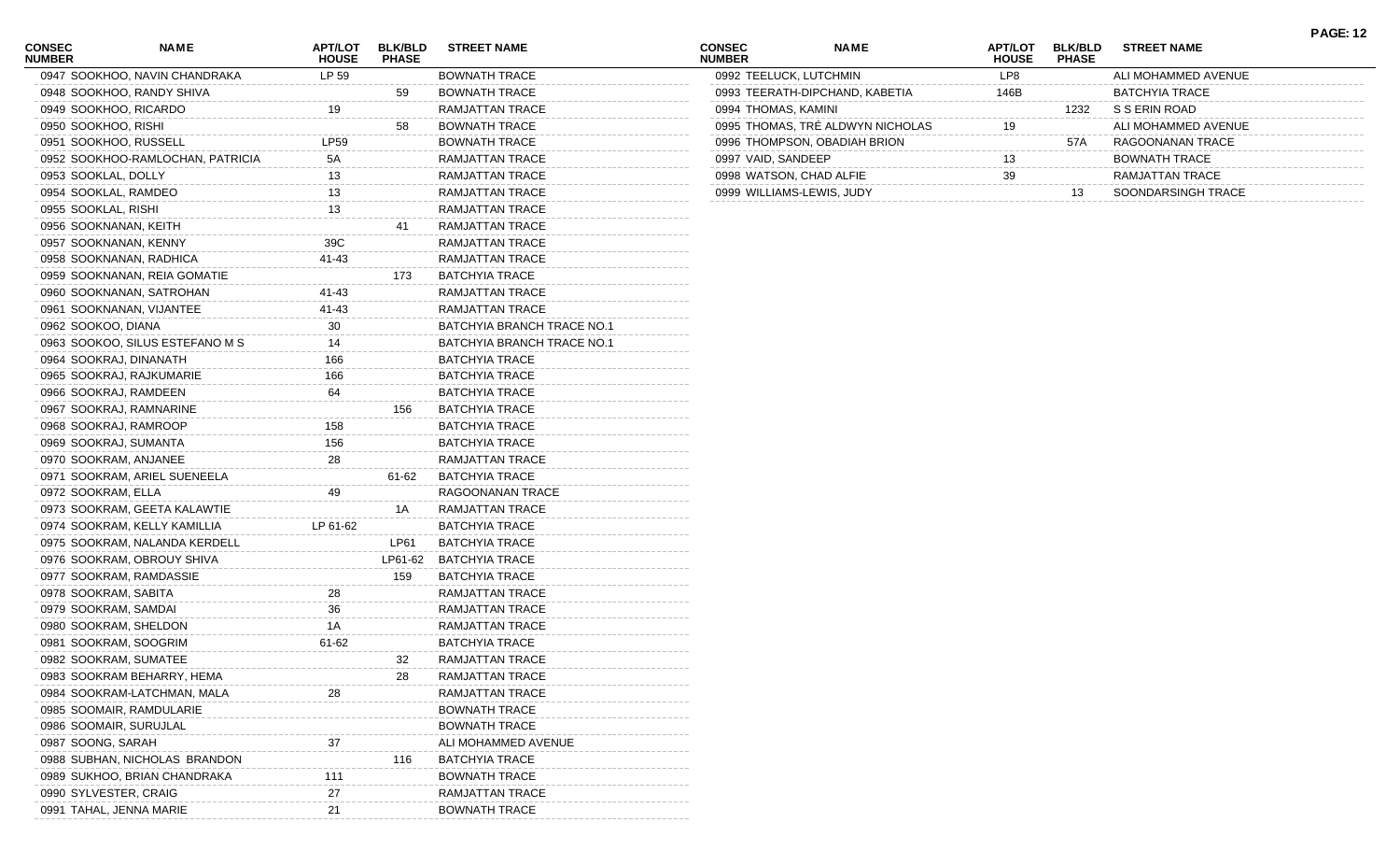| <b>CONSEC</b><br><b>NUMBER</b> | NAME                             | <b>APT/LOT</b><br><b>HOUSE</b> | <b>BLK/BLD</b><br><b>PHASE</b> | <b>STREET NAME</b>         | <b>CONSEC</b><br><b>NUMBER</b> | NAME                             | A |
|--------------------------------|----------------------------------|--------------------------------|--------------------------------|----------------------------|--------------------------------|----------------------------------|---|
|                                | 0947 SOOKHOO, NAVIN CHANDRAKA    | LP 59                          |                                | <b>BOWNATH TRACE</b>       |                                | 0992 TEELUCK, LUTCHMIN           |   |
|                                | 0948 SOOKHOO, RANDY SHIVA        |                                | 59                             | <b>BOWNATH TRACE</b>       |                                | 0993 TEERATH-DIPCHAND, KABETIA   |   |
|                                | 0949 SOOKHOO, RICARDO            | 19                             |                                | RAMJATTAN TRACE            |                                | 0994 THOMAS, KAMINI              |   |
|                                | 0950 SOOKHOO, RISHI              |                                | 58                             | <b>BOWNATH TRACE</b>       |                                | 0995 THOMAS, TRE ALDWYN NICHOLAS |   |
|                                | 0951 SOOKHOO, RUSSELL            | LP59                           |                                | <b>BOWNATH TRACE</b>       |                                | 0996 THOMPSON, OBADIAH BRION     |   |
|                                | 0952 SOOKHOO-RAMLOCHAN, PATRICIA | 5A                             |                                | RAMJATTAN TRACE            |                                | 0997 VAID, SANDEEP               |   |
|                                | 0953 SOOKLAL, DOLLY              | 13                             |                                | RAMJATTAN TRACE            |                                | 0998 WATSON, CHAD ALFIE          |   |
|                                | 0954 SOOKLAL, RAMDEO             | 13                             |                                | RAMJATTAN TRACE            |                                | 0999 WILLIAMS-LEWIS, JUDY        |   |
|                                | 0955 SOOKLAL, RISHI              | 13                             |                                | RAMJATTAN TRACE            |                                |                                  |   |
|                                | 0956 SOOKNANAN, KEITH            |                                | 41                             | RAMJATTAN TRACE            |                                |                                  |   |
|                                | 0957 SOOKNANAN, KENNY            | 39C                            |                                | RAMJATTAN TRACE            |                                |                                  |   |
|                                | 0958 SOOKNANAN, RADHICA          | 41-43                          |                                | RAMJATTAN TRACE            |                                |                                  |   |
|                                | 0959 SOOKNANAN, REIA GOMATIE     |                                | 173                            | <b>BATCHYIA TRACE</b>      |                                |                                  |   |
|                                | 0960 SOOKNANAN, SATROHAN         | 41-43                          |                                | RAMJATTAN TRACE            |                                |                                  |   |
|                                | 0961 SOOKNANAN, VIJANTEE         | 41-43                          |                                | RAMJATTAN TRACE            |                                |                                  |   |
|                                | 0962 SOOKOO, DIANA               | 30                             |                                | BATCHYIA BRANCH TRACE NO.1 |                                |                                  |   |
|                                | 0963 SOOKOO, SILUS ESTEFANO M S  | 14                             |                                | BATCHYIA BRANCH TRACE NO.1 |                                |                                  |   |
|                                | 0964 SOOKRAJ, DINANATH           | 166                            |                                | <b>BATCHYIA TRACE</b>      |                                |                                  |   |
|                                | 0965 SOOKRAJ, RAJKUMARIE         | 166                            |                                | <b>BATCHYIA TRACE</b>      |                                |                                  |   |
|                                | 0966 SOOKRAJ, RAMDEEN            | 64                             |                                | <b>BATCHYIA TRACE</b>      |                                |                                  |   |
|                                | 0967 SOOKRAJ, RAMNARINE          |                                | 156                            | <b>BATCHYIA TRACE</b>      |                                |                                  |   |
|                                | 0968 SOOKRAJ, RAMROOP            | 158                            |                                | <b>BATCHYIA TRACE</b>      |                                |                                  |   |
|                                | 0969 SOOKRAJ, SUMANTA            | 156                            |                                | <b>BATCHYIA TRACE</b>      |                                |                                  |   |
|                                | 0970 SOOKRAM, ANJANEE            | 28                             |                                | RAMJATTAN TRACE            |                                |                                  |   |
|                                | 0971 SOOKRAM, ARIEL SUENEELA     |                                | 61-62                          | <b>BATCHYIA TRACE</b>      |                                |                                  |   |
|                                | 0972 SOOKRAM, ELLA               | 49                             |                                | RAGOONANAN TRACE           |                                |                                  |   |
|                                | 0973 SOOKRAM, GEETA KALAWTIE     |                                | 1A                             | RAMJATTAN TRACE            |                                |                                  |   |
|                                | 0974 SOOKRAM, KELLY KAMILLIA     | LP 61-62                       |                                | <b>BATCHYIA TRACE</b>      |                                |                                  |   |
|                                | 0975 SOOKRAM, NALANDA KERDELL    |                                | LP61                           | <b>BATCHYIA TRACE</b>      |                                |                                  |   |
|                                | 0976 SOOKRAM, OBROUY SHIVA       |                                | LP61-62                        | <b>BATCHYIA TRACE</b>      |                                |                                  |   |
|                                | 0977 SOOKRAM, RAMDASSIE          |                                | 159                            | <b>BATCHYIA TRACE</b>      |                                |                                  |   |
|                                | 0978 SOOKRAM, SABITA             | 28                             |                                | RAMJATTAN TRACE            |                                |                                  |   |
|                                | 0979 SOOKRAM, SAMDAI             | 36                             |                                | RAMJATTAN TRACE            |                                |                                  |   |
|                                | 0980 SOOKRAM, SHELDON            | 1 A                            |                                | RAMJATTAN TRACE            |                                |                                  |   |
|                                | 0981 SOOKRAM, SOOGRIM            | 61-62                          |                                | <b>BATCHYIA TRACE</b>      |                                |                                  |   |
|                                | 0982 SOOKRAM, SUMATEE            |                                | 32                             | RAMJATTAN TRACE            |                                |                                  |   |
|                                | 0983 SOOKRAM BEHARRY, HEMA       |                                | 28                             | RAMJATTAN TRACE            |                                |                                  |   |
|                                | 0984 SOOKRAM-LATCHMAN, MALA      | 28                             |                                | RAMJATTAN TRACE            |                                |                                  |   |
|                                | 0985 SOOMAIR, RAMDULARIE         |                                |                                | <b>BOWNATH TRACE</b>       |                                |                                  |   |
|                                | 0986 SOOMAIR, SURUJLAL           |                                |                                | <b>BOWNATH TRACE</b>       |                                |                                  |   |
|                                | 0987 SOONG, SARAH                | 37                             |                                | ALI MOHAMMED AVENUE        |                                |                                  |   |
|                                | 0988 SUBHAN, NICHOLAS BRANDON    |                                | 116                            | <b>BATCHYIA TRACE</b>      |                                |                                  |   |
|                                | 0989 SUKHOO, BRIAN CHANDRAKA     | 111                            |                                | <b>BOWNATH TRACE</b>       |                                |                                  |   |
|                                | 0990 SYLVESTER, CRAIG            | 27                             |                                | RAMJATTAN TRACE            |                                |                                  |   |
|                                | 0991 TAHAL, JENNA MARIE          | 21                             |                                | <b>BOWNATH TRACE</b>       |                                |                                  |   |
|                                |                                  |                                |                                |                            |                                |                                  |   |

**NAME APT/LOT BLK/BLD STREET NAME HOUSE PHASE** LP8 ALI MOHAMMED AVENUE 146B BATCHYIA TRACE 1232 S S ERIN ROAD<br>19<br>19 THOMAS SHOP SHOPS THOMAS, TRÉ ALDWYN NICHOLAS 19 ALI MOHAMMED AVENUE 57A RAGOONANAN TRACE<br>13 BOWNATH TRACE<br>39 RAMJATTAN TRACE BOWNATH TRACE RAMJATTAN TRACE<br>13 SOONDARSINGH TRA 13 SOONDARSINGH TRACE